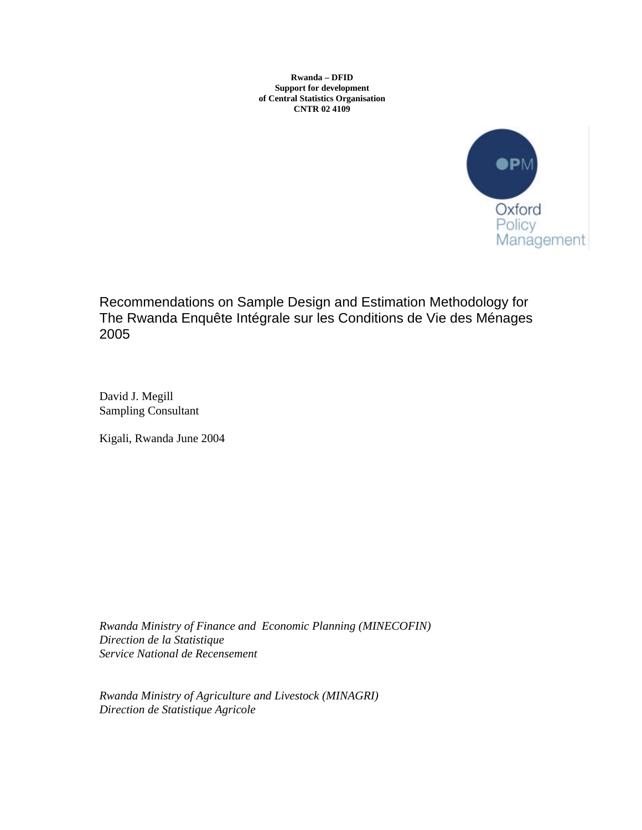**Rwanda – DFID Support for development of Central Statistics Organisation CNTR 02 4109**



Recommendations on Sample Design and Estimation Methodology for The Rwanda Enquête Intégrale sur les Conditions de Vie des Ménages 2005

David J. Megill Sampling Consultant

Kigali, Rwanda June 2004

*Rwanda Ministry of Finance and Economic Planning (MINECOFIN) Direction de la Statistique Service National de Recensement*

*Rwanda Ministry of Agriculture and Livestock (MINAGRI) Direction de Statistique Agricole*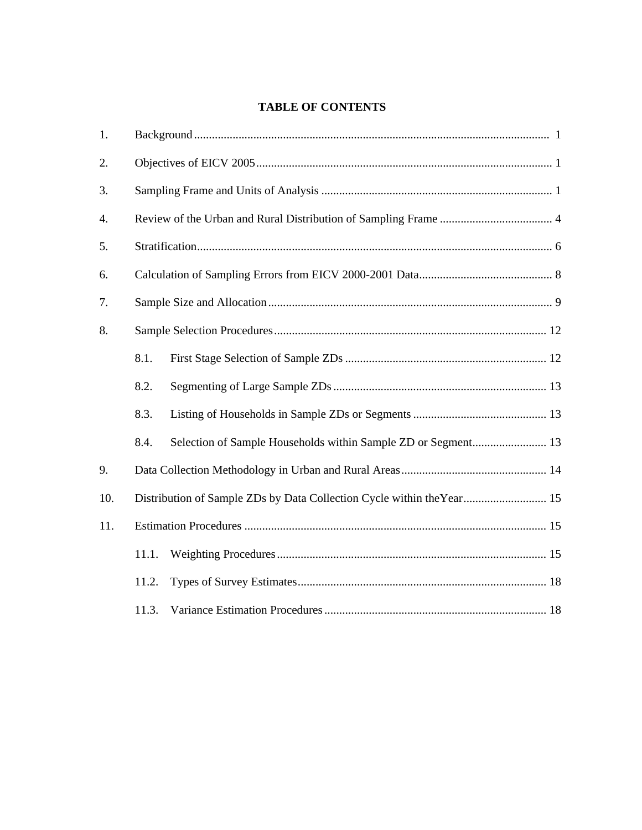# **TABLE OF CONTENTS**

| 1.  |       |                                                                        |  |  |  |  |  |  |
|-----|-------|------------------------------------------------------------------------|--|--|--|--|--|--|
| 2.  |       |                                                                        |  |  |  |  |  |  |
| 3.  |       |                                                                        |  |  |  |  |  |  |
| 4.  |       |                                                                        |  |  |  |  |  |  |
| 5.  |       |                                                                        |  |  |  |  |  |  |
| 6.  |       |                                                                        |  |  |  |  |  |  |
| 7.  |       |                                                                        |  |  |  |  |  |  |
| 8.  |       |                                                                        |  |  |  |  |  |  |
|     | 8.1.  |                                                                        |  |  |  |  |  |  |
|     | 8.2.  |                                                                        |  |  |  |  |  |  |
|     | 8.3.  |                                                                        |  |  |  |  |  |  |
|     | 8.4.  | Selection of Sample Households within Sample ZD or Segment 13          |  |  |  |  |  |  |
| 9.  |       |                                                                        |  |  |  |  |  |  |
| 10. |       | Distribution of Sample ZDs by Data Collection Cycle within the Year 15 |  |  |  |  |  |  |
| 11. |       |                                                                        |  |  |  |  |  |  |
|     | 11.1. |                                                                        |  |  |  |  |  |  |
|     | 11.2. |                                                                        |  |  |  |  |  |  |
|     | 11.3. |                                                                        |  |  |  |  |  |  |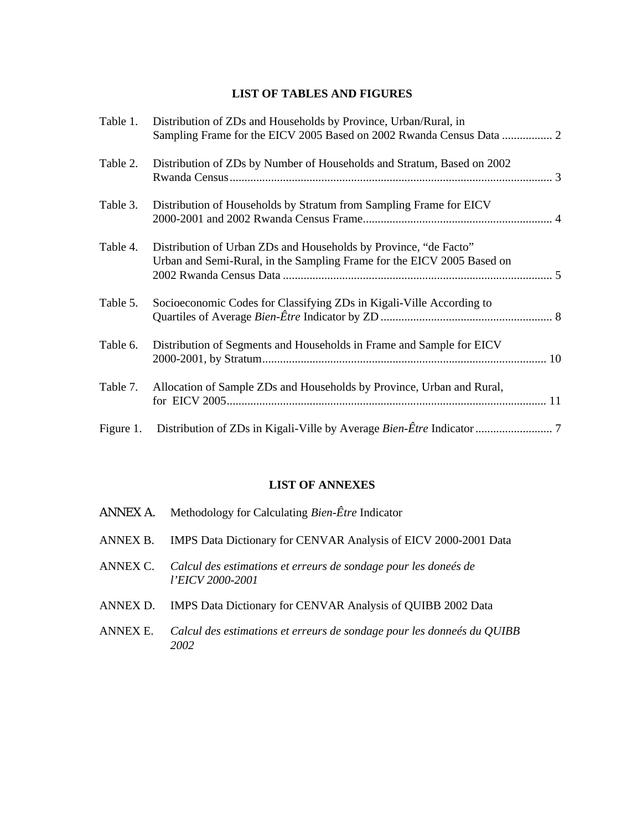## **LIST OF TABLES AND FIGURES**

| Table 1.  | Distribution of ZDs and Households by Province, Urban/Rural, in<br>Sampling Frame for the EICV 2005 Based on 2002 Rwanda Census Data  2    |  |
|-----------|--------------------------------------------------------------------------------------------------------------------------------------------|--|
| Table 2.  | Distribution of ZDs by Number of Households and Stratum, Based on 2002                                                                     |  |
| Table 3.  | Distribution of Households by Stratum from Sampling Frame for EICV                                                                         |  |
| Table 4.  | Distribution of Urban ZDs and Households by Province, "de Facto"<br>Urban and Semi-Rural, in the Sampling Frame for the EICV 2005 Based on |  |
| Table 5.  | Socioeconomic Codes for Classifying ZDs in Kigali-Ville According to                                                                       |  |
| Table 6.  | Distribution of Segments and Households in Frame and Sample for EICV                                                                       |  |
| Table 7.  | Allocation of Sample ZDs and Households by Province, Urban and Rural,                                                                      |  |
| Figure 1. |                                                                                                                                            |  |

# **LIST OF ANNEXES**

| ANNEX A. | Methodology for Calculating <i>Bien-Être</i> Indicator                              |
|----------|-------------------------------------------------------------------------------------|
|          | ANNEX B. IMPS Data Dictionary for CENVAR Analysis of EICV 2000-2001 Data            |
| ANNEX C. | Calcul des estimations et erreurs de sondage pour les doneés de<br>l'EICV 2000-2001 |
|          | ANNEX D. IMPS Data Dictionary for CENVAR Analysis of QUIBB 2002 Data                |
| ANNEX E. | Calcul des estimations et erreurs de sondage pour les donneés du QUIBB<br>2002      |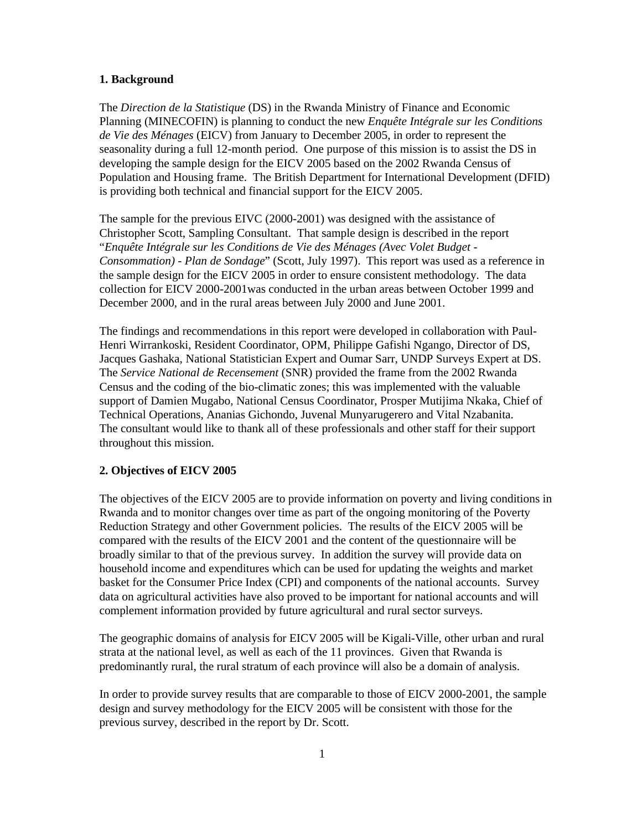#### **1. Background**

The *Direction de la Statistique* (DS) in the Rwanda Ministry of Finance and Economic Planning (MINECOFIN) is planning to conduct the new *Enquête Intégrale sur les Conditions de Vie des Ménages* (EICV) from January to December 2005, in order to represent the seasonality during a full 12-month period. One purpose of this mission is to assist the DS in developing the sample design for the EICV 2005 based on the 2002 Rwanda Census of Population and Housing frame. The British Department for International Development (DFID) is providing both technical and financial support for the EICV 2005.

The sample for the previous EIVC (2000-2001) was designed with the assistance of Christopher Scott, Sampling Consultant. That sample design is described in the report "*Enquête Intégrale sur les Conditions de Vie des Ménages (Avec Volet Budget - Consommation) - Plan de Sondage*" (Scott, July 1997). This report was used as a reference in the sample design for the EICV 2005 in order to ensure consistent methodology. The data collection for EICV 2000-2001was conducted in the urban areas between October 1999 and December 2000, and in the rural areas between July 2000 and June 2001.

The findings and recommendations in this report were developed in collaboration with Paul-Henri Wirrankoski, Resident Coordinator, OPM, Philippe Gafishi Ngango, Director of DS, Jacques Gashaka, National Statistician Expert and Oumar Sarr, UNDP Surveys Expert at DS. The *Service National de Recensement* (SNR) provided the frame from the 2002 Rwanda Census and the coding of the bio-climatic zones; this was implemented with the valuable support of Damien Mugabo, National Census Coordinator, Prosper Mutijima Nkaka, Chief of Technical Operations, Ananias Gichondo, Juvenal Munyarugerero and Vital Nzabanita. The consultant would like to thank all of these professionals and other staff for their support throughout this mission.

#### **2. Objectives of EICV 2005**

The objectives of the EICV 2005 are to provide information on poverty and living conditions in Rwanda and to monitor changes over time as part of the ongoing monitoring of the Poverty Reduction Strategy and other Government policies. The results of the EICV 2005 will be compared with the results of the EICV 2001 and the content of the questionnaire will be broadly similar to that of the previous survey. In addition the survey will provide data on household income and expenditures which can be used for updating the weights and market basket for the Consumer Price Index (CPI) and components of the national accounts. Survey data on agricultural activities have also proved to be important for national accounts and will complement information provided by future agricultural and rural sector surveys.

The geographic domains of analysis for EICV 2005 will be Kigali-Ville, other urban and rural strata at the national level, as well as each of the 11 provinces. Given that Rwanda is predominantly rural, the rural stratum of each province will also be a domain of analysis.

In order to provide survey results that are comparable to those of EICV 2000-2001, the sample design and survey methodology for the EICV 2005 will be consistent with those for the previous survey, described in the report by Dr. Scott.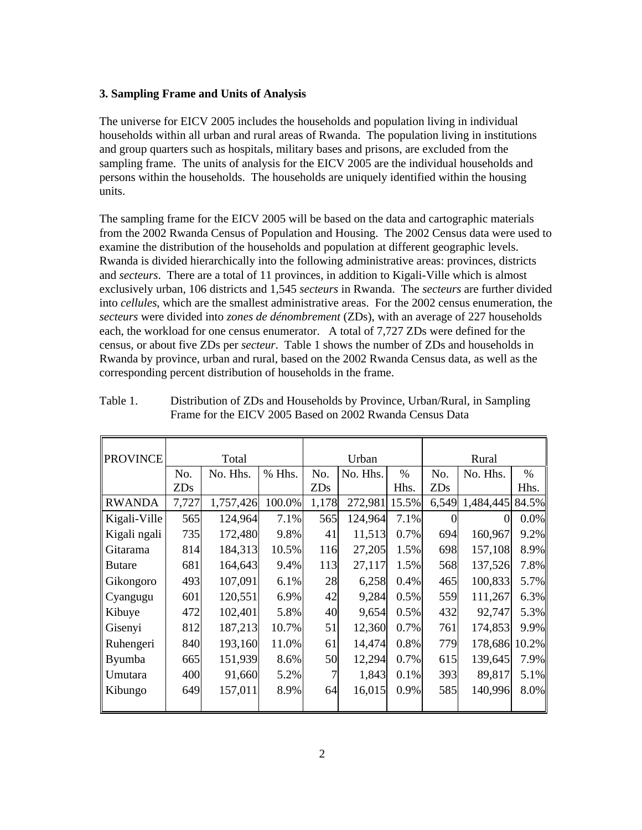#### **3. Sampling Frame and Units of Analysis**

The universe for EICV 2005 includes the households and population living in individual households within all urban and rural areas of Rwanda. The population living in institutions and group quarters such as hospitals, military bases and prisons, are excluded from the sampling frame. The units of analysis for the EICV 2005 are the individual households and persons within the households. The households are uniquely identified within the housing units.

The sampling frame for the EICV 2005 will be based on the data and cartographic materials from the 2002 Rwanda Census of Population and Housing. The 2002 Census data were used to examine the distribution of the households and population at different geographic levels. Rwanda is divided hierarchically into the following administrative areas: provinces, districts and *secteurs*. There are a total of 11 provinces, in addition to Kigali-Ville which is almost exclusively urban, 106 districts and 1,545 *secteurs* in Rwanda. The *secteurs* are further divided into *cellules*, which are the smallest administrative areas. For the 2002 census enumeration, the *secteurs* were divided into *zones de dénombrement* (ZDs), with an average of 227 households each, the workload for one census enumerator. A total of 7,727 ZDs were defined for the census, or about five ZDs per *secteur*. Table 1 shows the number of ZDs and households in Rwanda by province, urban and rural, based on the 2002 Rwanda Census data, as well as the corresponding percent distribution of households in the frame.

| <b>PROVINCE</b> | Total |           | Urban  |       |          | Rural |            |               |       |
|-----------------|-------|-----------|--------|-------|----------|-------|------------|---------------|-------|
|                 | No.   | No. Hhs.  | % Hhs. | No.   | No. Hhs. | $\%$  | No.        | No. Hhs.      | $\%$  |
|                 | ZDs   |           |        | ZDs   |          | Hhs.  | <b>ZDs</b> |               | Hhs.  |
| <b>RWANDA</b>   | 7,727 | 1,757,426 | 100.0% | 1,178 | 272,981  | 15.5% | 6,549      | 1,484,445     | 84.5% |
| Kigali-Ville    | 565   | 124,964   | 7.1%   | 565   | 124,964  | 7.1%  |            |               | 0.0%  |
| Kigali ngali    | 735   | 172,480   | 9.8%   | 41    | 11,513   | 0.7%  | 694        | 160,967       | 9.2%  |
| <b>Gitarama</b> | 814   | 184,313   | 10.5%  | 116   | 27,205   | 1.5%  | 698        | 157,108       | 8.9%  |
| <b>Butare</b>   | 681   | 164,643   | 9.4%   | 113   | 27,117   | 1.5%  | 568        | 137,526       | 7.8%  |
| Gikongoro       | 493   | 107,091   | 6.1%   | 28    | 6,258    | 0.4%  | 465        | 100,833       | 5.7%  |
| Cyangugu        | 601   | 120,551   | 6.9%   | 42    | 9,284    | 0.5%  | 559        | 111,267       | 6.3%  |
| Kibuye          | 472   | 102,401   | 5.8%   | 40    | 9,654    | 0.5%  | 432        | 92,747        | 5.3%  |
| Gisenyi         | 812   | 187,213   | 10.7%  | 51    | 12,360   | 0.7%  | 761        | 174,853       | 9.9%  |
| Ruhengeri       | 840   | 193,160   | 11.0%  | 61    | 14,474   | 0.8%  | 779        | 178,686 10.2% |       |
| Byumba          | 665   | 151,939   | 8.6%   | 50    | 12,294   | 0.7%  | 615        | 139,645       | 7.9%  |
| Umutara         | 400   | 91,660    | 5.2%   | 7     | 1,843    | 0.1%  | 393        | 89,817        | 5.1%  |
| Kibungo         | 649   | 157,011   | 8.9%   | 64    | 16,015   | 0.9%  | 585        | 140,996       | 8.0%  |
|                 |       |           |        |       |          |       |            |               |       |

Table 1. Distribution of ZDs and Households by Province, Urban/Rural, in Sampling Frame for the EICV 2005 Based on 2002 Rwanda Census Data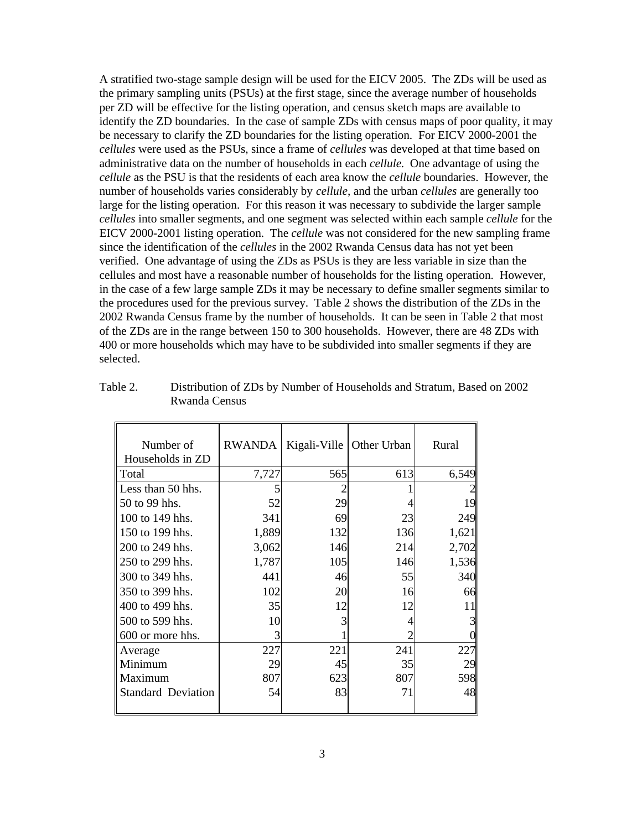A stratified two-stage sample design will be used for the EICV 2005. The ZDs will be used as the primary sampling units (PSUs) at the first stage, since the average number of households per ZD will be effective for the listing operation, and census sketch maps are available to identify the ZD boundaries. In the case of sample ZDs with census maps of poor quality, it may be necessary to clarify the ZD boundaries for the listing operation. For EICV 2000-2001 the *cellules* were used as the PSUs, since a frame of *cellules* was developed at that time based on administrative data on the number of households in each *cellule*. One advantage of using the *cellule* as the PSU is that the residents of each area know the *cellule* boundaries. However, the number of households varies considerably by *cellule*, and the urban *cellules* are generally too large for the listing operation. For this reason it was necessary to subdivide the larger sample *cellules* into smaller segments, and one segment was selected within each sample *cellule* for the EICV 2000-2001 listing operation. The *cellule* was not considered for the new sampling frame since the identification of the *cellules* in the 2002 Rwanda Census data has not yet been verified. One advantage of using the ZDs as PSUs is they are less variable in size than the cellules and most have a reasonable number of households for the listing operation. However, in the case of a few large sample ZDs it may be necessary to define smaller segments similar to the procedures used for the previous survey. Table 2 shows the distribution of the ZDs in the 2002 Rwanda Census frame by the number of households. It can be seen in Table 2 that most of the ZDs are in the range between 150 to 300 households. However, there are 48 ZDs with 400 or more households which may have to be subdivided into smaller segments if they are selected.

| Number of<br>Households in ZD | RWANDA |     | Kigali-Ville   Other Urban | Rural |
|-------------------------------|--------|-----|----------------------------|-------|
| Total                         | 7,727  | 565 | 613                        | 6,549 |
| Less than 50 hhs.             |        |     |                            |       |
| 50 to 99 hhs.                 | 52     | 29  |                            | 19    |
| 100 to 149 hhs.               | 341    | 69  | 23                         | 249   |
| 150 to 199 hhs.               | 1,889  | 132 | 136                        | 1,621 |
| 200 to 249 hhs.               | 3,062  | 146 | 214                        | 2,702 |
| 250 to 299 hhs.               | 1,787  | 105 | 146                        | 1,536 |
| 300 to 349 hhs.               | 441    | 46  | 55                         | 340   |
| 350 to 399 hhs.               | 102    | 20  | 16                         | 66    |
| 400 to 499 hhs.               | 35     | 12  | 12                         | 11    |
| 500 to 599 hhs.               | 10     | 3   |                            |       |
| 600 or more hhs.              | 3      |     |                            |       |
| Average                       | 227    | 221 | 241                        | 227   |
| Minimum                       | 29     | 45  | 35                         | 29    |
| Maximum                       | 807    | 623 | 807                        | 598   |
| <b>Standard Deviation</b>     | 54     | 83  | 71                         | 48    |
|                               |        |     |                            |       |

| Table 2. | Distribution of ZDs by Number of Households and Stratum, Based on 2002 |
|----------|------------------------------------------------------------------------|
|          | Rwanda Census                                                          |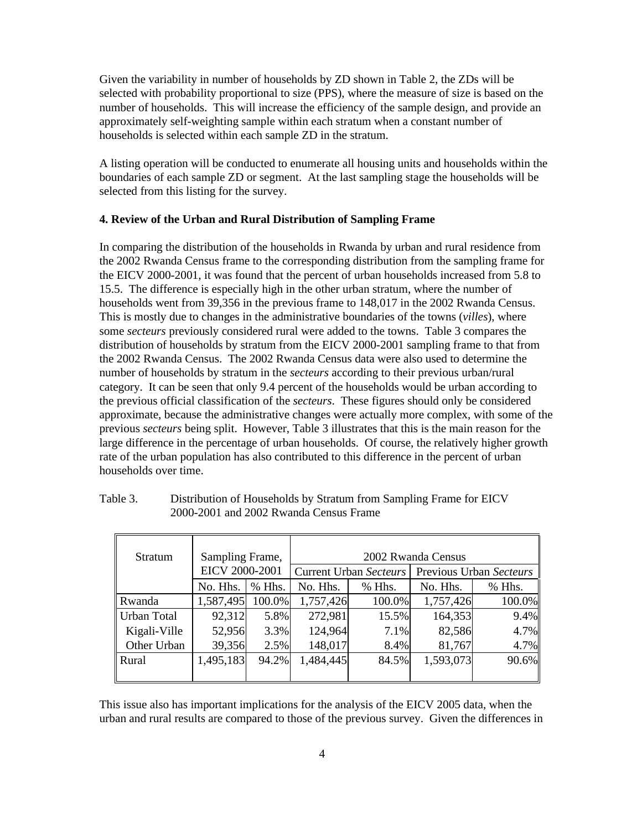Given the variability in number of households by ZD shown in Table 2, the ZDs will be selected with probability proportional to size (PPS), where the measure of size is based on the number of households. This will increase the efficiency of the sample design, and provide an approximately self-weighting sample within each stratum when a constant number of households is selected within each sample ZD in the stratum.

A listing operation will be conducted to enumerate all housing units and households within the boundaries of each sample ZD or segment. At the last sampling stage the households will be selected from this listing for the survey.

#### **4. Review of the Urban and Rural Distribution of Sampling Frame**

In comparing the distribution of the households in Rwanda by urban and rural residence from the 2002 Rwanda Census frame to the corresponding distribution from the sampling frame for the EICV 2000-2001, it was found that the percent of urban households increased from 5.8 to 15.5. The difference is especially high in the other urban stratum, where the number of households went from 39,356 in the previous frame to 148,017 in the 2002 Rwanda Census. This is mostly due to changes in the administrative boundaries of the towns (*villes*), where some *secteurs* previously considered rural were added to the towns. Table 3 compares the distribution of households by stratum from the EICV 2000-2001 sampling frame to that from the 2002 Rwanda Census. The 2002 Rwanda Census data were also used to determine the number of households by stratum in the *secteurs* according to their previous urban/rural category. It can be seen that only 9.4 percent of the households would be urban according to the previous official classification of the *secteurs*. These figures should only be considered approximate, because the administrative changes were actually more complex, with some of the previous *secteurs* being split. However, Table 3 illustrates that this is the main reason for the large difference in the percentage of urban households. Of course, the relatively higher growth rate of the urban population has also contributed to this difference in the percent of urban households over time.

| <b>Stratum</b>     | Sampling Frame, |        |           |                               | 2002 Rwanda Census      |        |
|--------------------|-----------------|--------|-----------|-------------------------------|-------------------------|--------|
|                    | EICV 2000-2001  |        |           | <b>Current Urban Secteurs</b> | Previous Urban Secteurs |        |
|                    | No. Hhs.        | % Hhs. | No. Hhs.  | $%$ Hhs.                      | No. Hhs.                | % Hhs. |
| Rwanda             | 1,587,495       | 100.0% | 1,757,426 | 100.0%                        | 1,757,426               | 100.0% |
| <b>Urban Total</b> | 92,312          | 5.8%   | 272,981   | 15.5%                         | 164,353                 | 9.4%   |
| Kigali-Ville       | 52,956          | 3.3%   | 124,964   | 7.1%                          | 82,586                  | 4.7%   |
| Other Urban        | 39,356          | 2.5%   | 148,017   | 8.4%                          | 81,767                  | 4.7%   |
| Rural              | 1,495,183       | 94.2%  | 1,484,445 | 84.5%                         | 1,593,073               | 90.6%  |
|                    |                 |        |           |                               |                         |        |

| Table 3. | Distribution of Households by Stratum from Sampling Frame for EICV |
|----------|--------------------------------------------------------------------|
|          | 2000-2001 and 2002 Rwanda Census Frame                             |

This issue also has important implications for the analysis of the EICV 2005 data, when the urban and rural results are compared to those of the previous survey. Given the differences in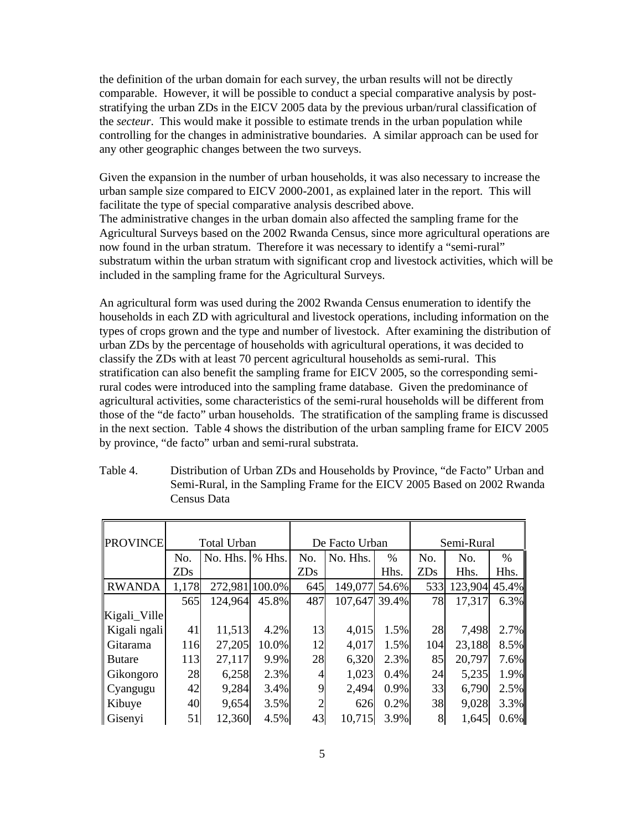the definition of the urban domain for each survey, the urban results will not be directly comparable. However, it will be possible to conduct a special comparative analysis by poststratifying the urban ZDs in the EICV 2005 data by the previous urban/rural classification of the *secteur*. This would make it possible to estimate trends in the urban population while controlling for the changes in administrative boundaries. A similar approach can be used for any other geographic changes between the two surveys.

Given the expansion in the number of urban households, it was also necessary to increase the urban sample size compared to EICV 2000-2001, as explained later in the report. This will facilitate the type of special comparative analysis described above. The administrative changes in the urban domain also affected the sampling frame for the Agricultural Surveys based on the 2002 Rwanda Census, since more agricultural operations are now found in the urban stratum. Therefore it was necessary to identify a "semi-rural" substratum within the urban stratum with significant crop and livestock activities, which will be included in the sampling frame for the Agricultural Surveys.

An agricultural form was used during the 2002 Rwanda Census enumeration to identify the households in each ZD with agricultural and livestock operations, including information on the types of crops grown and the type and number of livestock. After examining the distribution of urban ZDs by the percentage of households with agricultural operations, it was decided to classify the ZDs with at least 70 percent agricultural households as semi-rural. This stratification can also benefit the sampling frame for EICV 2005, so the corresponding semirural codes were introduced into the sampling frame database. Given the predominance of agricultural activities, some characteristics of the semi-rural households will be different from those of the "de facto" urban households. The stratification of the sampling frame is discussed in the next section. Table 4 shows the distribution of the urban sampling frame for EICV 2005 by province, "de facto" urban and semi-rural substrata.

| <b>PROVINCE</b> | <b>Total Urban</b> |          |        |                | De Facto Urban |       |            | Semi-Rural |       |  |
|-----------------|--------------------|----------|--------|----------------|----------------|-------|------------|------------|-------|--|
|                 | No.                | No. Hhs. | % Hhs. | No.            | No. Hhs.       | $\%$  | No.        | No.        | $\%$  |  |
|                 | <b>ZDs</b>         |          |        | <b>ZDs</b>     |                | Hhs.  | <b>ZDs</b> | Hhs.       | Hhs.  |  |
| <b>RWANDA</b>   | 1,178              | 272,981  | 100.0% | 645            | 149,077        | 54.6% | 533        | 123,904    | 45.4% |  |
|                 | 565                | 124,964  | 45.8%  | 487            | 107,647        | 39.4% | 78         | 17,317     | 6.3%  |  |
| Kigali_Ville    |                    |          |        |                |                |       |            |            |       |  |
| Kigali ngali    | 41                 | 11,513   | 4.2%   | 13             | 4,015          | 1.5%  | 28         | 7,498      | 2.7%  |  |
| Gitarama        | 116                | 27,205   | 10.0%  | 12             | 4,017          | 1.5%  | 104        | 23,188     | 8.5%  |  |
| <b>Butare</b>   | 113                | 27,117   | 9.9%   | 28             | 6,320          | 2.3%  | 85         | 20,797     | 7.6%  |  |
| Gikongoro       | 28                 | 6,258    | 2.3%   | 4              | 1,023          | 0.4%  | 24         | 5,235      | 1.9%  |  |
| Cyangugu        | 42                 | 9,284    | 3.4%   | 9              | 2,494          | 0.9%  | 33         | 6,790      | 2.5%  |  |
| Kibuye          | 40                 | 9,654    | 3.5%   | $\overline{2}$ | 626            | 0.2%  | 38         | 9,028      | 3.3%  |  |
| Gisenyi         | 51                 | 12,360   | 4.5%   | 43             | 10,715         | 3.9%  | 8          | 1,645      | 0.6%  |  |

Table 4. Distribution of Urban ZDs and Households by Province, "de Facto" Urban and Semi-Rural, in the Sampling Frame for the EICV 2005 Based on 2002 Rwanda Census Data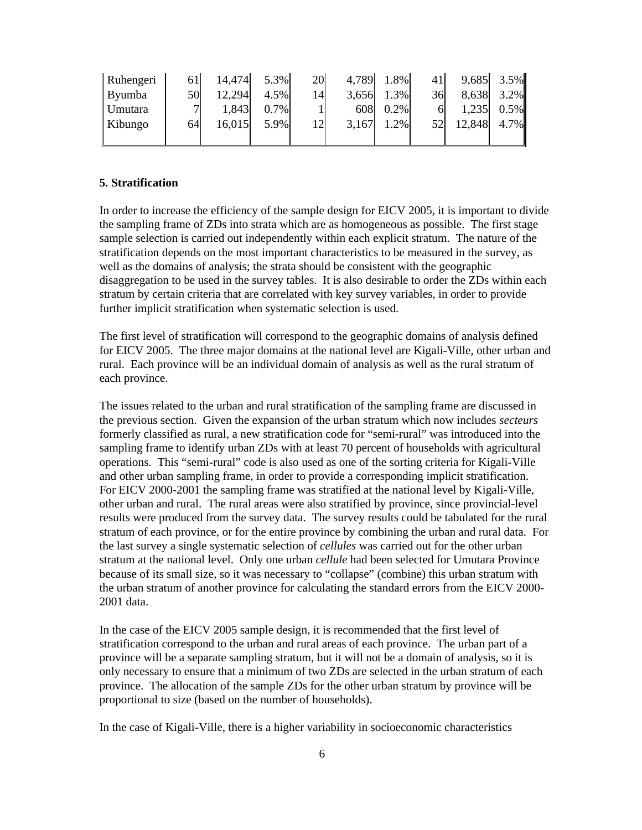| Ruhengeri | 61l           | 14,474 | 5.3% | 20 | 4,789 | 1.8% | 41' |        | 9,685 3.5% |
|-----------|---------------|--------|------|----|-------|------|-----|--------|------------|
| Byumba    | 50            | 12,294 | 4.5% | 14 | 3,656 | 1.3% | 36  | 8,638  | 3.2%       |
| Umutara   | $\mathcal{I}$ | 1,843  | 0.7% |    | 608   | 0.2% |     | 1,235  | 0.5%       |
| Kibungo   | 64            | 16,015 | 5.9% | 12 | 3,167 | 1.2% | 52  | 12,848 | 4.7%       |
|           |               |        |      |    |       |      |     |        |            |

#### **5. Stratification**

In order to increase the efficiency of the sample design for EICV 2005, it is important to divide the sampling frame of ZDs into strata which are as homogeneous as possible. The first stage sample selection is carried out independently within each explicit stratum. The nature of the stratification depends on the most important characteristics to be measured in the survey, as well as the domains of analysis; the strata should be consistent with the geographic disaggregation to be used in the survey tables. It is also desirable to order the ZDs within each stratum by certain criteria that are correlated with key survey variables, in order to provide further implicit stratification when systematic selection is used.

The first level of stratification will correspond to the geographic domains of analysis defined for EICV 2005. The three major domains at the national level are Kigali-Ville, other urban and rural. Each province will be an individual domain of analysis as well as the rural stratum of each province.

The issues related to the urban and rural stratification of the sampling frame are discussed in the previous section. Given the expansion of the urban stratum which now includes *secteurs*  formerly classified as rural, a new stratification code for "semi-rural" was introduced into the sampling frame to identify urban ZDs with at least 70 percent of households with agricultural operations. This "semi-rural" code is also used as one of the sorting criteria for Kigali-Ville and other urban sampling frame, in order to provide a corresponding implicit stratification. For EICV 2000-2001 the sampling frame was stratified at the national level by Kigali-Ville, other urban and rural. The rural areas were also stratified by province, since provincial-level results were produced from the survey data. The survey results could be tabulated for the rural stratum of each province, or for the entire province by combining the urban and rural data. For the last survey a single systematic selection of *cellules* was carried out for the other urban stratum at the national level. Only one urban *cellule* had been selected for Umutara Province because of its small size, so it was necessary to "collapse" (combine) this urban stratum with the urban stratum of another province for calculating the standard errors from the EICV 2000- 2001 data.

In the case of the EICV 2005 sample design, it is recommended that the first level of stratification correspond to the urban and rural areas of each province. The urban part of a province will be a separate sampling stratum, but it will not be a domain of analysis, so it is only necessary to ensure that a minimum of two ZDs are selected in the urban stratum of each province. The allocation of the sample ZDs for the other urban stratum by province will be proportional to size (based on the number of households).

In the case of Kigali-Ville, there is a higher variability in socioeconomic characteristics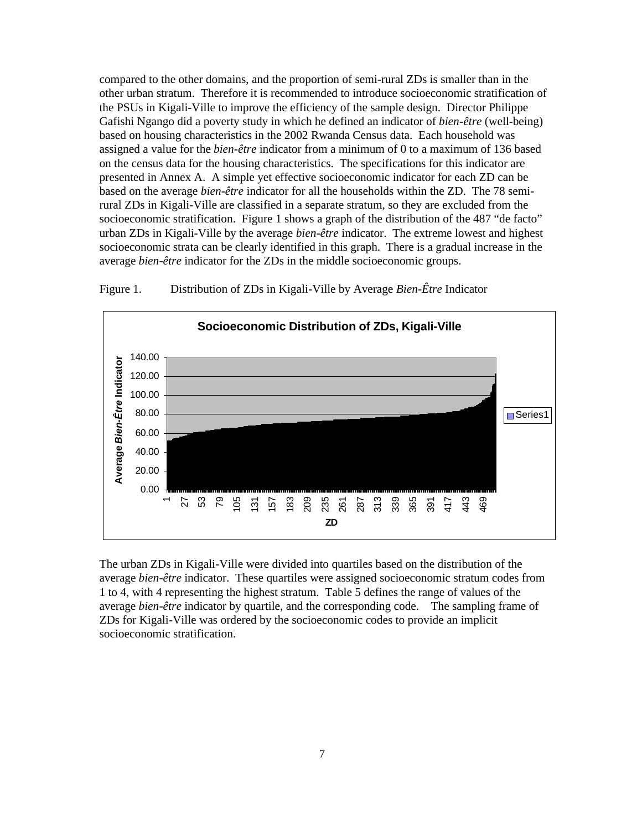compared to the other domains, and the proportion of semi-rural ZDs is smaller than in the other urban stratum. Therefore it is recommended to introduce socioeconomic stratification of the PSUs in Kigali-Ville to improve the efficiency of the sample design. Director Philippe Gafishi Ngango did a poverty study in which he defined an indicator of *bien-être* (well-being) based on housing characteristics in the 2002 Rwanda Census data. Each household was assigned a value for the *bien-être* indicator from a minimum of 0 to a maximum of 136 based on the census data for the housing characteristics. The specifications for this indicator are presented in Annex A. A simple yet effective socioeconomic indicator for each ZD can be based on the average *bien-être* indicator for all the households within the ZD. The 78 semirural ZDs in Kigali-Ville are classified in a separate stratum, so they are excluded from the socioeconomic stratification. Figure 1 shows a graph of the distribution of the 487 "de facto" urban ZDs in Kigali-Ville by the average *bien-être* indicator. The extreme lowest and highest socioeconomic strata can be clearly identified in this graph. There is a gradual increase in the average *bien-être* indicator for the ZDs in the middle socioeconomic groups.



Figure 1. Distribution of ZDs in Kigali-Ville by Average *Bien-Être* Indicator

The urban ZDs in Kigali-Ville were divided into quartiles based on the distribution of the average *bien-être* indicator. These quartiles were assigned socioeconomic stratum codes from 1 to 4, with 4 representing the highest stratum. Table 5 defines the range of values of the average *bien-être* indicator by quartile, and the corresponding code. The sampling frame of ZDs for Kigali-Ville was ordered by the socioeconomic codes to provide an implicit socioeconomic stratification.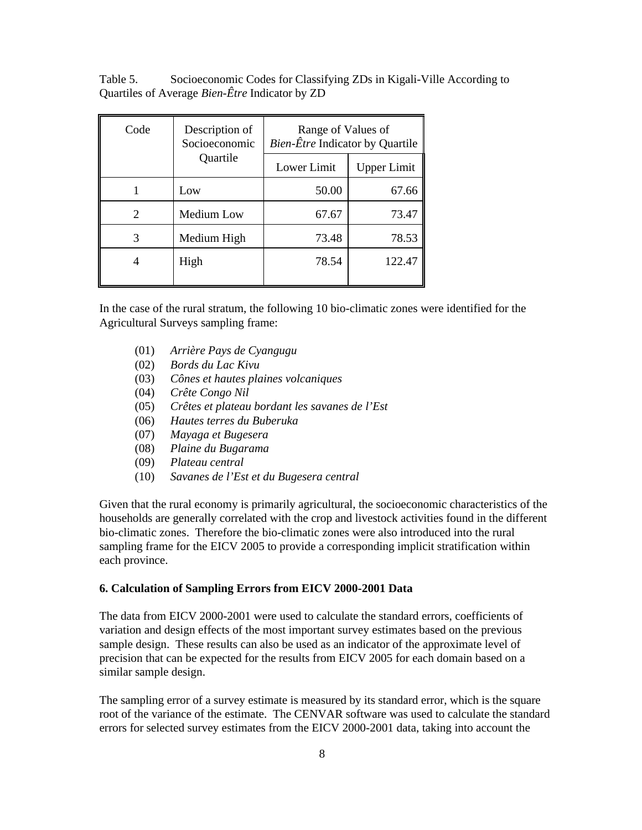Table 5. Socioeconomic Codes for Classifying ZDs in Kigali-Ville According to Quartiles of Average *Bien-Être* Indicator by ZD

| Code | Description of<br>Socioeconomic | Range of Values of<br><i>Bien-Être</i> Indicator by Quartile |                    |  |  |
|------|---------------------------------|--------------------------------------------------------------|--------------------|--|--|
|      | Quartile                        | Lower Limit                                                  | <b>Upper Limit</b> |  |  |
|      | Low                             | 50.00                                                        | 67.66              |  |  |
| 2    | Medium Low                      | 67.67                                                        | 73.47              |  |  |
| 3    | Medium High                     | 73.48                                                        | 78.53              |  |  |
|      | High                            | 78.54                                                        | 122.47             |  |  |

In the case of the rural stratum, the following 10 bio-climatic zones were identified for the Agricultural Surveys sampling frame:

- (01) *Arrière Pays de Cyangugu*
- (02) *Bords du Lac Kivu*
- (03) *Cônes et hautes plaines volcaniques*
- (04) *Crête Congo Nil*
- (05) *Crêtes et plateau bordant les savanes de l'Est*
- (06) *Hautes terres du Buberuka*
- (07) *Mayaga et Bugesera*
- (08) *Plaine du Bugarama*
- (09) *Plateau central*
- (10) *Savanes de l'Est et du Bugesera central*

Given that the rural economy is primarily agricultural, the socioeconomic characteristics of the households are generally correlated with the crop and livestock activities found in the different bio-climatic zones. Therefore the bio-climatic zones were also introduced into the rural sampling frame for the EICV 2005 to provide a corresponding implicit stratification within each province.

#### **6. Calculation of Sampling Errors from EICV 2000-2001 Data**

The data from EICV 2000-2001 were used to calculate the standard errors, coefficients of variation and design effects of the most important survey estimates based on the previous sample design. These results can also be used as an indicator of the approximate level of precision that can be expected for the results from EICV 2005 for each domain based on a similar sample design.

The sampling error of a survey estimate is measured by its standard error, which is the square root of the variance of the estimate. The CENVAR software was used to calculate the standard errors for selected survey estimates from the EICV 2000-2001 data, taking into account the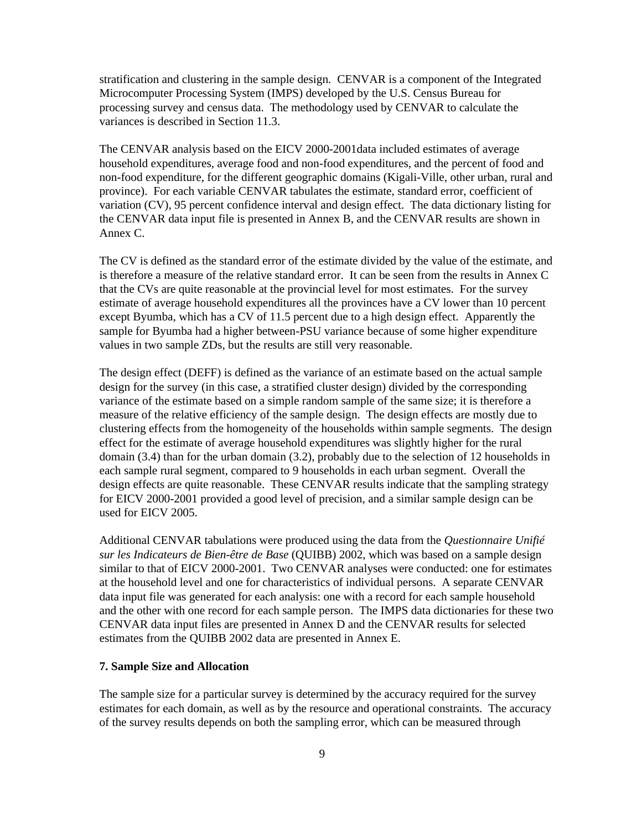stratification and clustering in the sample design. CENVAR is a component of the Integrated Microcomputer Processing System (IMPS) developed by the U.S. Census Bureau for processing survey and census data. The methodology used by CENVAR to calculate the variances is described in Section 11.3.

The CENVAR analysis based on the EICV 2000-2001data included estimates of average household expenditures, average food and non-food expenditures, and the percent of food and non-food expenditure, for the different geographic domains (Kigali-Ville, other urban, rural and province). For each variable CENVAR tabulates the estimate, standard error, coefficient of variation (CV), 95 percent confidence interval and design effect. The data dictionary listing for the CENVAR data input file is presented in Annex B, and the CENVAR results are shown in Annex C.

The CV is defined as the standard error of the estimate divided by the value of the estimate, and is therefore a measure of the relative standard error. It can be seen from the results in Annex C that the CVs are quite reasonable at the provincial level for most estimates. For the survey estimate of average household expenditures all the provinces have a CV lower than 10 percent except Byumba, which has a CV of 11.5 percent due to a high design effect. Apparently the sample for Byumba had a higher between-PSU variance because of some higher expenditure values in two sample ZDs, but the results are still very reasonable.

The design effect (DEFF) is defined as the variance of an estimate based on the actual sample design for the survey (in this case, a stratified cluster design) divided by the corresponding variance of the estimate based on a simple random sample of the same size; it is therefore a measure of the relative efficiency of the sample design. The design effects are mostly due to clustering effects from the homogeneity of the households within sample segments. The design effect for the estimate of average household expenditures was slightly higher for the rural domain (3.4) than for the urban domain (3.2), probably due to the selection of 12 households in each sample rural segment, compared to 9 households in each urban segment. Overall the design effects are quite reasonable. These CENVAR results indicate that the sampling strategy for EICV 2000-2001 provided a good level of precision, and a similar sample design can be used for EICV 2005.

Additional CENVAR tabulations were produced using the data from the *Questionnaire Unifié sur les Indicateurs de Bien-être de Base* (QUIBB) 2002, which was based on a sample design similar to that of EICV 2000-2001. Two CENVAR analyses were conducted: one for estimates at the household level and one for characteristics of individual persons. A separate CENVAR data input file was generated for each analysis: one with a record for each sample household and the other with one record for each sample person. The IMPS data dictionaries for these two CENVAR data input files are presented in Annex D and the CENVAR results for selected estimates from the QUIBB 2002 data are presented in Annex E.

#### **7. Sample Size and Allocation**

The sample size for a particular survey is determined by the accuracy required for the survey estimates for each domain, as well as by the resource and operational constraints. The accuracy of the survey results depends on both the sampling error, which can be measured through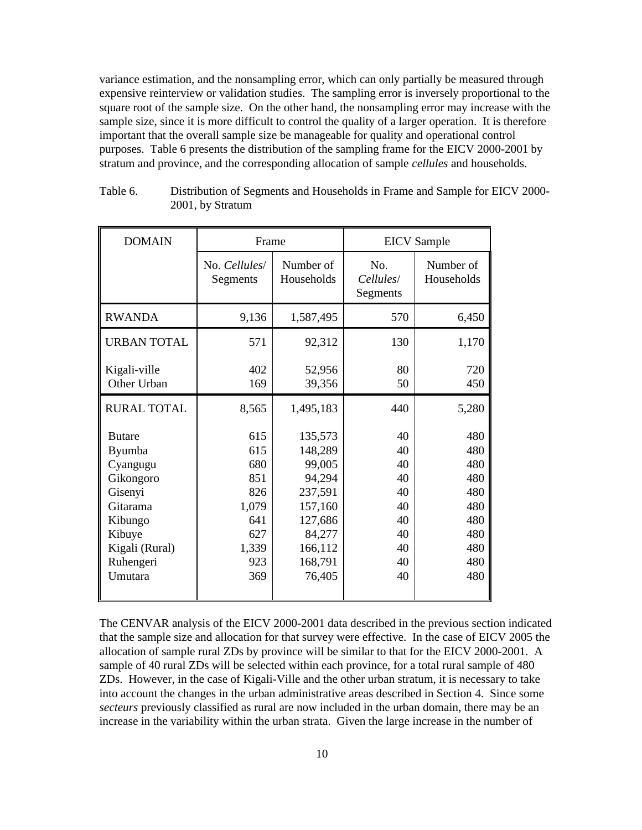variance estimation, and the nonsampling error, which can only partially be measured through expensive reinterview or validation studies. The sampling error is inversely proportional to the square root of the sample size. On the other hand, the nonsampling error may increase with the sample size, since it is more difficult to control the quality of a larger operation. It is therefore important that the overall sample size be manageable for quality and operational control purposes. Table 6 presents the distribution of the sampling frame for the EICV 2000-2001 by stratum and province, and the corresponding allocation of sample *cellules* and households.

| <b>DOMAIN</b>                                                                                                                                 | Frame                                                                         |                                                                                                                   | <b>EICV</b> Sample                                             |                                                                           |  |
|-----------------------------------------------------------------------------------------------------------------------------------------------|-------------------------------------------------------------------------------|-------------------------------------------------------------------------------------------------------------------|----------------------------------------------------------------|---------------------------------------------------------------------------|--|
|                                                                                                                                               | No. Cellules<br>Segments                                                      | Number of<br>Households                                                                                           | No.<br>Cellules/<br>Segments                                   | Number of<br>Households                                                   |  |
| <b>RWANDA</b>                                                                                                                                 | 9,136                                                                         | 1,587,495                                                                                                         | 570                                                            | 6,450                                                                     |  |
| <b>URBAN TOTAL</b>                                                                                                                            | 571                                                                           | 92,312                                                                                                            | 130                                                            | 1,170                                                                     |  |
| Kigali-ville<br>Other Urban                                                                                                                   | 402<br>169                                                                    | 52,956<br>39,356                                                                                                  | 80<br>50                                                       | 720<br>450                                                                |  |
| <b>RURAL TOTAL</b>                                                                                                                            | 8,565                                                                         | 1,495,183                                                                                                         | 440                                                            | 5,280                                                                     |  |
| <b>Butare</b><br><b>Byumba</b><br>Cyangugu<br>Gikongoro<br>Gisenyi<br>Gitarama<br>Kibungo<br>Kibuye<br>Kigali (Rural)<br>Ruhengeri<br>Umutara | 615<br>615<br>680<br>851<br>826<br>1,079<br>641<br>627<br>1,339<br>923<br>369 | 135,573<br>148,289<br>99,005<br>94,294<br>237,591<br>157,160<br>127,686<br>84,277<br>166,112<br>168,791<br>76,405 | 40<br>40<br>40<br>40<br>40<br>40<br>40<br>40<br>40<br>40<br>40 | 480<br>480<br>480<br>480<br>480<br>480<br>480<br>480<br>480<br>480<br>480 |  |

| Table 6. | Distribution of Segments and Households in Frame and Sample for EICV 2000- |
|----------|----------------------------------------------------------------------------|
|          | 2001, by Stratum                                                           |

The CENVAR analysis of the EICV 2000-2001 data described in the previous section indicated that the sample size and allocation for that survey were effective. In the case of EICV 2005 the allocation of sample rural ZDs by province will be similar to that for the EICV 2000-2001. A sample of 40 rural ZDs will be selected within each province, for a total rural sample of 480 ZDs. However, in the case of Kigali-Ville and the other urban stratum, it is necessary to take into account the changes in the urban administrative areas described in Section 4. Since some *secteurs* previously classified as rural are now included in the urban domain, there may be an increase in the variability within the urban strata. Given the large increase in the number of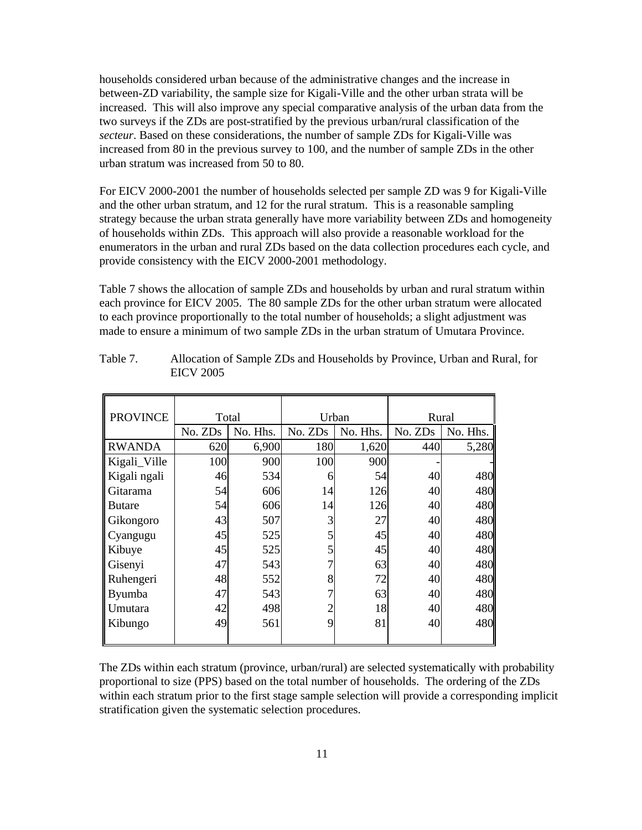households considered urban because of the administrative changes and the increase in between-ZD variability, the sample size for Kigali-Ville and the other urban strata will be increased. This will also improve any special comparative analysis of the urban data from the two surveys if the ZDs are post-stratified by the previous urban/rural classification of the *secteur*. Based on these considerations, the number of sample ZDs for Kigali-Ville was increased from 80 in the previous survey to 100, and the number of sample ZDs in the other urban stratum was increased from 50 to 80.

For EICV 2000-2001 the number of households selected per sample ZD was 9 for Kigali-Ville and the other urban stratum, and 12 for the rural stratum. This is a reasonable sampling strategy because the urban strata generally have more variability between ZDs and homogeneity of households within ZDs. This approach will also provide a reasonable workload for the enumerators in the urban and rural ZDs based on the data collection procedures each cycle, and provide consistency with the EICV 2000-2001 methodology.

Table 7 shows the allocation of sample ZDs and households by urban and rural stratum within each province for EICV 2005. The 80 sample ZDs for the other urban stratum were allocated to each province proportionally to the total number of households; a slight adjustment was made to ensure a minimum of two sample ZDs in the urban stratum of Umutara Province.

| <b>PROVINCE</b> |         | Total    | Urban          |          | Rural |          |  |
|-----------------|---------|----------|----------------|----------|-------|----------|--|
|                 | No. ZDs | No. Hhs. | No. ZDs        | No. Hhs. |       | No. Hhs. |  |
| <b>RWANDA</b>   | 620     | 6,900    | 180            | 1,620    | 440   | 5,280    |  |
| Kigali_Ville    | 100     | 900      | 100            | 900      |       |          |  |
| Kigali ngali    | 46      | 534      | 6              | 54       | 40    | 480      |  |
| Gitarama        | 54      | 606      | 14             | 126      | 40    | 480      |  |
| <b>Butare</b>   | 54      | 606      | 14             | 126      | 40    | 480      |  |
| Gikongoro       | 43      | 507      | 3              | 27       | 40    | 480      |  |
| Cyangugu        | 45      | 525      | 5              | 45       | 40    | 480      |  |
| Kibuye          | 45      | 525      | 5              | 45       | 40    | 480      |  |
| Gisenyi         | 47      | 543      |                | 63       | 40    | 480      |  |
| Ruhengeri       | 48      | 552      | 8              | 72       | 40    | 480      |  |
| Byumba          | 47      | 543      | 7              | 63       | 40    | 480      |  |
| Umutara         | 42      | 498      | $\overline{2}$ | 18       | 40    | 480      |  |
| Kibungo         | 49      | 561      | 9              | 81       | 40    | 480      |  |
|                 |         |          |                |          |       |          |  |

Table 7. Allocation of Sample ZDs and Households by Province, Urban and Rural, for EICV 2005

The ZDs within each stratum (province, urban/rural) are selected systematically with probability proportional to size (PPS) based on the total number of households. The ordering of the ZDs within each stratum prior to the first stage sample selection will provide a corresponding implicit stratification given the systematic selection procedures.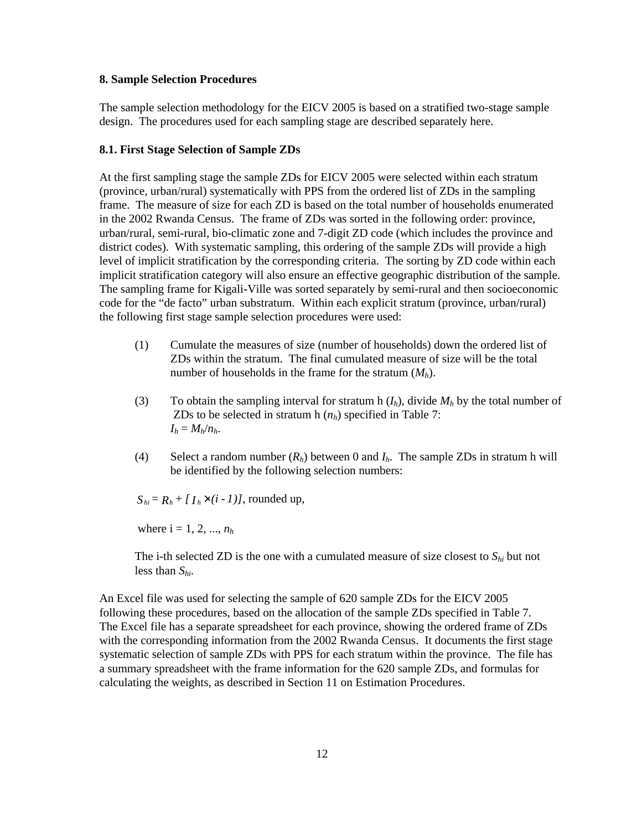#### **8. Sample Selection Procedures**

The sample selection methodology for the EICV 2005 is based on a stratified two-stage sample design. The procedures used for each sampling stage are described separately here.

#### **8.1. First Stage Selection of Sample ZDs**

At the first sampling stage the sample ZDs for EICV 2005 were selected within each stratum (province, urban/rural) systematically with PPS from the ordered list of ZDs in the sampling frame. The measure of size for each ZD is based on the total number of households enumerated in the 2002 Rwanda Census. The frame of ZDs was sorted in the following order: province, urban/rural, semi-rural, bio-climatic zone and 7-digit ZD code (which includes the province and district codes). With systematic sampling, this ordering of the sample ZDs will provide a high level of implicit stratification by the corresponding criteria. The sorting by ZD code within each implicit stratification category will also ensure an effective geographic distribution of the sample. The sampling frame for Kigali-Ville was sorted separately by semi-rural and then socioeconomic code for the "de facto" urban substratum. Within each explicit stratum (province, urban/rural) the following first stage sample selection procedures were used:

- (1) Cumulate the measures of size (number of households) down the ordered list of ZDs within the stratum. The final cumulated measure of size will be the total number of households in the frame for the stratum (*Mh*).
- (3) To obtain the sampling interval for stratum h  $(I_h)$ , divide  $M_h$  by the total number of ZDs to be selected in stratum h  $(n_h)$  specified in Table 7:  $I_h = M_h/n_h$ .
- (4) Select a random number  $(R_h)$  between 0 and  $I_h$ . The sample ZDs in stratum h will be identified by the following selection numbers:

 $S_{hi} = R_h + [I_h \times (i - 1)]$ , rounded up,

where  $i = 1, 2, ..., n_h$ 

The i-th selected ZD is the one with a cumulated measure of size closest to *Shi* but not less than *Shi*.

An Excel file was used for selecting the sample of 620 sample ZDs for the EICV 2005 following these procedures, based on the allocation of the sample ZDs specified in Table 7. The Excel file has a separate spreadsheet for each province, showing the ordered frame of ZDs with the corresponding information from the 2002 Rwanda Census. It documents the first stage systematic selection of sample ZDs with PPS for each stratum within the province. The file has a summary spreadsheet with the frame information for the 620 sample ZDs, and formulas for calculating the weights, as described in Section 11 on Estimation Procedures.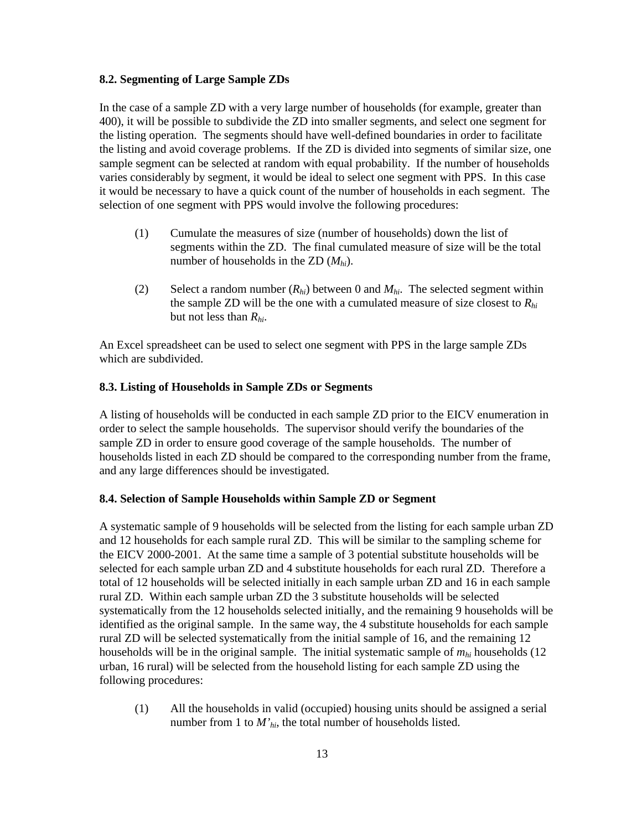#### **8.2. Segmenting of Large Sample ZDs**

In the case of a sample ZD with a very large number of households (for example, greater than 400), it will be possible to subdivide the ZD into smaller segments, and select one segment for the listing operation. The segments should have well-defined boundaries in order to facilitate the listing and avoid coverage problems. If the ZD is divided into segments of similar size, one sample segment can be selected at random with equal probability. If the number of households varies considerably by segment, it would be ideal to select one segment with PPS. In this case it would be necessary to have a quick count of the number of households in each segment. The selection of one segment with PPS would involve the following procedures:

- (1) Cumulate the measures of size (number of households) down the list of segments within the ZD. The final cumulated measure of size will be the total number of households in the ZD (*Mhi*).
- (2) Select a random number  $(R_{hi})$  between 0 and  $M_{hi}$ . The selected segment within the sample ZD will be the one with a cumulated measure of size closest to *Rhi* but not less than *Rhi*.

An Excel spreadsheet can be used to select one segment with PPS in the large sample ZDs which are subdivided.

#### **8.3. Listing of Households in Sample ZDs or Segments**

A listing of households will be conducted in each sample ZD prior to the EICV enumeration in order to select the sample households. The supervisor should verify the boundaries of the sample ZD in order to ensure good coverage of the sample households. The number of households listed in each ZD should be compared to the corresponding number from the frame, and any large differences should be investigated.

#### **8.4. Selection of Sample Households within Sample ZD or Segment**

A systematic sample of 9 households will be selected from the listing for each sample urban ZD and 12 households for each sample rural ZD. This will be similar to the sampling scheme for the EICV 2000-2001. At the same time a sample of 3 potential substitute households will be selected for each sample urban ZD and 4 substitute households for each rural ZD. Therefore a total of 12 households will be selected initially in each sample urban ZD and 16 in each sample rural ZD. Within each sample urban ZD the 3 substitute households will be selected systematically from the 12 households selected initially, and the remaining 9 households will be identified as the original sample. In the same way, the 4 substitute households for each sample rural ZD will be selected systematically from the initial sample of 16, and the remaining 12 households will be in the original sample. The initial systematic sample of *mhi* households (12 urban, 16 rural) will be selected from the household listing for each sample ZD using the following procedures:

(1) All the households in valid (occupied) housing units should be assigned a serial number from 1 to *M'hi*, the total number of households listed.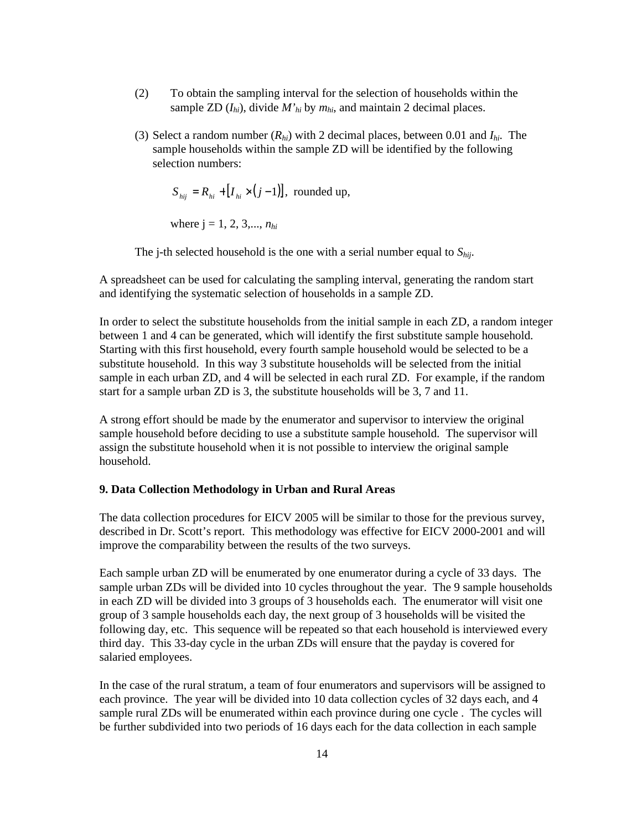- (2) To obtain the sampling interval for the selection of households within the sample ZD  $(I_{hi})$ , divide  $M'_{hi}$  by  $m_{hi}$ , and maintain 2 decimal places.
- (3) Select a random number (*Rhi*) with 2 decimal places, between 0.01 and *Ihi*. The sample households within the sample ZD will be identified by the following selection numbers:

$$
S_{hij} = R_{hi} + [I_{hi} \times (j-1)], \text{ rounded up},
$$

where  $j = 1, 2, 3, \ldots, n_{hi}$ 

The j-th selected household is the one with a serial number equal to *Shij*.

A spreadsheet can be used for calculating the sampling interval, generating the random start and identifying the systematic selection of households in a sample ZD.

In order to select the substitute households from the initial sample in each ZD, a random integer between 1 and 4 can be generated, which will identify the first substitute sample household. Starting with this first household, every fourth sample household would be selected to be a substitute household. In this way 3 substitute households will be selected from the initial sample in each urban ZD, and 4 will be selected in each rural ZD. For example, if the random start for a sample urban ZD is 3, the substitute households will be 3, 7 and 11.

A strong effort should be made by the enumerator and supervisor to interview the original sample household before deciding to use a substitute sample household. The supervisor will assign the substitute household when it is not possible to interview the original sample household.

#### **9. Data Collection Methodology in Urban and Rural Areas**

The data collection procedures for EICV 2005 will be similar to those for the previous survey, described in Dr. Scott's report. This methodology was effective for EICV 2000-2001 and will improve the comparability between the results of the two surveys.

Each sample urban ZD will be enumerated by one enumerator during a cycle of 33 days. The sample urban ZDs will be divided into 10 cycles throughout the year. The 9 sample households in each ZD will be divided into 3 groups of 3 households each. The enumerator will visit one group of 3 sample households each day, the next group of 3 households will be visited the following day, etc. This sequence will be repeated so that each household is interviewed every third day. This 33-day cycle in the urban ZDs will ensure that the payday is covered for salaried employees.

In the case of the rural stratum, a team of four enumerators and supervisors will be assigned to each province. The year will be divided into 10 data collection cycles of 32 days each, and 4 sample rural ZDs will be enumerated within each province during one cycle . The cycles will be further subdivided into two periods of 16 days each for the data collection in each sample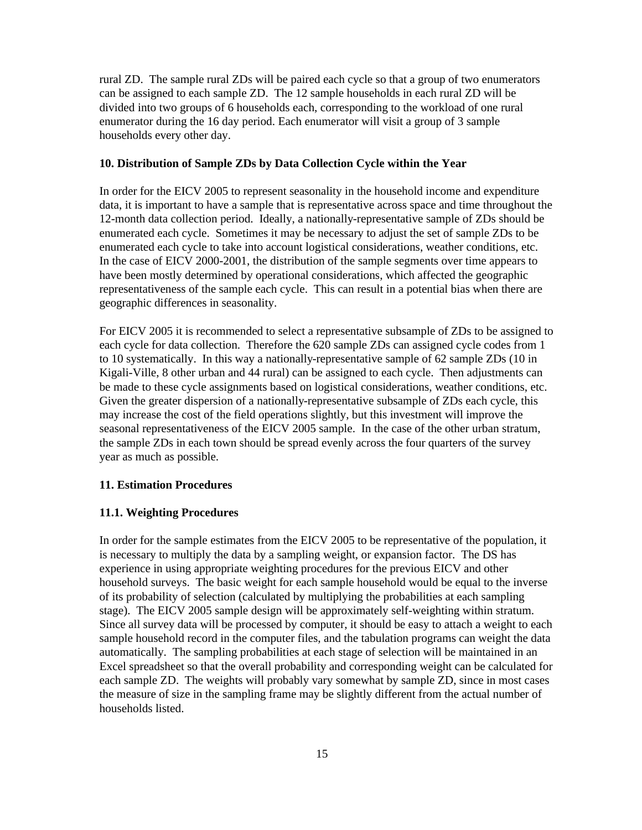rural ZD. The sample rural ZDs will be paired each cycle so that a group of two enumerators can be assigned to each sample ZD. The 12 sample households in each rural ZD will be divided into two groups of 6 households each, corresponding to the workload of one rural enumerator during the 16 day period. Each enumerator will visit a group of 3 sample households every other day.

#### **10. Distribution of Sample ZDs by Data Collection Cycle within the Year**

In order for the EICV 2005 to represent seasonality in the household income and expenditure data, it is important to have a sample that is representative across space and time throughout the 12-month data collection period. Ideally, a nationally-representative sample of ZDs should be enumerated each cycle. Sometimes it may be necessary to adjust the set of sample ZDs to be enumerated each cycle to take into account logistical considerations, weather conditions, etc. In the case of EICV 2000-2001, the distribution of the sample segments over time appears to have been mostly determined by operational considerations, which affected the geographic representativeness of the sample each cycle. This can result in a potential bias when there are geographic differences in seasonality.

For EICV 2005 it is recommended to select a representative subsample of ZDs to be assigned to each cycle for data collection. Therefore the 620 sample ZDs can assigned cycle codes from 1 to 10 systematically. In this way a nationally-representative sample of 62 sample ZDs (10 in Kigali-Ville, 8 other urban and 44 rural) can be assigned to each cycle. Then adjustments can be made to these cycle assignments based on logistical considerations, weather conditions, etc. Given the greater dispersion of a nationally-representative subsample of ZDs each cycle, this may increase the cost of the field operations slightly, but this investment will improve the seasonal representativeness of the EICV 2005 sample. In the case of the other urban stratum, the sample ZDs in each town should be spread evenly across the four quarters of the survey year as much as possible.

#### **11. Estimation Procedures**

#### **11.1. Weighting Procedures**

In order for the sample estimates from the EICV 2005 to be representative of the population, it is necessary to multiply the data by a sampling weight, or expansion factor. The DS has experience in using appropriate weighting procedures for the previous EICV and other household surveys. The basic weight for each sample household would be equal to the inverse of its probability of selection (calculated by multiplying the probabilities at each sampling stage). The EICV 2005 sample design will be approximately self-weighting within stratum. Since all survey data will be processed by computer, it should be easy to attach a weight to each sample household record in the computer files, and the tabulation programs can weight the data automatically. The sampling probabilities at each stage of selection will be maintained in an Excel spreadsheet so that the overall probability and corresponding weight can be calculated for each sample ZD. The weights will probably vary somewhat by sample ZD, since in most cases the measure of size in the sampling frame may be slightly different from the actual number of households listed.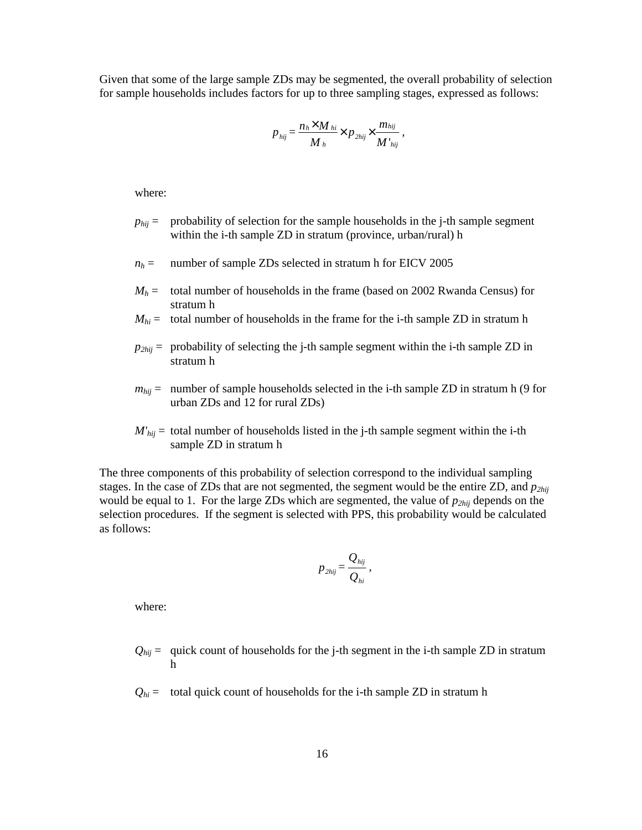Given that some of the large sample ZDs may be segmented, the overall probability of selection for sample households includes factors for up to three sampling stages, expressed as follows:

$$
p_{hij} = \frac{n_h \times M_{hi}}{M_h} \times p_{2hij} \times \frac{m_{hij}}{M'_{hij}},
$$

where:

- $p_{hi}$  = probability of selection for the sample households in the j-th sample segment within the i-th sample ZD in stratum (province, urban/rural) h
- $n_h$  = number of sample ZDs selected in stratum h for EICV 2005
- $M_h$  = total number of households in the frame (based on 2002 Rwanda Census) for stratum h
- $M_{hi}$  = total number of households in the frame for the i-th sample ZD in stratum h
- $p_{2hii}$  = probability of selecting the j-th sample segment within the i-th sample ZD in stratum h
- $m_{hij}$  = number of sample households selected in the i-th sample ZD in stratum h (9 for urban ZDs and 12 for rural ZDs)
- $M'_{hij}$  = total number of households listed in the j-th sample segment within the i-th sample ZD in stratum h

The three components of this probability of selection correspond to the individual sampling stages. In the case of ZDs that are not segmented, the segment would be the entire ZD, and *p2hij* would be equal to 1. For the large ZDs which are segmented, the value of *p2hij* depends on the selection procedures. If the segment is selected with PPS, this probability would be calculated as follows:

$$
p_{2hij} = \frac{Q_{hij}}{Q_{hi}},
$$

where:

- $Q_{hij}$  = quick count of households for the j-th segment in the i-th sample ZD in stratum h
- $Q_{hi}$  = total quick count of households for the i-th sample ZD in stratum h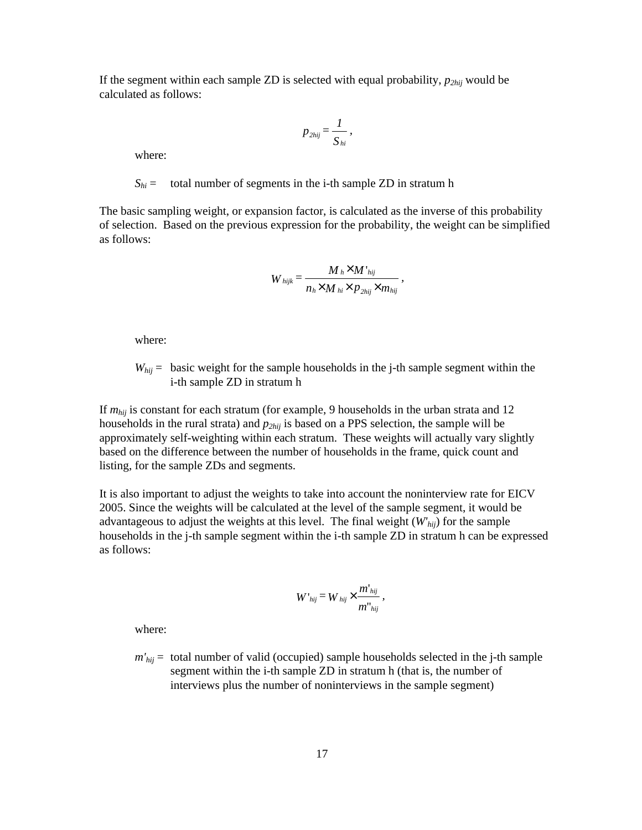If the segment within each sample ZD is selected with equal probability, *p2hij* would be calculated as follows:

$$
p_{2hij} = \frac{1}{S_{hi}},
$$

where:

 $S_{hi}$  = total number of segments in the i-th sample ZD in stratum h

The basic sampling weight, or expansion factor, is calculated as the inverse of this probability of selection. Based on the previous expression for the probability, the weight can be simplified as follows:

$$
W_{hijk} = \frac{M_h \times M'_{hij}}{n_h \times M_{hi} \times p_{2hij} \times m_{hij}},
$$

where:

 $W_{hij}$  = basic weight for the sample households in the j-th sample segment within the i-th sample ZD in stratum h

If *mhij* is constant for each stratum (for example, 9 households in the urban strata and 12 households in the rural strata) and *p2hij* is based on a PPS selection, the sample will be approximately self-weighting within each stratum. These weights will actually vary slightly based on the difference between the number of households in the frame, quick count and listing, for the sample ZDs and segments.

It is also important to adjust the weights to take into account the noninterview rate for EICV 2005. Since the weights will be calculated at the level of the sample segment, it would be advantageous to adjust the weights at this level. The final weight (*W'hij*) for the sample households in the j-th sample segment within the i-th sample ZD in stratum h can be expressed as follows:

$$
W`_{hij} \equiv W_{hij} \times \frac{m`_{hij}}{m`_{hij}}\,,
$$

where:

*m'hij* = total number of valid (occupied) sample households selected in the j-th sample segment within the i-th sample ZD in stratum h (that is, the number of interviews plus the number of noninterviews in the sample segment)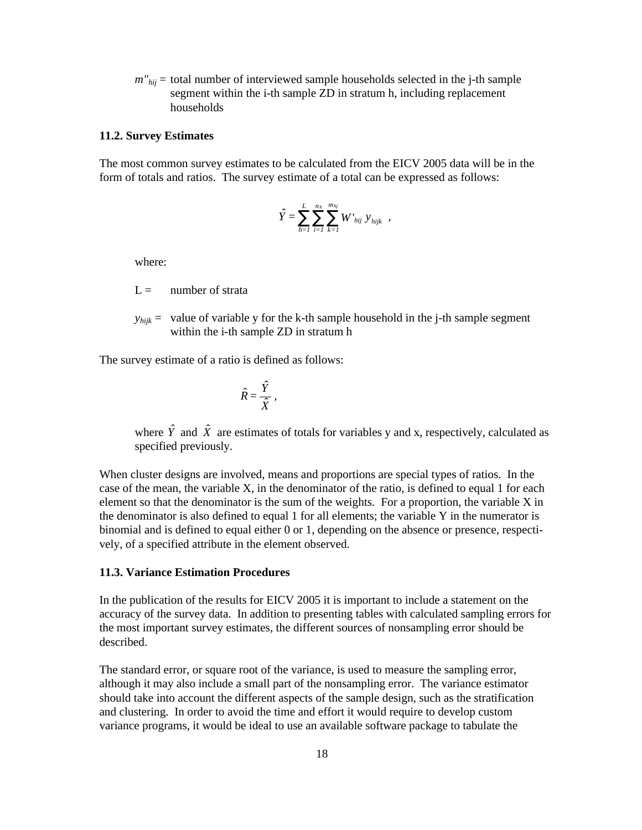$m''_{hi}$  = total number of interviewed sample households selected in the j-th sample segment within the i-th sample ZD in stratum h, including replacement households

#### **11.2. Survey Estimates**

The most common survey estimates to be calculated from the EICV 2005 data will be in the form of totals and ratios. The survey estimate of a total can be expressed as follows:

$$
\hat{Y} = \sum_{h=1}^{L} \sum_{i=1}^{n_h} \sum_{k=1}^{m_{hj}} W^{\dagger}_{hij} y^{\dagger}_{hijk} ,
$$

where:

- $L =$  number of strata
- $y_{hijk}$  = value of variable y for the k-th sample household in the j-th sample segment within the i-th sample ZD in stratum h

The survey estimate of a ratio is defined as follows:

$$
\hat{R} = \frac{\hat{Y}}{\hat{X}},
$$

where  $\hat{Y}$  and  $\hat{X}$  are estimates of totals for variables y and x, respectively, calculated as specified previously.

When cluster designs are involved, means and proportions are special types of ratios. In the case of the mean, the variable X, in the denominator of the ratio, is defined to equal 1 for each element so that the denominator is the sum of the weights. For a proportion, the variable X in the denominator is also defined to equal 1 for all elements; the variable Y in the numerator is binomial and is defined to equal either 0 or 1, depending on the absence or presence, respectively, of a specified attribute in the element observed.

#### **11.3. Variance Estimation Procedures**

In the publication of the results for EICV 2005 it is important to include a statement on the accuracy of the survey data. In addition to presenting tables with calculated sampling errors for the most important survey estimates, the different sources of nonsampling error should be described.

The standard error, or square root of the variance, is used to measure the sampling error, although it may also include a small part of the nonsampling error. The variance estimator should take into account the different aspects of the sample design, such as the stratification and clustering. In order to avoid the time and effort it would require to develop custom variance programs, it would be ideal to use an available software package to tabulate the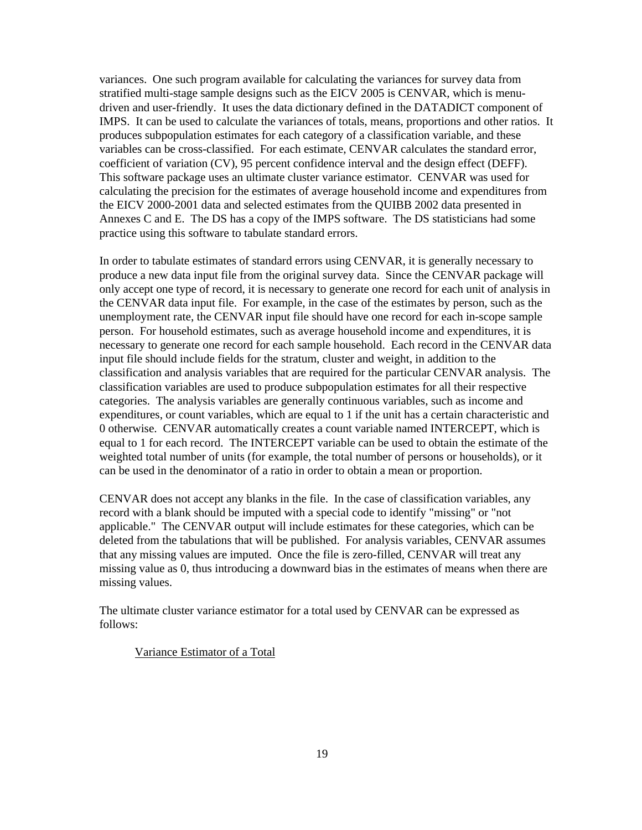variances. One such program available for calculating the variances for survey data from stratified multi-stage sample designs such as the EICV 2005 is CENVAR, which is menudriven and user-friendly. It uses the data dictionary defined in the DATADICT component of IMPS. It can be used to calculate the variances of totals, means, proportions and other ratios. It produces subpopulation estimates for each category of a classification variable, and these variables can be cross-classified. For each estimate, CENVAR calculates the standard error, coefficient of variation (CV), 95 percent confidence interval and the design effect (DEFF). This software package uses an ultimate cluster variance estimator. CENVAR was used for calculating the precision for the estimates of average household income and expenditures from the EICV 2000-2001 data and selected estimates from the QUIBB 2002 data presented in Annexes C and E. The DS has a copy of the IMPS software. The DS statisticians had some practice using this software to tabulate standard errors.

In order to tabulate estimates of standard errors using CENVAR, it is generally necessary to produce a new data input file from the original survey data. Since the CENVAR package will only accept one type of record, it is necessary to generate one record for each unit of analysis in the CENVAR data input file. For example, in the case of the estimates by person, such as the unemployment rate, the CENVAR input file should have one record for each in-scope sample person. For household estimates, such as average household income and expenditures, it is necessary to generate one record for each sample household. Each record in the CENVAR data input file should include fields for the stratum, cluster and weight, in addition to the classification and analysis variables that are required for the particular CENVAR analysis. The classification variables are used to produce subpopulation estimates for all their respective categories. The analysis variables are generally continuous variables, such as income and expenditures, or count variables, which are equal to 1 if the unit has a certain characteristic and 0 otherwise. CENVAR automatically creates a count variable named INTERCEPT, which is equal to 1 for each record. The INTERCEPT variable can be used to obtain the estimate of the weighted total number of units (for example, the total number of persons or households), or it can be used in the denominator of a ratio in order to obtain a mean or proportion.

CENVAR does not accept any blanks in the file. In the case of classification variables, any record with a blank should be imputed with a special code to identify "missing" or "not applicable." The CENVAR output will include estimates for these categories, which can be deleted from the tabulations that will be published. For analysis variables, CENVAR assumes that any missing values are imputed. Once the file is zero-filled, CENVAR will treat any missing value as 0, thus introducing a downward bias in the estimates of means when there are missing values.

The ultimate cluster variance estimator for a total used by CENVAR can be expressed as follows:

Variance Estimator of a Total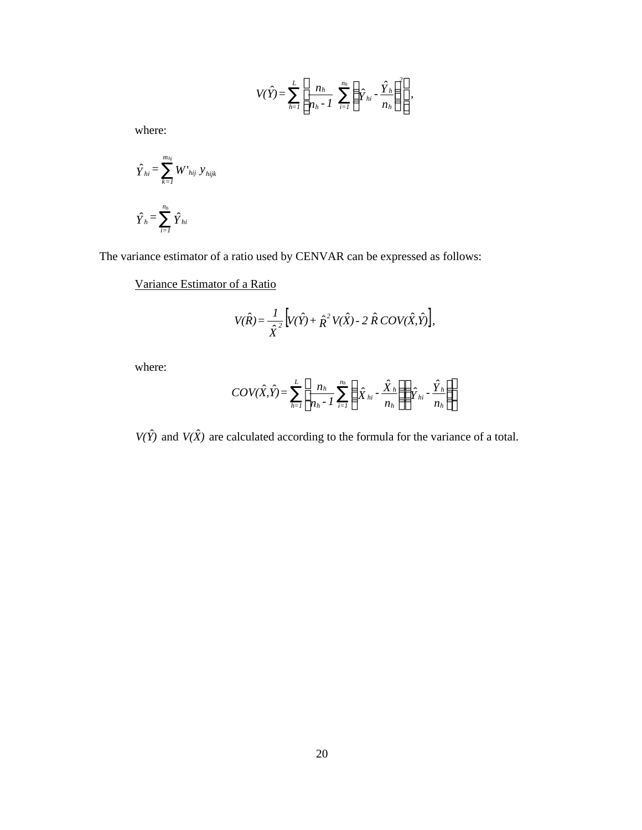$$
V(\hat{Y}) = \sum_{h=1}^{L} \left[ \frac{n_h}{n_h - 1} \sum_{i=1}^{n_h} \left( \hat{Y}_{hi} - \frac{\hat{Y}_h}{n_h} \right)^2 \right],
$$

where:

$$
\hat{Y}_{hi} = \sum_{k=1}^{m_{hj}} W'_{hij} y_{hijk}
$$
  

$$
\hat{Y}_h = \sum_{i=1}^{n_h} \hat{Y}_{hi}
$$

The variance estimator of a ratio used by CENVAR can be expressed as follows:

Variance Estimator of a Ratio

$$
V(\hat{R}) = \frac{1}{\hat{X}^2} \Big[ V(\hat{Y}) + \hat{R}^2 V(\hat{X}) - 2 \hat{R} \, COV(\hat{X}, \hat{Y}) \Big],
$$

where:

$$
COV(\hat{X}, \hat{Y}) = \sum_{h=1}^{L} \left[ \frac{n_h}{n_h - 1} \sum_{i=1}^{n_h} \left( \hat{X}_{hi} - \frac{\hat{X}_h}{n_h} \right) \left( \hat{Y}_{hi} - \frac{\hat{Y}_h}{n_h} \right) \right]
$$

 $V(\hat{Y})$  and  $V(\hat{X})$  are calculated according to the formula for the variance of a total.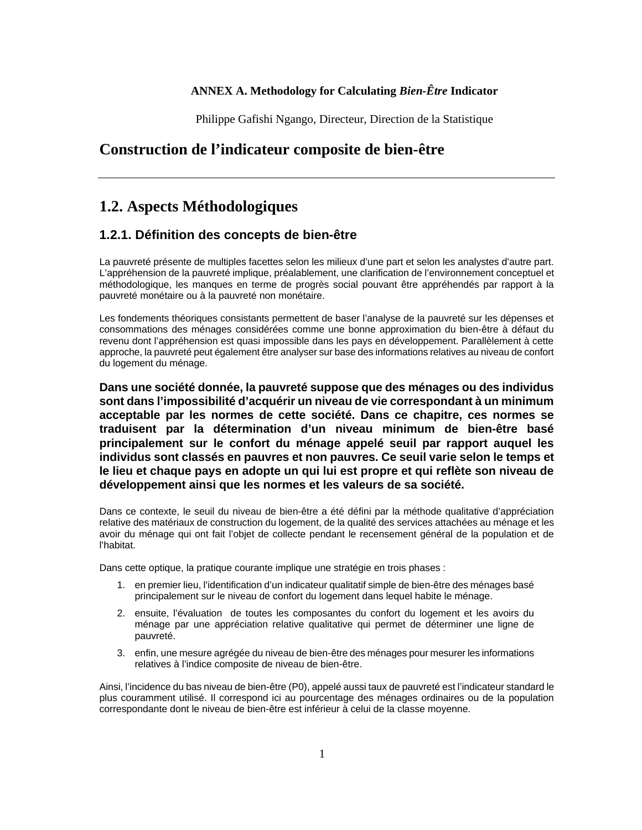#### **ANNEX A. Methodology for Calculating** *Bien-Être* **Indicator**

Philippe Gafishi Ngango, Directeur, Direction de la Statistique

# **Construction de l'indicateur composite de bien-être**

# **1.2. Aspects Méthodologiques**

### **1.2.1. Définition des concepts de bien-être**

La pauvreté présente de multiples facettes selon les milieux d'une part et selon les analystes d'autre part. L'appréhension de la pauvreté implique, préalablement, une clarification de l'environnement conceptuel et méthodologique, les manques en terme de progrès social pouvant être appréhendés par rapport à la pauvreté monétaire ou à la pauvreté non monétaire.

Les fondements théoriques consistants permettent de baser l'analyse de la pauvreté sur les dépenses et consommations des ménages considérées comme une bonne approximation du bien-être à défaut du revenu dont l'appréhension est quasi impossible dans les pays en développement. Parallèlement à cette approche, la pauvreté peut également être analyser sur base des informations relatives au niveau de confort du logement du ménage.

**Dans une société donnée, la pauvreté suppose que des ménages ou des individus sont dans l'impossibilité d'acquérir un niveau de vie correspondant à un minimum acceptable par les normes de cette société. Dans ce chapitre, ces normes se traduisent par la détermination d'un niveau minimum de bien-être basé principalement sur le confort du ménage appelé seuil par rapport auquel les individus sont classés en pauvres et non pauvres. Ce seuil varie selon le temps et le lieu et chaque pays en adopte un qui lui est propre et qui reflète son niveau de développement ainsi que les normes et les valeurs de sa société.**

Dans ce contexte, le seuil du niveau de bien-être a été défini par la méthode qualitative d'appréciation relative des matériaux de construction du logement, de la qualité des services attachées au ménage et les avoir du ménage qui ont fait l'objet de collecte pendant le recensement général de la population et de l'habitat.

Dans cette optique, la pratique courante implique une stratégie en trois phases :

- 1. en premier lieu, l'identification d'un indicateur qualitatif simple de bien-être des ménages basé principalement sur le niveau de confort du logement dans lequel habite le ménage.
- 2. ensuite, l'évaluation de toutes les composantes du confort du logement et les avoirs du ménage par une appréciation relative qualitative qui permet de déterminer une ligne de pauvreté.
- 3. enfin, une mesure agrégée du niveau de bien-être des ménages pour mesurer les informations relatives à l'indice composite de niveau de bien-être.

Ainsi, l'incidence du bas niveau de bien-être (P0), appelé aussi taux de pauvreté est l'indicateur standard le plus couramment utilisé. Il correspond ici au pourcentage des ménages ordinaires ou de la population correspondante dont le niveau de bien-être est inférieur à celui de la classe moyenne.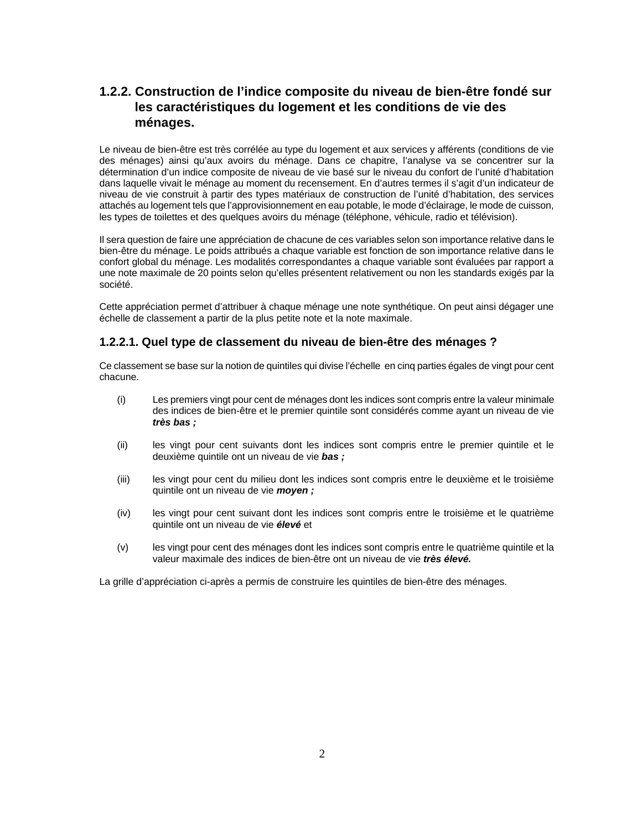# **1.2.2. Construction de l'indice composite du niveau de bien-être fondé sur les caractéristiques du logement et les conditions de vie des ménages.**

Le niveau de bien-être est très corrélée au type du logement et aux services y afférents (conditions de vie des ménages) ainsi qu'aux avoirs du ménage. Dans ce chapitre, l'analyse va se concentrer sur la détermination d'un indice composite de niveau de vie basé sur le niveau du confort de l'unité d'habitation dans laquelle vivait le ménage au moment du recensement. En d'autres termes il s'agit d'un indicateur de niveau de vie construit à partir des types matériaux de construction de l'unité d'habitation, des services attachés au logement tels que l'approvisionnement en eau potable, le mode d'éclairage, le mode de cuisson, les types de toilettes et des quelques avoirs du ménage (téléphone, véhicule, radio et télévision).

Il sera question de faire une appréciation de chacune de ces variables selon son importance relative dans le bien-être du ménage. Le poids attribués a chaque variable est fonction de son importance relative dans le confort global du ménage. Les modalités correspondantes a chaque variable sont évaluées par rapport a une note maximale de 20 points selon qu'elles présentent relativement ou non les standards exigés par la société.

Cette appréciation permet d'attribuer à chaque ménage une note synthétique. On peut ainsi dégager une échelle de classement a partir de la plus petite note et la note maximale.

#### **1.2.2.1. Quel type de classement du niveau de bien-être des ménages ?**

Ce classement se base sur la notion de quintiles qui divise l'échelle en cinq parties égales de vingt pour cent chacune.

- (i) Les premiers vingt pour cent de ménages dont les indices sont compris entre la valeur minimale des indices de bien-être et le premier quintile sont considérés comme ayant un niveau de vie *très bas ;*
- (ii) les vingt pour cent suivants dont les indices sont compris entre le premier quintile et le deuxième quintile ont un niveau de vie *bas ;*
- (iii) les vingt pour cent du milieu dont les indices sont compris entre le deuxième et le troisième quintile ont un niveau de vie *moyen ;*
- (iv) les vingt pour cent suivant dont les indices sont compris entre le troisième et le quatrième quintile ont un niveau de vie *élevé* et
- (v) les vingt pour cent des ménages dont les indices sont compris entre le quatrième quintile et la valeur maximale des indices de bien-être ont un niveau de vie *très élevé.*

La grille d'appréciation ci-après a permis de construire les quintiles de bien-être des ménages.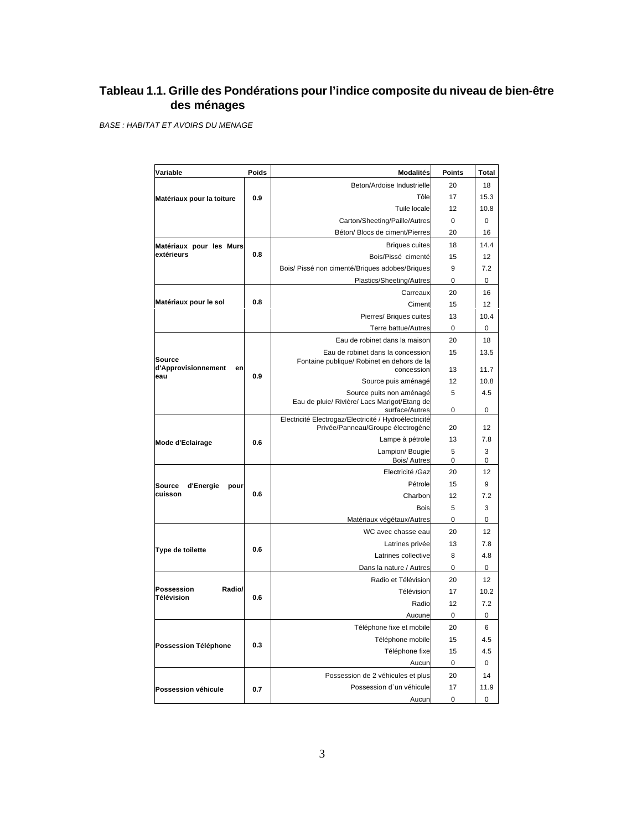# **Tableau 1.1. Grille des Pondérations pour l'indice composite du niveau de bien-être des ménages**

*BASE : HABITAT ET AVOIRS DU MENAGE*

| Variable                                  | Poids | <b>Modalités</b>                                                                | Points      | Total       |
|-------------------------------------------|-------|---------------------------------------------------------------------------------|-------------|-------------|
|                                           |       | Beton/Ardoise Industrielle                                                      | 20          | 18          |
| Matériaux pour la toiture                 | 0.9   | Tôle                                                                            | 17          | 15.3        |
|                                           |       | Tuile locale                                                                    | 12          | 10.8        |
|                                           |       | Carton/Sheeting/Paille/Autres                                                   | $\mathbf 0$ | $\mathbf 0$ |
|                                           |       | Béton/ Blocs de ciment/Pierres                                                  | 20          | 16          |
| Matériaux pour les Murs                   |       | <b>Briques cuites</b>                                                           | 18          | 14.4        |
| extérieurs                                | 0.8   | Bois/Pissé cimenté                                                              | 15          | 12          |
|                                           |       | Bois/ Pissé non cimenté/Briques adobes/Briques                                  | 9           | 7.2         |
|                                           |       | Plastics/Sheeting/Autres                                                        | 0           | 0           |
|                                           |       | Carreaux                                                                        | 20          | 16          |
| Matériaux pour le sol                     | 0.8   | Ciment                                                                          | 15          | 12          |
|                                           |       | Pierres/ Briques cuites                                                         | 13          | 10.4        |
|                                           |       | Terre battue/Autres                                                             | $\pmb{0}$   | 0           |
|                                           |       | Eau de robinet dans la maison                                                   | 20          | 18          |
| Source                                    |       | Eau de robinet dans la concession<br>Fontaine publique/ Robinet en dehors de la | 15          | 13.5        |
| d'Approvisionnement<br>en                 |       | concession                                                                      | 13          | 11.7        |
| eau                                       | 0.9   | Source puis aménagé                                                             | 12          | 10.8        |
|                                           |       | Source puits non aménagé                                                        | 5           | 4.5         |
|                                           |       | Eau de pluie/ Rivière/ Lacs Marigot/Etang de<br>surface/Autres                  | 0           | 0           |
|                                           |       | Electricité Electrogaz/Electricité / Hydroélectricité                           |             |             |
|                                           |       | Privée/Panneau/Groupe électrogène                                               | 20          | 12          |
| Mode d'Eclairage                          | 0.6   | Lampe à pétrole                                                                 | 13          | 7.8         |
|                                           |       | Lampion/Bougie<br><b>Bois/Autres</b>                                            | 5<br>0      | 3<br>0      |
|                                           |       | Electricité /Gaz                                                                | 20          | 12          |
| Source<br>d'Energie<br>pour               |       | Pétrole                                                                         | 15          | 9           |
| cuisson                                   | 0.6   | Charbon                                                                         | 12          | 7.2         |
|                                           |       | <b>Bois</b>                                                                     | 5           | 3           |
|                                           |       | Matériaux végétaux/Autres                                                       | 0           | $\mathbf 0$ |
|                                           |       | WC avec chasse eau                                                              | 20          | 12          |
|                                           | 0.6   | Latrines privée                                                                 | 13          | 7.8         |
| Type de toilette                          |       | Latrines collective                                                             | 8           | 4.8         |
|                                           |       | Dans la nature / Autres                                                         | 0           | 0           |
|                                           |       | Radio et Télévision                                                             | 20          | 12          |
| <b>Possession</b><br>Radio/<br>Télévision | 0.6   | Télévision                                                                      | 17          | 10.2        |
|                                           |       | Radio                                                                           | 12          | 7.2         |
|                                           |       | Aucune                                                                          | $\mathbf 0$ | $\mathbf 0$ |
|                                           |       | Téléphone fixe et mobile                                                        | 20          | 6           |
| Possession Téléphone                      | 0.3   | Téléphone mobile                                                                | 15          | 4.5         |
|                                           |       | Téléphone fixe                                                                  | 15          | 4.5         |
|                                           |       | Aucun                                                                           | 0           | $\mathbf 0$ |
|                                           |       | Possession de 2 véhicules et plus                                               | 20          | 14          |
| Possession véhicule                       | 0.7   | Possession d'un véhicule                                                        | 17          | 11.9        |
|                                           |       | Aucun                                                                           | $\mathbf 0$ | $\mathbf 0$ |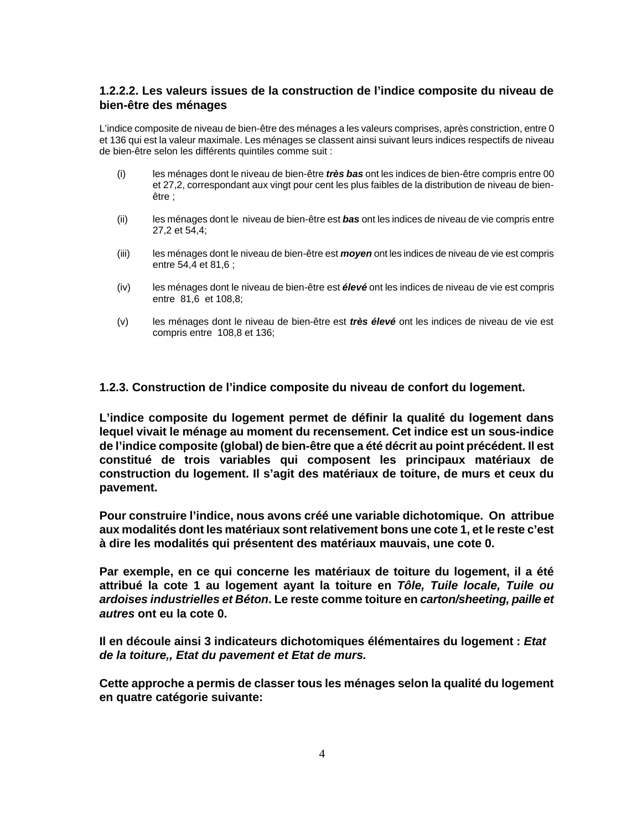#### **1.2.2.2. Les valeurs issues de la construction de l'indice composite du niveau de bien-être des ménages**

L'indice composite de niveau de bien-être des ménages a les valeurs comprises, après constriction, entre 0 et 136 qui est la valeur maximale. Les ménages se classent ainsi suivant leurs indices respectifs de niveau de bien-être selon les différents quintiles comme suit :

- (i) les ménages dont le niveau de bien-être *très bas* ont les indices de bien-être compris entre 00 et 27,2, correspondant aux vingt pour cent les plus faibles de la distribution de niveau de bienêtre ;
- (ii) les ménages dont le niveau de bien-être est *bas* ont les indices de niveau de vie compris entre 27,2 et 54,4;
- (iii) les ménages dont le niveau de bien-être est *moyen* ont les indices de niveau de vie est compris entre 54,4 et 81,6 ;
- (iv) les ménages dont le niveau de bien-être est *élevé* ont les indices de niveau de vie est compris entre 81,6 et 108,8;
- (v) les ménages dont le niveau de bien-être est *très élevé* ont les indices de niveau de vie est compris entre 108,8 et 136;

#### **1.2.3. Construction de l'indice composite du niveau de confort du logement.**

**L'indice composite du logement permet de définir la qualité du logement dans lequel vivait le ménage au moment du recensement. Cet indice est un sous-indice de l'indice composite (global) de bien-être que a été décrit au point précédent. Il est constitué de trois variables qui composent les principaux matériaux de construction du logement. Il s'agit des matériaux de toiture, de murs et ceux du pavement.** 

**Pour construire l'indice, nous avons créé une variable dichotomique. On attribue aux modalités dont les matériaux sont relativement bons une cote 1, et le reste c'est à dire les modalités qui présentent des matériaux mauvais, une cote 0.** 

**Par exemple, en ce qui concerne les matériaux de toiture du logement, il a été attribué la cote 1 au logement ayant la toiture en** *Tôle, Tuile locale, Tuile ou ardoises industrielles et Béton***. Le reste comme toiture en** *carton/sheeting, paille et autres* **ont eu la cote 0.** 

**Il en découle ainsi 3 indicateurs dichotomiques élémentaires du logement :** *Etat de la toiture,, Etat du pavement et Etat de murs.*

**Cette approche a permis de classer tous les ménages selon la qualité du logement en quatre catégorie suivante:**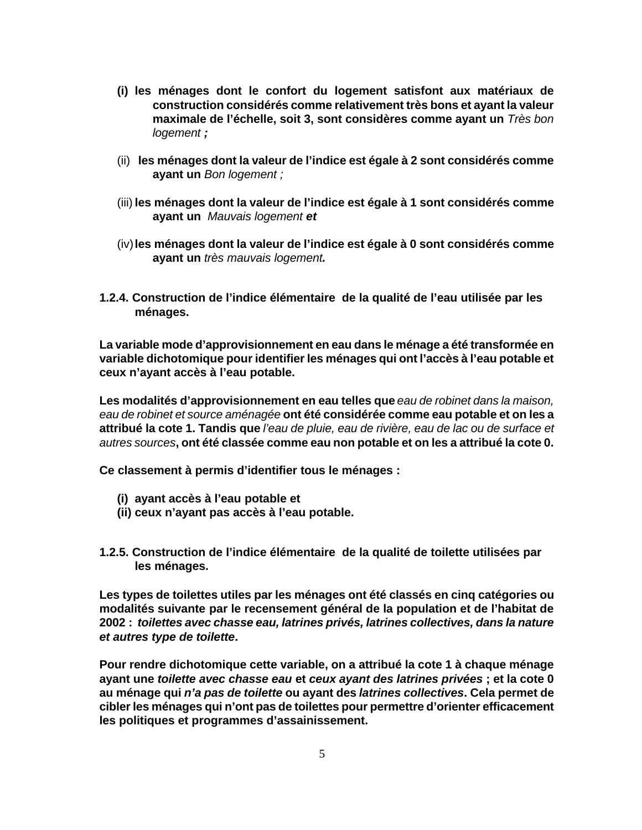- **(i) les ménages dont le confort du logement satisfont aux matériaux de construction considérés comme relativement très bons et ayant la valeur maximale de l'échelle, soit 3, sont considères comme ayant un** *Très bon logement ;*
- (ii) **les ménages dont la valeur de l'indice est égale à 2 sont considérés comme ayant un** *Bon logement ;*
- (iii) **les ménages dont la valeur de l'indice est égale à 1 sont considérés comme ayant un** *Mauvais logement et*
- (iv)**les ménages dont la valeur de l'indice est égale à 0 sont considérés comme ayant un** *très mauvais logement.*
- **1.2.4. Construction de l'indice élémentaire de la qualité de l'eau utilisée par les ménages.**

**La variable mode d'approvisionnement en eau dans le ménage a été transformée en variable dichotomique pour identifier les ménages qui ont l'accès à l'eau potable et ceux n'ayant accès à l'eau potable.**

**Les modalités d'approvisionnement en eau telles que** *eau de robinet dans la maison, eau de robinet et source aménagée* **ont été considérée comme eau potable et on les a attribué la cote 1. Tandis que** *l'eau de pluie, eau de rivière, eau de lac ou de surface et autres sources***, ont été classée comme eau non potable et on les a attribué la cote 0.**

**Ce classement à permis d'identifier tous le ménages :**

- **(i) ayant accès à l'eau potable et**
- **(ii) ceux n'ayant pas accès à l'eau potable.**
- **1.2.5. Construction de l'indice élémentaire de la qualité de toilette utilisées par les ménages.**

**Les types de toilettes utiles par les ménages ont été classés en cinq catégories ou modalités suivante par le recensement général de la population et de l'habitat de 2002 :** *toilettes avec chasse eau, latrines privés, latrines collectives, dans la nature et autres type de toilette***.** 

**Pour rendre dichotomique cette variable, on a attribué la cote 1 à chaque ménage ayant une** *toilette avec chasse eau* **et** *ceux ayant des latrines privées* **; et la cote 0 au ménage qui** *n'a pas de toilette* **ou ayant des** *latrines collectives***. Cela permet de cibler les ménages qui n'ont pas de toilettes pour permettre d'orienter efficacement les politiques et programmes d'assainissement.**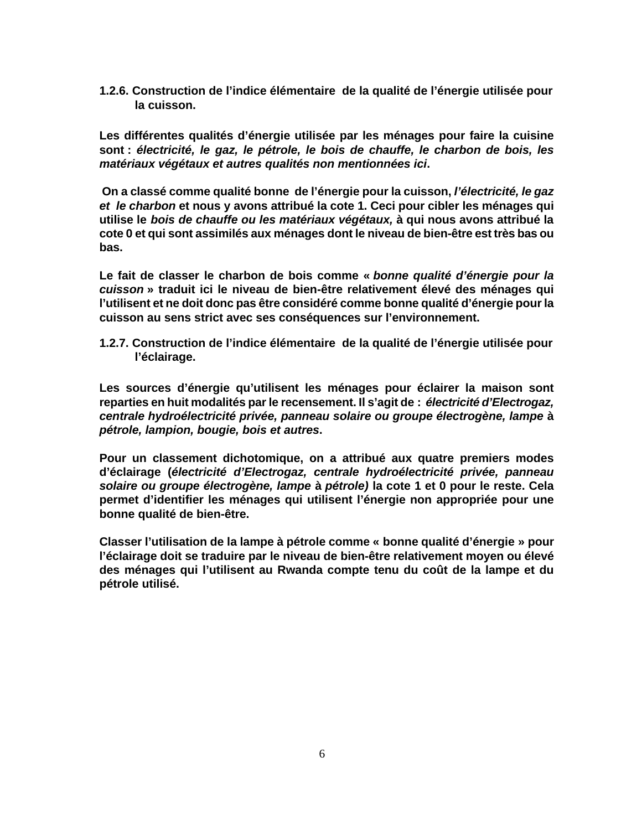**1.2.6. Construction de l'indice élémentaire de la qualité de l'énergie utilisée pour la cuisson.**

**Les différentes qualités d'énergie utilisée par les ménages pour faire la cuisine sont :** *électricité, le gaz, le pétrole, le bois de chauffe, le charbon de bois, les matériaux végétaux et autres qualités non mentionnées ici***.**

 **On a classé comme qualité bonne de l'énergie pour la cuisson,** *l'électricité, le gaz et le charbon* **et nous y avons attribué la cote 1. Ceci pour cibler les ménages qui utilise le** *bois de chauffe ou les matériaux végétaux,* **à qui nous avons attribué la cote 0 et qui sont assimilés aux ménages dont le niveau de bien-être est très bas ou bas.**

**Le fait de classer le charbon de bois comme «** *bonne qualité d'énergie pour la cuisson* **» traduit ici le niveau de bien-être relativement élevé des ménages qui l'utilisent et ne doit donc pas être considéré comme bonne qualité d'énergie pour la cuisson au sens strict avec ses conséquences sur l'environnement.**

**1.2.7. Construction de l'indice élémentaire de la qualité de l'énergie utilisée pour l'éclairage.**

**Les sources d'énergie qu'utilisent les ménages pour éclairer la maison sont reparties en huit modalités par le recensement. Il s'agit de :** *électricité d'Electrogaz, centrale hydroélectricité privée, panneau solaire ou groupe électrogène, lampe* **à** *pétrole, lampion, bougie, bois et autres***.**

**Pour un classement dichotomique, on a attribué aux quatre premiers modes d'éclairage (***électricité d'Electrogaz, centrale hydroélectricité privée, panneau solaire ou groupe électrogène, lampe* **à** *pétrole)* **la cote 1 et 0 pour le reste. Cela permet d'identifier les ménages qui utilisent l'énergie non appropriée pour une bonne qualité de bien-être.**

**Classer l'utilisation de la lampe à pétrole comme « bonne qualité d'énergie » pour l'éclairage doit se traduire par le niveau de bien-être relativement moyen ou élevé des ménages qui l'utilisent au Rwanda compte tenu du coût de la lampe et du pétrole utilisé.**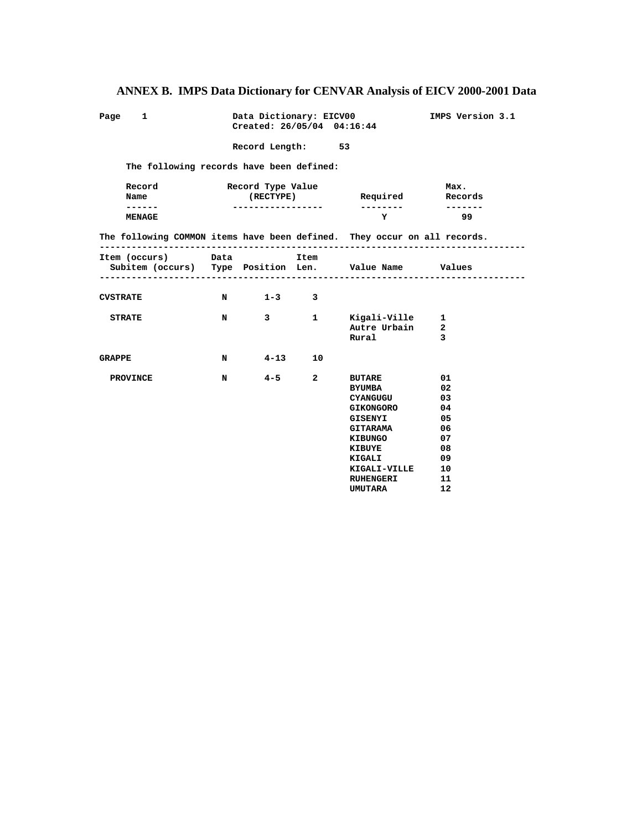| Page 1                                                                                | Data Dictionary: EICV00<br>IMPS Version 3.1<br>Created: 26/05/04 04:16:44 |                                |  |                                                                                                                                                                                                                                     |                                                      |  |  |  |  |
|---------------------------------------------------------------------------------------|---------------------------------------------------------------------------|--------------------------------|--|-------------------------------------------------------------------------------------------------------------------------------------------------------------------------------------------------------------------------------------|------------------------------------------------------|--|--|--|--|
| Record Length: 53                                                                     |                                                                           |                                |  |                                                                                                                                                                                                                                     |                                                      |  |  |  |  |
| The following records have been defined:                                              |                                                                           |                                |  |                                                                                                                                                                                                                                     |                                                      |  |  |  |  |
| Record<br>Name                                                                        |                                                                           | Record Type Value<br>(RECTYPE) |  | Required                                                                                                                                                                                                                            | Max.<br>Records                                      |  |  |  |  |
| ------<br>MENAGE                                                                      |                                                                           |                                |  | <b>Y</b> and the set of the set of the set of the set of the set of the set of the set of the set of the set of the set of the set of the set of the set of the set of the set of the set of the set of the set of the set of the s | $- - - - - - -$<br>99                                |  |  |  |  |
| The following COMMON items have been defined. They occur on all records.              |                                                                           |                                |  |                                                                                                                                                                                                                                     |                                                      |  |  |  |  |
| Item (occurs) Data Data Item<br>Subitem (occurs) Type Position Len. Value Name Values |                                                                           | --------------------------     |  |                                                                                                                                                                                                                                     |                                                      |  |  |  |  |
| CVSTRATE                                                                              |                                                                           | N 1-3 3                        |  |                                                                                                                                                                                                                                     |                                                      |  |  |  |  |
| <b>STRATE</b>                                                                         | N                                                                         |                                |  | 3 1 Kigali-Ville 1<br>Autre Urbain<br>Rural                                                                                                                                                                                         | $\overline{\mathbf{2}}$<br>$\overline{\mathbf{3}}$   |  |  |  |  |
| GRAPPE                                                                                |                                                                           | N 4-13 10                      |  |                                                                                                                                                                                                                                     |                                                      |  |  |  |  |
| PROVINCE                                                                              | N                                                                         | $4 - 5$ 2                      |  | BUTARE 01<br><b>BYUMBA</b><br><b>CYANGUGU</b><br><b>GIKONGORO</b><br>GISENYI<br><b>GITARAMA</b><br>KIBUNGO<br>KIBUYE<br>KIGALI<br>KIGALI-VILLE 10<br>RUHENGERI                                                                      | 02<br>03<br>04<br>05<br>06<br>07<br>08<br>- 09<br>11 |  |  |  |  |

**12** International Contract of the UMUTARA 12

# **ANNEX B. IMPS Data Dictionary for CENVAR Analysis of EICV 2000-2001 Data**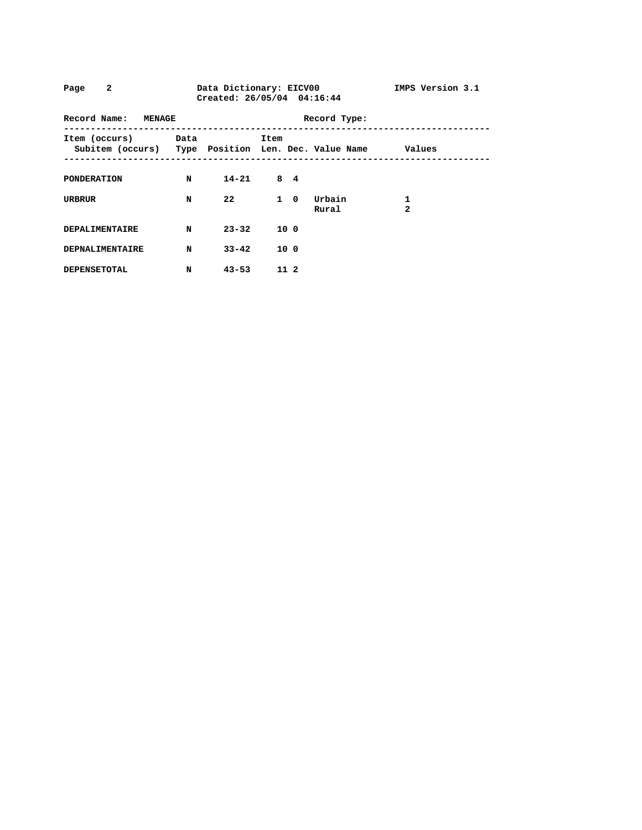| $\overline{a}$<br>Data Dictionary: EICV00<br>Page<br>Created: 26/05/04 04:16:44  |   |               |                 |              |                 | IMPS Version 3.1    |
|----------------------------------------------------------------------------------|---|---------------|-----------------|--------------|-----------------|---------------------|
| Record Name: MENAGE                                                              |   |               |                 | Record Type: |                 |                     |
| Item (occurs) Data<br>Subitem (occurs) Type Position Len. Dec. Value Name Values |   |               | Item            |              |                 |                     |
| PONDERATION                                                                      | N | $14 - 21$ 8 4 |                 |              |                 |                     |
| URBRUR                                                                           | N | 22            |                 | $1 \quad 0$  | Urbain<br>Rural | 1<br>$\overline{a}$ |
| <b>DEPALIMENTAIRE</b>                                                            | N | $23 - 32$     | 10 0            |              |                 |                     |
| <b>DEPNALIMENTAIRE</b>                                                           | N | $33 - 42$     | 10 <sub>0</sub> |              |                 |                     |
| <b>DEPENSETOTAL</b>                                                              | N | $43 - 53$     | 11 2            |              |                 |                     |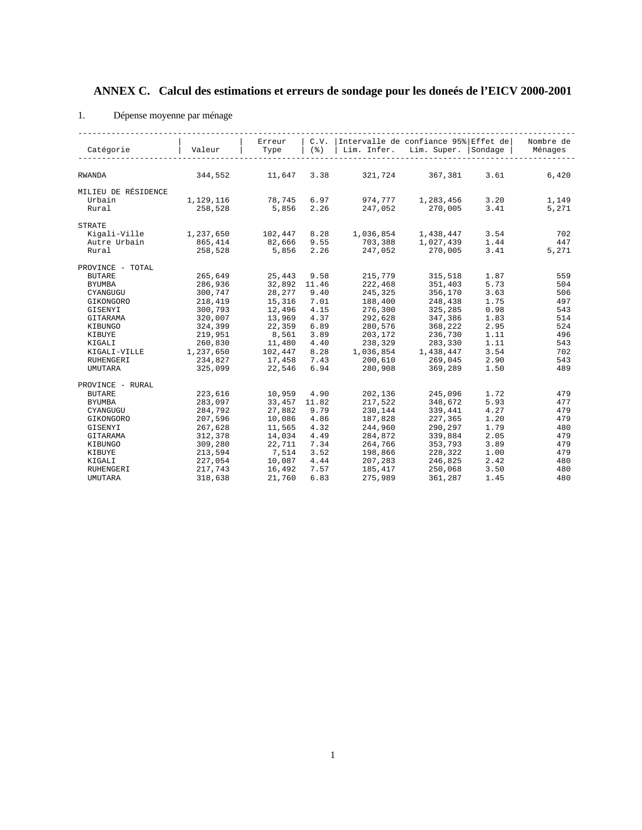# **ANNEX C. Calcul des estimations et erreurs de sondage pour les doneés de l'EICV 2000-2001**

#### 1. Dépense moyenne par ménage

|                     |           | Erreur        | C.V.                  | Intervalle de confiance 95% Effet de |                     |      | Nombre de |
|---------------------|-----------|---------------|-----------------------|--------------------------------------|---------------------|------|-----------|
| Catégorie           | Valeur    | Type          | $($ $\frac{6}{6}$ $)$ | Lim. Infer.                          | Lim. Super. Sondage |      | Ménages   |
|                     |           |               |                       |                                      |                     |      |           |
|                     |           |               |                       |                                      |                     |      |           |
| <b>RWANDA</b>       | 344,552   | 11,647 3.38   |                       |                                      | 321,724 367,381     | 3.61 | 6,420     |
|                     |           |               |                       |                                      |                     |      |           |
| MILIEU DE RÉSIDENCE |           |               |                       |                                      |                     |      |           |
| Urbain              | 1,129,116 | 78,745 6.97   |                       | 974,777                              | 1,283,456           | 3.20 | 1,149     |
| Rural               | 258,528   | 5,856         | 2.26                  | 247,052                              | 270,005             | 3.41 | 5,271     |
| <b>STRATE</b>       |           |               |                       |                                      |                     |      |           |
| Kigali-Ville        | 1,237,650 | 102,447 8.28  |                       | 1,036,854                            | 1,438,447           | 3.54 | 702       |
| Autre Urbain        | 865,414   | 82,666 9.55   |                       | 703,388                              | 1,027,439           | 1.44 | 447       |
| Rural               | 258,528   |               | 5,856 2.26            | 247,052                              | 270,005             | 3.41 | 5,271     |
|                     |           |               |                       |                                      |                     |      |           |
| PROVINCE - TOTAL    |           |               |                       |                                      |                     |      |           |
| <b>BUTARE</b>       | 265,649   | 25,443        | 9.58                  | 215,779                              | 315,518             | 1.87 | 559       |
| <b>BYUMBA</b>       | 286,936   | 32,892 11.46  |                       | 222,468                              | 351,403             | 5.73 | 504       |
| CYANGUGU            | 300,747   | 28,277        | 9.40                  | 245,325                              | 356,170             | 3.63 | 506       |
| GIKONGORO           | 218,419   | 15,316 7.01   |                       | 188,400                              | 248,438             | 1.75 | 497       |
| GISENYI             | 300,793   | 12,496        | 4.15                  | 276,300                              | 325,285             | 0.98 | 543       |
| GITARAMA            | 320,007   | 13,969        | 4.37                  | 292,628                              | 347,386             | 1.83 | 514       |
| KIBUNGO             | 324,399   | 22,359        | 6.89                  | 280,576                              | 368,222             | 2.95 | 524       |
| KIBUYE              | 219,951   | 8,561         | 3.89                  | 203,172                              | 236,730             | 1.11 | 496       |
| KIGALI              | 260,830   | 11,480        | 4.40                  | 238,329                              | 283,330             | 1.11 | 543       |
| KIGALI-VILLE        | 1,237,650 | 102,447       | 8.28                  | 1,036,854                            | 1,438,447           | 3.54 | 702       |
| RUHENGERI           | 234,827   | 17,458        | 7.43                  | 200,610                              | 269,045             | 2.90 | 543       |
| <b>UMUTARA</b>      | 325,099   | 22,546        | 6.94                  | 280,908                              | 369,289             | 1.50 | 489       |
|                     |           |               |                       |                                      |                     |      |           |
| PROVINCE - RURAL    |           |               |                       |                                      |                     |      |           |
| <b>BUTARE</b>       | 223,616   | 10,959        | 4.90                  | 202,136                              | 245,096             | 1.72 | 479       |
| <b>BYUMBA</b>       | 283,097   | 33, 457 11.82 |                       | 217,522                              | 348,672             | 5.93 | 477       |
| CYANGUGU            | 284,792   | 27,882        | 9.79                  | 230,144                              | 339,441             | 4.27 | 479       |
| GIKONGORO           | 207,596   | 10,086        | 4.86                  | 187,828                              | 227,365             | 1.20 | 479       |
| GISENYI             | 267,628   | 11,565        | 4.32                  | 244,960                              | 290,297             | 1.79 | 480       |
| GITARAMA            | 312,378   | 14,034        | 4.49                  | 284,872                              | 339,884             | 2.05 | 479       |
| KIBUNGO             | 309,280   | 22,711        | 7.34                  | 264,766                              | 353,793             | 3.89 | 479       |
| KIBUYE              | 213,594   | 7,514         | 3.52                  | 198,866                              | 228,322             | 1.00 | 479       |
| KIGALI              | 227,054   | 10,087        | 4.44                  | 207,283                              | 246,825             | 2.42 | 480       |
| <b>RUHENGERI</b>    | 217,743   | 16,492        | 7.57                  | 185,417                              | 250,068             | 3.50 | 480       |
| <b>UMUTARA</b>      | 318,638   | 21,760        | 6.83                  | 275,989                              | 361,287             | 1.45 | 480       |
|                     |           |               |                       |                                      |                     |      |           |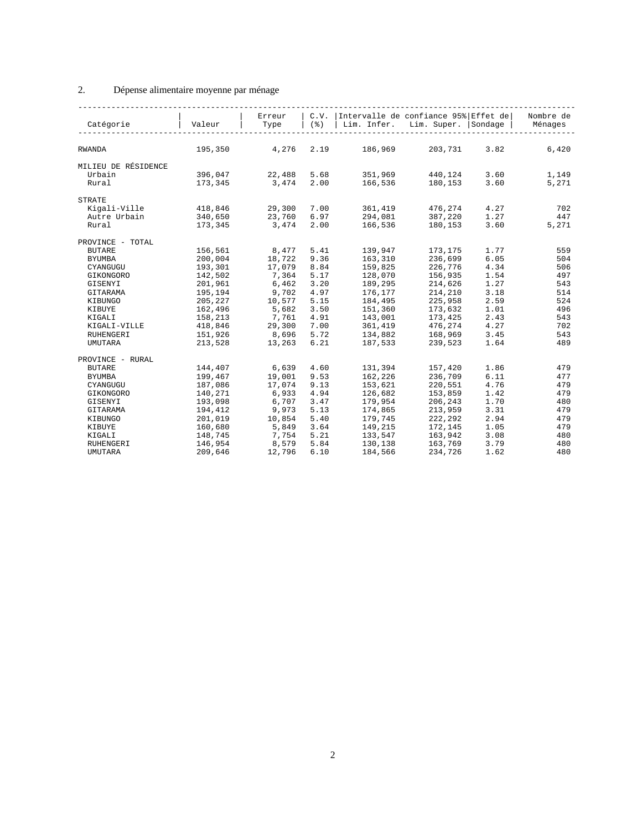### 2. Dépense alimentaire moyenne par ménage

| Catégorie           | Valeur  | Erreur<br>Type | (응)  | C.V. Intervalle de confiance 95% Effet de<br>Lim. Infer. | Lim. Super. Sondage |      | Nombre de<br>Ménages |
|---------------------|---------|----------------|------|----------------------------------------------------------|---------------------|------|----------------------|
|                     |         |                |      |                                                          |                     |      |                      |
| <b>RWANDA</b>       | 195,350 | 4,276          | 2.19 | 186,969                                                  | 203,731             | 3.82 | 6,420                |
| MILIEU DE RÉSIDENCE |         |                |      |                                                          |                     |      |                      |
| Urbain              | 396,047 | 22,488 5.68    |      | 351,969                                                  | 440,124             | 3.60 | 1,149                |
| Rural               | 173,345 | 3,474          | 2.00 | 166,536                                                  | 180, 153            | 3.60 | 5,271                |
| <b>STRATE</b>       |         |                |      |                                                          |                     |      |                      |
| Kigali-Ville        | 418,846 | 29,300         | 7.00 | 361,419                                                  | 476,274             | 4.27 | 702                  |
| Autre Urbain        | 340,650 | 23,760         | 6.97 | 294,081                                                  | 387,220             | 1.27 | 447                  |
| Rural               | 173,345 | 3,474          | 2.00 | 166,536                                                  | 180,153             | 3.60 | 5,271                |
| PROVINCE - TOTAL    |         |                |      |                                                          |                     |      |                      |
| <b>BUTARE</b>       | 156,561 | 8,477 5.41     |      | 139,947                                                  | 173,175             | 1.77 | 559                  |
| <b>BYUMBA</b>       | 200,004 | 18,722         | 9.36 | 163,310                                                  | 236,699             | 6.05 | 504                  |
| CYANGUGU            | 193,301 | 17,079 8.84    |      | 159,825                                                  | 226,776             | 4.34 | 506                  |
| GIKONGORO           | 142,502 | 7,364          | 5.17 | 128,070                                                  | 156,935             | 1.54 | 497                  |
| GISENYI             | 201,961 | 6,462          | 3.20 | 189,295                                                  | 214,626             | 1.27 | 543                  |
| GITARAMA            | 195,194 | 9,702          | 4.97 | 176,177                                                  | 214,210             | 3.18 | 514                  |
| KIBUNGO             | 205,227 | 10,577         | 5.15 | 184,495                                                  | 225,958             | 2.59 | 524                  |
| KIBUYE              | 162,496 | 5,682          | 3.50 | 151,360                                                  | 173,632             | 1.01 | 496                  |
| KIGALI              | 158,213 | 7,761          | 4.91 | 143,001                                                  | 173,425             | 2.43 | 543                  |
| KIGALI-VILLE        | 418,846 | 29,300         | 7.00 | 361,419                                                  | 476,274             | 4.27 | 702                  |
| <b>RUHENGERI</b>    | 151,926 | 8,696          | 5.72 | 134,882                                                  | 168,969             | 3.45 | 543                  |
| <b>UMUTARA</b>      | 213,528 | 13,263         | 6.21 | 187,533                                                  | 239,523             | 1.64 | 489                  |
| PROVINCE - RURAL    |         |                |      |                                                          |                     |      |                      |
| <b>BUTARE</b>       | 144,407 | 6,639          | 4.60 | 131,394                                                  | 157,420             | 1.86 | 479                  |
| <b>BYUMBA</b>       | 199,467 | 19,001         | 9.53 | 162,226                                                  | 236,709             | 6.11 | 477                  |
| CYANGUGU            | 187,086 | 17,074         | 9.13 | 153,621                                                  | 220,551             | 4.76 | 479                  |
| GIKONGORO           | 140,271 | 6,933          | 4.94 | 126,682                                                  | 153,859             | 1.42 | 479                  |
| GISENYI             | 193,098 | 6,707          | 3.47 | 179,954                                                  | 206,243             | 1.70 | 480                  |
| GITARAMA            | 194,412 | 9,973          | 5.13 | 174,865                                                  | 213,959             | 3.31 | 479                  |
| KIBUNGO             | 201,019 | 10,854         | 5.40 | 179,745                                                  | 222,292             | 2.94 | 479                  |
| KIBUYE              | 160,680 | 5,849          | 3.64 | 149,215                                                  | 172,145             | 1.05 | 479                  |
| KIGALI              | 148,745 | 7,754          | 5.21 | 133,547                                                  | 163,942             | 3.08 | 480                  |
| RUHENGERI           | 146,954 | 8,579          | 5.84 | 130,138                                                  | 163,769             | 3.79 | 480                  |
| <b>UMUTARA</b>      | 209,646 | 12,796         | 6.10 | 184,566                                                  | 234,726             | 1.62 | 480                  |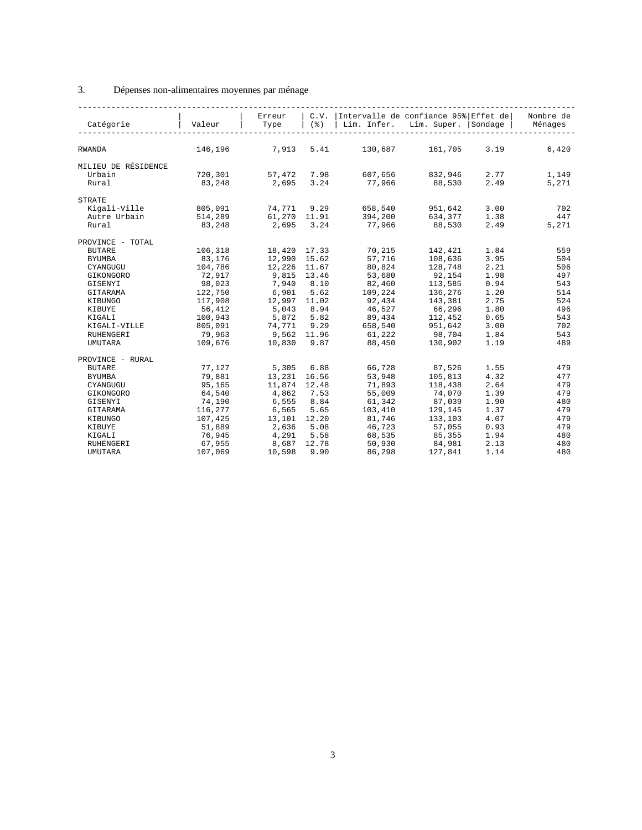### 3. Dépenses non-alimentaires moyennes par ménage

| Catégorie           | Valeur  | Erreur<br>Type | $($ $\delta$ $)$ | C.V. Intervalle de confiance 95% Effet de<br>Lim. Infer. | Lim. Super. Sondage |      | Nombre de<br>Ménages |
|---------------------|---------|----------------|------------------|----------------------------------------------------------|---------------------|------|----------------------|
|                     |         |                |                  |                                                          |                     |      |                      |
| <b>RWANDA</b>       | 146,196 | 7,913 5.41     |                  | 130,687 161,705                                          |                     | 3.19 | 6,420                |
| MILIEU DE RÉSIDENCE |         |                |                  |                                                          |                     |      |                      |
| Urbain              | 720,301 | 57,472 7.98    |                  |                                                          | 607,656 832,946     | 2.77 | 1,149                |
| Rural               | 83,248  | 2,695 3.24     |                  | 77,966                                                   | 88,530              | 2.49 | 5,271                |
| <b>STRATE</b>       |         |                |                  |                                                          |                     |      |                      |
| Kigali-Ville        | 805,091 | 74,771 9.29    |                  | 658,540                                                  | 951,642             | 3.00 | 702                  |
| Autre Urbain        | 514,289 | 61,270 11.91   |                  | 394,200                                                  | 634,377             | 1.38 | 447                  |
| Rural               | 83,248  | 2,695 3.24     |                  | 77,966                                                   | 88,530              | 2.49 | 5,271                |
| PROVINCE - TOTAL    |         |                |                  |                                                          |                     |      |                      |
| <b>BUTARE</b>       | 106,318 | 18,420 17.33   |                  | 70,215                                                   | 142,421             | 1.84 | 559                  |
| <b>BYUMBA</b>       | 83,176  | 12,990 15.62   |                  | 57,716                                                   | 108,636             | 3.95 | 504                  |
| CYANGUGU            | 104,786 | 12,226 11.67   |                  | 80,824                                                   | 128,748             | 2.21 | 506                  |
| GIKONGORO           | 72,917  | 9,815 13.46    |                  | 53,680                                                   | 92,154              | 1.98 | 497                  |
| GISENYI             | 98,023  | 7,940 8.10     |                  | 82,460                                                   | 113,585             | 0.94 | 543                  |
| GITARAMA            | 122,750 | 6,901 5.62     |                  | 109,224                                                  | 136,276             | 1.20 | 514                  |
| KIBUNGO             | 117,908 | 12,997 11.02   |                  | 92,434                                                   | 143,381             | 2.75 | 524                  |
| KIBUYE              | 56,412  | 5,043 8.94     |                  |                                                          | 46,527 66,296       | 1.80 | 496                  |
| KIGALI              | 100,943 |                |                  | 5,872 5.82 89,434 112,452                                |                     | 0.65 | 543                  |
| KIGALI-VILLE        | 805,091 |                |                  | 74,771 9.29 658,540                                      | 951,642             | 3.00 | 702                  |
| <b>RUHENGERI</b>    | 79,963  | 9,562 11.96    |                  | 61,222                                                   | 98,704              | 1.84 | 543                  |
| <b>UMUTARA</b>      | 109,676 | 10,830 9.87    |                  | 88,450                                                   | 130,902             | 1.19 | 489                  |
| PROVINCE - RURAL    |         |                |                  |                                                          |                     |      |                      |
| <b>BUTARE</b>       | 77,127  | 5,305          | 6.88             | 66,728                                                   | 87,526              | 1.55 | 479                  |
| <b>BYUMBA</b>       | 79,881  | 13,231 16.56   |                  | 53,948                                                   | 105,813             | 4.32 | 477                  |
| CYANGUGU            | 95,165  | 11,874 12.48   |                  | 71,893                                                   | 118,438             | 2.64 | 479                  |
| GIKONGORO           | 64,540  | 4,862 7.53     |                  | 55,009                                                   | 74,070              | 1.39 | 479                  |
| GISENYI             | 74,190  | 6,555          | 8.84             | 61,342                                                   | 87,039              | 1.90 | 480                  |
| GITARAMA            | 116,277 | 6,565          | 5.65             | 103,410                                                  | 129,145             | 1.37 | 479                  |
| KIBUNGO             | 107,425 | 13,101 12.20   |                  | 81,746                                                   | 133,103             | 4.07 | 479                  |
| KIBUYE              | 51,889  | 2,636 5.08     |                  | 46,723                                                   | 57,055              | 0.93 | 479                  |
| KIGALI              | 76,945  | 4,291 5.58     |                  | 68,535                                                   | 85,355              | 1.94 | 480                  |
| RUHENGERI           | 67,955  | 8,687 12.78    |                  | 50,930                                                   | 84,981              | 2.13 | 480                  |
| <b>UMUTARA</b>      | 107,069 | 10,598         | 9.90             | 86,298                                                   | 127,841             | 1.14 | 480                  |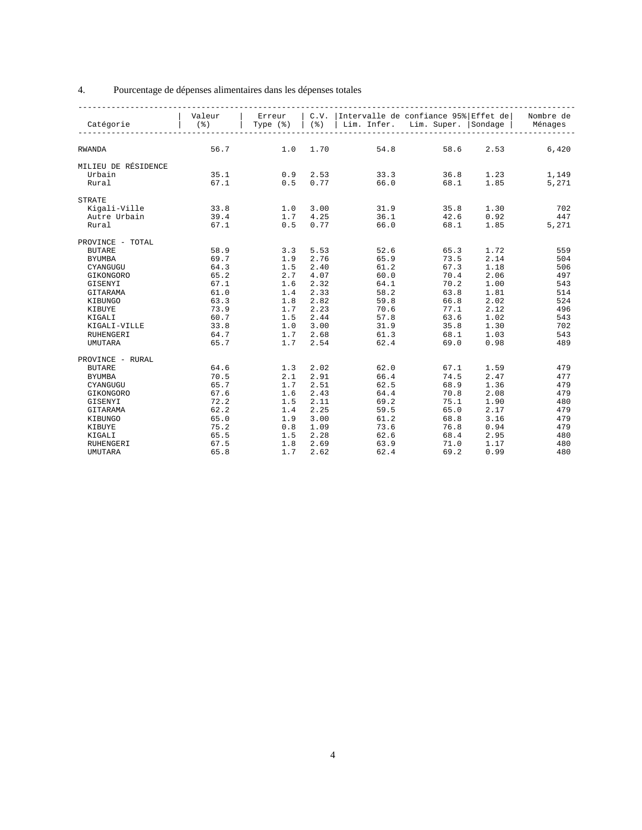### 4. Pourcentage de dépenses alimentaires dans les dépenses totales

|                     | Valeur |              |              | Erreur   C.V.   Intervalle de confiance 95%   Effet de   Nombre de     |                      |             |               |
|---------------------|--------|--------------|--------------|------------------------------------------------------------------------|----------------------|-------------|---------------|
| Catégorie           |        |              |              | (%)   Type (%)   (%)   Lim. Infer. Lim. Super.   Sondage   Ménages     |                      |             |               |
|                     |        |              |              |                                                                        |                      |             |               |
|                     |        |              |              |                                                                        |                      |             |               |
| <b>RWANDA</b>       | 56.7   | $1.0 \t1.70$ |              |                                                                        | 54.8 58.6 2.53 6,420 |             |               |
|                     |        |              |              |                                                                        |                      |             |               |
| MILIEU DE RÉSIDENCE |        |              |              |                                                                        |                      |             |               |
| Urbain              | 35.1   | $0.9$ 2.53   |              | $0.9$ $2.53$ $33.3$ $36.8$ $1.23$<br>$0.5$ $0.77$ $66.0$ $68.1$ $1.85$ |                      |             | 1,149         |
| Rural               | 67.1   |              |              |                                                                        |                      |             | 5,271         |
| <b>STRATE</b>       |        |              |              |                                                                        |                      |             |               |
| Kigali-Ville        | 33.8   | 1.0 3.00     |              |                                                                        | 31.9 35.8            | 1.30        | 702           |
| Autre Urbain        | 39.4   |              | $1.7$ 4.25   |                                                                        |                      | 0.92        | 447           |
| Rural               | 67.1   | 0.5          | 0.77         | 36.1<br>66.0                                                           | $42.6$<br>68.1       |             | 1.85<br>5,271 |
|                     |        |              |              |                                                                        |                      |             |               |
| PROVINCE - TOTAL    |        |              |              |                                                                        |                      |             |               |
| <b>BUTARE</b>       | 58.9   | 3.3 5.53     |              | 52.6                                                                   | 65.3                 | 1.72        | 559           |
| <b>BYUMBA</b>       | 69.7   |              | 1.9 2.76     | 65.9                                                                   | 73.5                 | 2.14        | 504           |
| CYANGUGU            | 64.3   | $1.5$ $2.40$ |              | 61.2                                                                   | 67.3                 | 1.18        | 506           |
| GIKONGORO           | 65.2   | 2.7 4.07     |              |                                                                        | 60.0<br>70.4         | 2.06        | 497           |
| GISENYI             | 67.1   | $1.6$ $2.32$ |              |                                                                        | 64.1<br>70.2         | 1.00        | 543           |
| GITARAMA            | 61.0   |              | $1.4$ 2.33   | 58.2                                                                   |                      | 1.81        | 514           |
| KIBUNGO             | 63.3   |              | $1.8$ $2.82$ | 59.8                                                                   | $63.8$<br>$66.8$     | 2.02        | 524           |
| KIBUYE              | 73.9   | $1.7$ $2.23$ |              | 70.6                                                                   |                      | $77.1$ 2.12 | 496           |
| KIGALI              | 60.7   | $1.5 \t2.44$ |              |                                                                        | 57.8<br>63.6         | 1.02        | 543           |
| KIGALI-VILLE        | 33.8   | $1.0 \t3.00$ |              |                                                                        | 31.9<br>35.8         | 1.30        | 702           |
| RUHENGERI           | 64.7   |              | $1.7$ 2.68   | 61.3                                                                   |                      | 1.03        | 543           |
| <b>UMUTARA</b>      | 65.7   |              | 1.7 2.54     | 62.4                                                                   | 68.1<br>69.0         | 0.98        | 489           |
|                     |        |              |              |                                                                        |                      |             |               |
| PROVINCE - RURAL    |        |              |              |                                                                        |                      |             |               |
| <b>BUTARE</b>       | 64.6   | $1.3$ $2.02$ |              | 62.0                                                                   | 67.1                 | 1.59        | 479           |
| <b>BYUMBA</b>       | 70.5   |              | 2.1 2.91     | 66.4                                                                   | 74.5                 | 2.47        | 477           |
| CYANGUGU            | 65.7   | $1.7$ 2.51   |              | 62.5                                                                   |                      | $68.9$ 1.36 | 479           |
| GIKONGORO           | 67.6   | $1.6$ $2.43$ |              |                                                                        | 70.8<br>64.4         | 2.08        | 479           |
| GISENYI             | 72.2   |              | $1.5$ $2.11$ | 69.2                                                                   | 75.1                 | 1.90        | 480           |
| GITARAMA            | 62.2   |              | $1.4$ 2.25   | 59.5                                                                   | 65.0<br>68.8         | 2.17        | 479           |
| KIBUNGO             | 65.0   |              | $1.9$ $3.00$ | 61.2                                                                   |                      | 3.16        | 479           |
| KIBUYE              | 75.2   | $0.8$ 1.09   |              | 73.6                                                                   | 76.8                 | 0.94        | 479           |
| KIGALI              | 65.5   |              | $1.5$ $2.28$ |                                                                        | 62.6<br>68.4         | 2.95        | 480           |
| <b>RUHENGERI</b>    | 67.5   |              | $1.8$ 2.69   | 63.9                                                                   | 71.0                 | 1.17        | 480           |
| <b>UMUTARA</b>      | 65.8   | 1.7          | 2.62         | 62.4                                                                   | 69.2                 | 0.99        | 480           |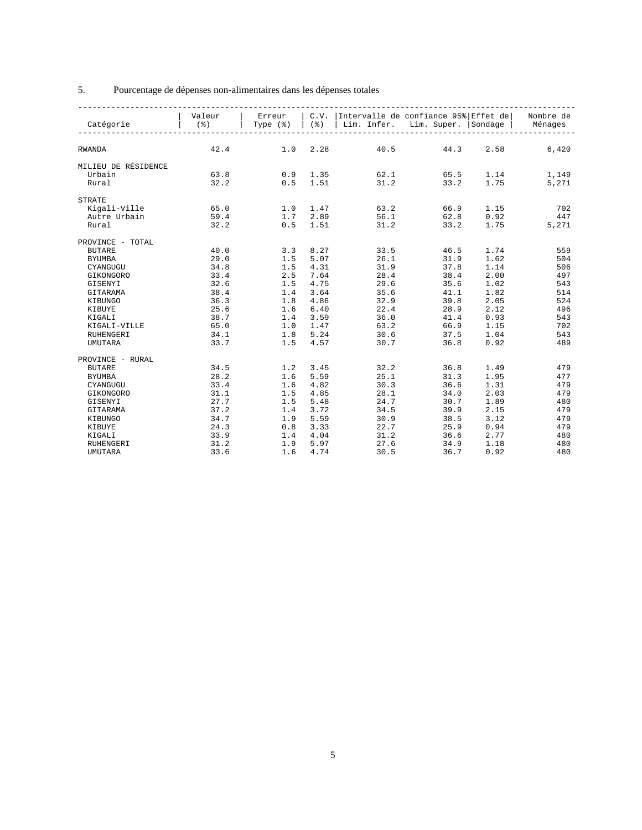### 5. Pourcentage de dépenses non-alimentaires dans les dépenses totales

|                     |      |                              |          | Valeur   Erreur   C.V.   Intervalle de confiance 95%   Effet de   Nombre de    |                                |      |               |
|---------------------|------|------------------------------|----------|--------------------------------------------------------------------------------|--------------------------------|------|---------------|
| Catégorie           |      |                              |          | (%)   Type (%)   (%)   Lim. Infer. Lim. Super.   Sondage   Ménages             |                                |      |               |
|                     |      |                              |          |                                                                                |                                |      |               |
|                     |      |                              |          |                                                                                |                                |      |               |
| RWANDA              |      |                              |          | $42.4$ 1.0 2.28 40.5 44.3 2.58 6,420                                           |                                |      |               |
|                     |      |                              |          |                                                                                |                                |      |               |
| MILIEU DE RÉSIDENCE |      |                              |          |                                                                                |                                |      |               |
| Urbain              | 63.8 |                              |          |                                                                                |                                |      |               |
| Rural               | 32.2 |                              |          | $0.9$ 1.35 $62.1$ $65.5$ 1.14 $1,149$<br>$0.5$ 1.51 $31.2$ $33.2$ 1.75 $5,271$ |                                |      |               |
|                     |      |                              |          |                                                                                |                                |      |               |
| <b>STRATE</b>       |      |                              |          |                                                                                |                                |      |               |
| Kigali-Ville        | 65.0 |                              |          | $1.0 \t1.47$ $63.2$ $66.9$                                                     |                                | 1.15 | 702           |
| Autre Urbain        | 59.4 |                              |          |                                                                                |                                | 0.92 | 447           |
| Rural               | 32.2 |                              |          | $1.7$ $2.89$ $56.1$ $62.8$<br>0.5 $1.51$ $31.2$ $33.2$                         |                                |      | 1.75<br>5,271 |
|                     |      |                              |          |                                                                                |                                |      |               |
| PROVINCE - TOTAL    |      |                              |          |                                                                                |                                |      |               |
| <b>BUTARE</b>       | 40.0 |                              |          | 3.3 8.27 33.5 46.5                                                             |                                | 1.74 | 559           |
| <b>BYUMBA</b>       | 29.0 | $1.5$ $5.07$<br>$1.5$ $4.31$ |          |                                                                                | $26.1$ $31.9$<br>31.9 37.8     | 1.62 | 504           |
| CYANGUGU            | 34.8 |                              |          |                                                                                |                                | 1.14 | 506           |
| GIKONGORO           | 33.4 | 2.5 7.64                     |          | 28.4 38.4                                                                      |                                | 2.00 | 497           |
| GISENYI             | 32.6 | $1.5$ 4.75                   |          | 29.6 35.6                                                                      |                                | 1.02 | 543           |
| GITARAMA            | 38.4 | 1.4 3.64                     |          |                                                                                | $35.6$ $41.1$<br>$32.9$ $39.8$ | 1.82 | 514           |
| KIBUNGO             | 36.3 |                              | 1.8 4.86 |                                                                                |                                | 2.05 | 524           |
| KIBUYE              | 25.6 | $1.6 \t 6.40$                |          |                                                                                | $22.4$ $28.9$                  | 2.12 | 496           |
| KIGALI              | 38.7 |                              |          | $1.4$ $3.59$ $36.0$ $41.4$                                                     |                                | 0.93 | 543           |
| KIGALI-VILLE        | 65.0 |                              |          | $1.0 \t1.47$ 63.2                                                              | 66.9                           | 1.15 | 702           |
| RUHENGERI           | 34.1 | 1.8 5.24                     |          | 30.6                                                                           | 37.5<br>36.8                   | 1.04 | 543           |
| <b>UMUTARA</b>      | 33.7 |                              | 1.5 4.57 | 30.7                                                                           |                                | 0.92 | 489           |
|                     |      |                              |          |                                                                                |                                |      |               |
| PROVINCE - RURAL    |      |                              |          |                                                                                |                                |      |               |
| <b>BUTARE</b>       | 34.5 | $1.2$ $3.45$                 |          | 32.2 36.8                                                                      |                                | 1.49 | 479           |
| <b>BYUMBA</b>       | 28.2 | $1.6$ 5.59<br>$1.6$ 4.82     |          | 25.1                                                                           | 31.3                           | 1.95 | 477           |
| CYANGUGU            | 33.4 |                              |          | 30.3                                                                           | 36.6                           | 1.31 | 479           |
| GIKONGORO           | 31.1 | 1.5 4.85                     |          | 28.1 34.0                                                                      |                                | 2.03 | 479           |
| GISENYI             | 27.7 | $1.5$ $5.48$                 |          | 24.7                                                                           | 30.7                           | 1.89 | 480           |
| GITARAMA            | 37.2 | $1.4$ 3.72                   |          | 34.5                                                                           | 39.9<br>38.5                   | 2.15 | 479           |
| KIBUNGO             | 34.7 | 1.9 5.59                     |          | 30.9                                                                           |                                | 3.12 | 479           |
| KIBUYE              | 24.3 | $0.8$ 3.33                   |          | 22.7                                                                           | 25.9                           | 0.94 | 479           |
| KIGALI              | 33.9 | 1.4 4.04                     |          | 31.2                                                                           | 36.6                           | 2.77 | 480           |
| RUHENGERI           | 31.2 |                              |          | 1.9 5.97 27.6                                                                  | 34.9                           | 1.18 | 480           |
| <b>UMUTARA</b>      | 33.6 | 1.6                          | 4.74     | 30.5                                                                           | 36.7                           | 0.92 | 480           |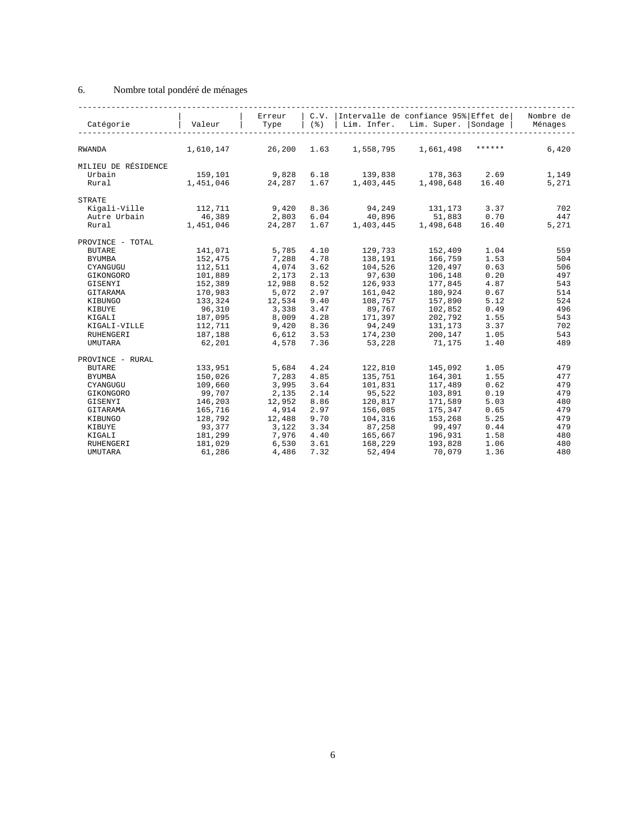### 6. Nombre total pondéré de ménages

| Catégorie           | Valeur    | Erreur<br>Type | C.V.<br>(응) | Intervalle de confiance 95% Effet de<br>Lim. Infer. | Lim. Super. Sondage |        | Nombre de<br>Ménages |
|---------------------|-----------|----------------|-------------|-----------------------------------------------------|---------------------|--------|----------------------|
|                     |           |                |             |                                                     |                     |        |                      |
| RWANDA              | 1,610,147 | 26,200         | 1.63        | 1,558,795                                           | 1,661,498           | ****** | 6,420                |
| MILIEU DE RÉSIDENCE |           |                |             |                                                     |                     |        |                      |
| Urbain              | 159,101   | 9,828          | 6.18        | 139,838                                             | 178,363             | 2.69   | 1,149                |
| Rural               | 1,451,046 | 24, 287 1.67   |             | 1,403,445                                           | 1,498,648           | 16.40  | 5,271                |
| <b>STRATE</b>       |           |                |             |                                                     |                     |        |                      |
| Kigali-Ville        | 112,711   | 9,420          | 8.36        | 94,249                                              | 131,173             | 3.37   | 702                  |
|                     | 46,389    |                | 6.04        | 40,896                                              | 51,883              | 0.70   | 447                  |
| Autre Urbain        |           | 2,803          |             | 1,403,445                                           |                     |        |                      |
| Rural               | 1,451,046 | 24,287         | 1.67        |                                                     | 1,498,648           | 16.40  | 5,271                |
| PROVINCE - TOTAL    |           |                |             |                                                     |                     |        |                      |
| <b>BUTARE</b>       | 141,071   | 5,785          | 4.10        | 129,733                                             | 152,409             | 1.04   | 559                  |
| <b>BYUMBA</b>       | 152,475   | 7,288          | 4.78        | 138,191                                             | 166,759             | 1.53   | 504                  |
| CYANGUGU            | 112,511   | 4,074          | 3.62        | 104,526                                             | 120,497             | 0.63   | 506                  |
| GIKONGORO           | 101,889   | 2,173          | 2.13        | 97,630                                              | 106,148             | 0.20   | 497                  |
| GISENYI             | 152,389   | 12,988         | 8.52        | 126,933                                             | 177,845             | 4.87   | 543                  |
| GITARAMA            | 170,983   | 5,072          | 2.97        | 161,042                                             | 180,924             | 0.67   | 514                  |
| KIBUNGO             | 133,324   | 12,534         | 9.40        | 108,757                                             | 157,890             | 5.12   | 524                  |
| KIBUYE              | 96,310    | 3,338          | 3.47        | 89,767                                              | 102,852             | 0.49   | 496                  |
| KIGALI              | 187,095   | 8,009          | 4.28        | 171,397                                             | 202,792             | 1.55   | 543                  |
| KIGALI-VILLE        | 112,711   | 9,420          | 8.36        | 94,249                                              | 131,173             | 3.37   | 702                  |
| <b>RUHENGERI</b>    | 187,188   | 6,612          | 3.53        | 174,230                                             | 200,147             | 1.05   | 543                  |
| <b>UMUTARA</b>      | 62,201    | 4,578          | 7.36        | 53,228                                              | 71,175              | 1.40   | 489                  |
|                     |           |                |             |                                                     |                     |        |                      |
| PROVINCE - RURAL    |           |                |             |                                                     |                     |        |                      |
| <b>BUTARE</b>       | 133,951   | 5,684          | 4.24        | 122,810                                             | 145,092             | 1.05   | 479                  |
| <b>BYUMBA</b>       | 150,026   | 7,283          | 4.85        | 135,751                                             | 164,301             | 1.55   | 477                  |
| CYANGUGU            | 109,660   | 3,995          | 3.64        | 101,831                                             | 117,489             | 0.62   | 479                  |
| GIKONGORO           | 99,707    | 2,135          | 2.14        | 95,522                                              | 103,891             | 0.19   | 479                  |
| GISENYI             | 146,203   | 12,952         | 8.86        | 120,817                                             | 171,589             | 5.03   | 480                  |
| GITARAMA            | 165,716   | 4,914          | 2.97        | 156,085                                             | 175,347             | 0.65   | 479                  |
| KIBUNGO             | 128,792   | 12,488         | 9.70        | 104,316                                             | 153,268             | 5.25   | 479                  |
| KIBUYE              | 93,377    | 3,122          | 3.34        | 87,258                                              | 99,497              | 0.44   | 479                  |
| KIGALI              | 181,299   | 7,976          | 4.40        | 165,667                                             | 196,931             | 1.58   | 480                  |
| RUHENGERI           | 181,029   | 6,530          | 3.61        | 168,229                                             | 193,828             | 1.06   | 480                  |
| <b>UMUTARA</b>      | 61,286    | 4,486          | 7.32        | 52,494                                              | 70,079              | 1.36   | 480                  |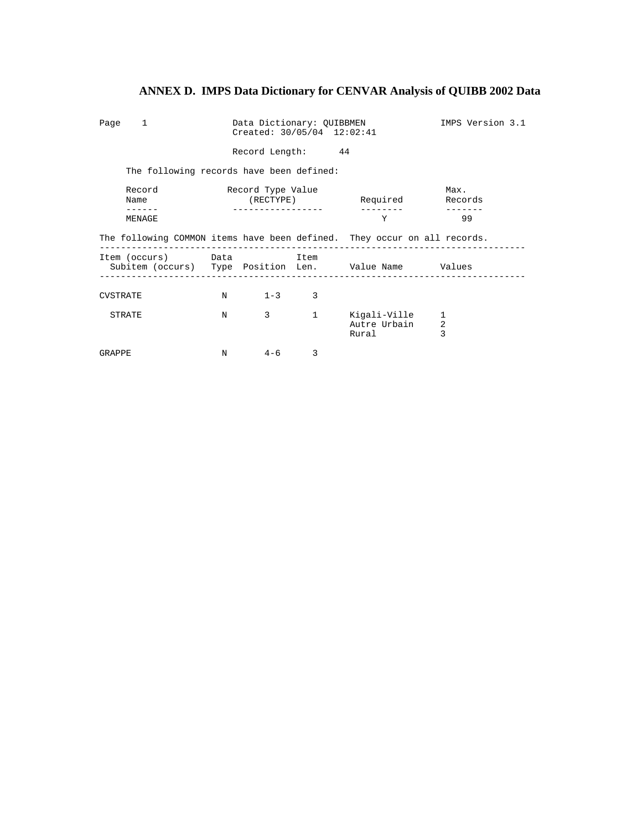| Page 1          |                                          | Data Dictionary: QUIBBMEN<br>Created: 30/05/04 12:02:41 | IMPS Version 3.1  |                   |                                                                          |                 |
|-----------------|------------------------------------------|---------------------------------------------------------|-------------------|-------------------|--------------------------------------------------------------------------|-----------------|
|                 |                                          |                                                         | Record Length: 44 |                   |                                                                          |                 |
|                 | The following records have been defined: |                                                         |                   |                   |                                                                          |                 |
|                 | Record<br>Name                           |                                                         | Record Type Value |                   | (RECTYPE) Required                                                       | Max.<br>Records |
|                 | MENAGE                                   |                                                         |                   |                   | Y                                                                        | 99              |
|                 |                                          |                                                         |                   |                   | The following COMMON items have been defined. They occur on all records. |                 |
|                 | Item (occurs) Data                       |                                                         |                   | Item              | Subitem (occurs) Type Position Len. Value Name Values                    |                 |
| <b>CVSTRATE</b> |                                          |                                                         | $N = 1-3$ 3       |                   |                                                                          |                 |
|                 | STRATE                                   | N                                                       | 3 <sup>7</sup>    | $1 \qquad \qquad$ | Kigali-Ville<br>Autre Urbain<br>Rural                                    | 1<br>2<br>3     |
| GRAPPE          |                                          | N                                                       | $4 - 6$           | 3                 |                                                                          |                 |

# **ANNEX D. IMPS Data Dictionary for CENVAR Analysis of QUIBB 2002 Data**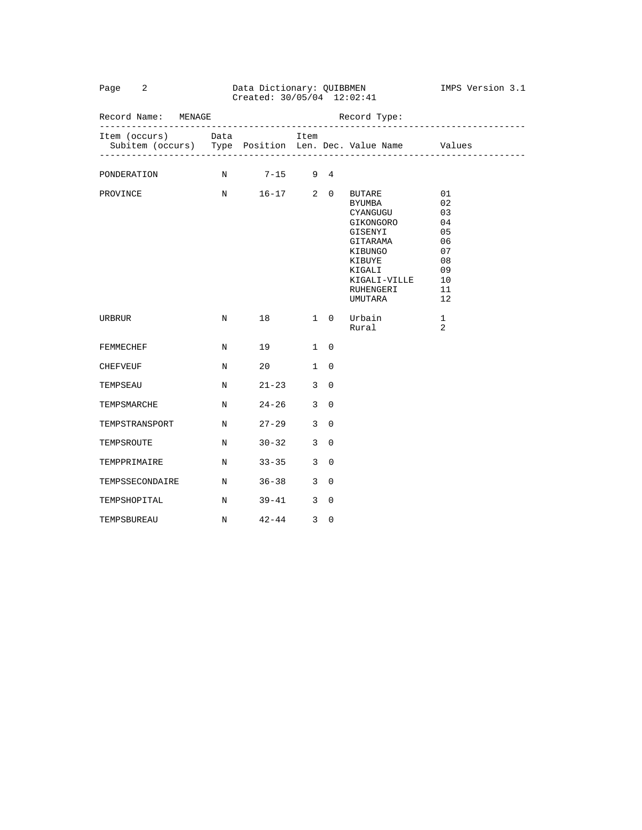|                                                                                  |             | Created: 30/05/04 12:02:41   |              |                          |                                                                                                                                                |                                                                      |  |
|----------------------------------------------------------------------------------|-------------|------------------------------|--------------|--------------------------|------------------------------------------------------------------------------------------------------------------------------------------------|----------------------------------------------------------------------|--|
| Record Name: MENAGE                                                              |             |                              |              |                          | Record Type:                                                                                                                                   |                                                                      |  |
| Item (occurs) Data<br>Subitem (occurs) Type Position Len. Dec. Value Name Values |             |                              | Item         |                          |                                                                                                                                                |                                                                      |  |
| PONDERATION                                                                      |             | N 7-15 9 4                   |              |                          |                                                                                                                                                |                                                                      |  |
| PROVINCE                                                                         |             | N 16-17 2 0                  |              |                          | <b>BUTARE</b><br>BYUMBA<br>CYANGUGU<br>GIKONGORO<br>GISENYI<br>GITARAMA<br>KIBUNGO<br>KIBUYE<br>KIGALI<br>KIGALI-VILLE<br>RUHENGERI<br>UMUTARA | 01<br>02<br>03<br>04<br>05<br>06<br>07<br>08<br>09<br>10<br>11<br>12 |  |
| URBRUR                                                                           | $N$ and $N$ | 18 1 0                       |              |                          | Urbain<br>Rural                                                                                                                                | 1<br>2                                                               |  |
| FEMMECHEF                                                                        | N           | 19 1 0                       |              |                          |                                                                                                                                                |                                                                      |  |
| CHEFVEUF                                                                         | $_{\rm N}$  | $20 \qquad \qquad 1 \quad 0$ |              |                          |                                                                                                                                                |                                                                      |  |
| TEMPSEAU                                                                         | N           | $21 - 23$ 3 0                |              |                          |                                                                                                                                                |                                                                      |  |
| TEMPSMARCHE                                                                      | N           | $24 - 26$                    |              | $3 \quad 0$              |                                                                                                                                                |                                                                      |  |
| TEMPSTRANSPORT                                                                   | $\mathbf N$ | $27 - 29$ 3                  |              | $\overline{0}$           |                                                                                                                                                |                                                                      |  |
| TEMPSROUTE                                                                       | N           | $30 - 32$ 3                  |              | $\Omega$                 |                                                                                                                                                |                                                                      |  |
| TEMPPRIMAIRE                                                                     | N           | $33 - 35$                    | $\mathbf{3}$ | $\overline{0}$           |                                                                                                                                                |                                                                      |  |
| TEMPSSECONDAIRE N                                                                |             | $36 - 38$ 3 0                |              |                          |                                                                                                                                                |                                                                      |  |
| TEMPSHOPITAL                                                                     | $\mathbb N$ | $39 - 41$ 3                  |              | $\overline{\phantom{0}}$ |                                                                                                                                                |                                                                      |  |
| TEMPSBUREAU                                                                      | N           | $42 - 44$                    | 3            | $\Omega$                 |                                                                                                                                                |                                                                      |  |

Page 2 2 Data Dictionary: QUIBBMEN 1MPS Version 3.1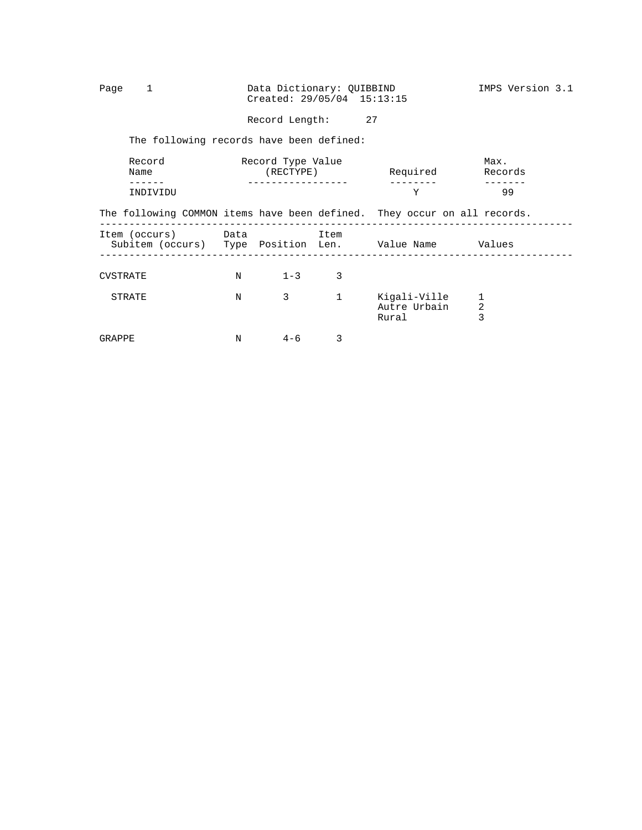Page 1 Data Dictionary: QUIBBIND IMPS Version 3.1 Created: 29/05/04 15:13:15

Record Length: 27

The following records have been defined:

|          | Record<br>Name |   | Record Type Value<br>(RECTYPE) |              | Required                                                                 | Max.<br>Records |  |
|----------|----------------|---|--------------------------------|--------------|--------------------------------------------------------------------------|-----------------|--|
|          | INDIVIDU       |   |                                |              | Y                                                                        | 99              |  |
|          |                |   |                                |              | The following COMMON items have been defined. They occur on all records. |                 |  |
|          |                |   | Item (occurs) Data Datem Item  |              | Subitem (occurs) Type Position Len. Value Name Values                    |                 |  |
| CVSTRATE |                |   | $N = 1-3$                      | 3            |                                                                          |                 |  |
|          | STRATE         | N | $3 \sim$                       | $\mathbf{1}$ | Kiqali-Ville<br>Autre Urbain<br>Rural                                    | 2<br>3          |  |
| GRAPPE   |                | N | $4 - 6$                        | 3            |                                                                          |                 |  |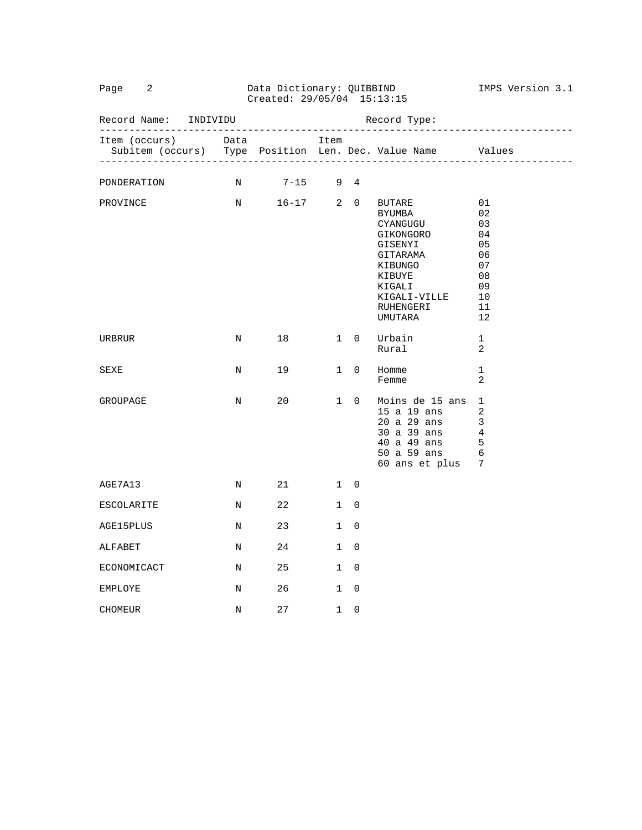| Page 2                                                                           |   | Data Dictionary: QUIBBIND<br>Created: 29/05/04 15:13:15 |             | IMPS Version 3.1 |                                                                                                                                  |                                                                      |
|----------------------------------------------------------------------------------|---|---------------------------------------------------------|-------------|------------------|----------------------------------------------------------------------------------------------------------------------------------|----------------------------------------------------------------------|
| Record Name: INDIVIDU                                                            |   |                                                         |             |                  |                                                                                                                                  |                                                                      |
| Item (occurs) Data<br>Subitem (occurs) Type Position Len. Dec. Value Name Values |   |                                                         | Item        |                  |                                                                                                                                  |                                                                      |
| PONDERATION                                                                      |   | N 7-15 9 4                                              |             |                  |                                                                                                                                  |                                                                      |
| PROVINCE N 16-17 2 0 BUTARE                                                      |   |                                                         |             |                  | BYUMBA<br>CYANGUGU<br>GIKONGORO<br>GISENYI<br>GITARAMA<br>KIBUNGO<br>KIBUYE<br>KIGALI<br>KIGALI-VILLE<br>RUHENGERI<br>UMUTARA    | 01<br>02<br>03<br>04<br>05<br>06<br>07<br>08<br>09<br>10<br>11<br>12 |
| URBRUR                                                                           | N |                                                         |             |                  | 18 1 0 Urbain<br>Rural                                                                                                           | $\mathbf 1$<br>2                                                     |
| SEXE                                                                             | N | 19                                                      |             |                  | 1 0 Homme<br>Femme                                                                                                               | 1<br>2                                                               |
| GROUPAGE                                                                         |   | N 20                                                    | $1 \quad 0$ |                  | Moins de 15 ans<br>15 a 19 ans<br>20 a 29 ans<br>30 a 39 ans 4<br>40 a 49 ans<br>$50$ a $59$ ans<br>$60$ and<br>60 ans et plus 7 | 1<br>$\overline{2}$<br>3<br>- 5<br>6                                 |
| AGE7A13                                                                          |   | N 21 1 0                                                |             |                  |                                                                                                                                  |                                                                      |
| ESCOLARITE                                                                       |   | N 22                                                    |             | $1 \quad 0$      |                                                                                                                                  |                                                                      |
| AGE15PLUS                                                                        |   | N 23                                                    | 1           | $\Omega$         |                                                                                                                                  |                                                                      |
| ALFABET                                                                          |   | N 24                                                    |             | $1 \quad 0$      |                                                                                                                                  |                                                                      |
| ECONOMICACT                                                                      |   | N 25                                                    | $1 \quad 0$ |                  |                                                                                                                                  |                                                                      |
| EMPLOYE                                                                          |   | N 26 1 0                                                |             |                  |                                                                                                                                  |                                                                      |
| <b>CHOMEUR</b>                                                                   | N | 27                                                      |             | $1 \quad 0$      |                                                                                                                                  |                                                                      |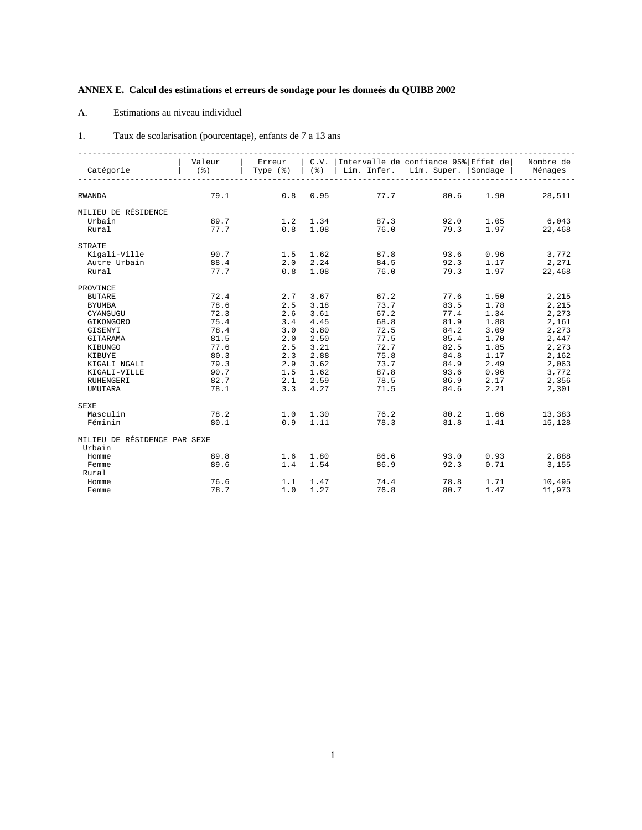# **ANNEX E. Calcul des estimations et erreurs de sondage pour les donneés du QUIBB 2002**

#### A. Estimations au niveau individuel

| Taux de scolarisation (pourcentage), enfants de 7 a 13 ans |  |  |  |  |  |
|------------------------------------------------------------|--|--|--|--|--|
|------------------------------------------------------------|--|--|--|--|--|

| Catégorie                    | Valeur<br>$($ $\delta$ $)$ | Type $(\frac{1}{6})$ | (응)              | Erreur   C.V.   Intervalle de confiance 95%   Effet de   Nombre de<br>  Lim. Infer. Lim. Super.   Sondage   Ménages |                |      |              |
|------------------------------|----------------------------|----------------------|------------------|---------------------------------------------------------------------------------------------------------------------|----------------|------|--------------|
|                              |                            |                      |                  |                                                                                                                     |                |      |              |
| RWANDA                       | 79.1                       |                      | $0.8 \t0.95$     |                                                                                                                     | 77.7<br>80.6   | 1.90 | 28,511       |
| MILIEU DE RÉSIDENCE          |                            |                      |                  |                                                                                                                     |                |      |              |
| Urbain                       | 89.7                       |                      |                  | 1.2 1.34 87.3 92.0                                                                                                  |                |      | $1.05$ 6,043 |
| Rural                        | 77.7                       | $0.8$ 1.08           |                  | 76.0                                                                                                                | 79.3           |      | 1.97 22,468  |
| <b>STRATE</b>                |                            |                      |                  |                                                                                                                     |                |      |              |
| Kigali-Ville                 | 90.7                       | 1.5 1.62             |                  | 87.8                                                                                                                | 93.6           |      | $0.96$ 3,772 |
| Autre Urbain                 | 88.4                       |                      |                  | $2.0$ $2.24$ $84.5$ $92.3$ $1.17$ $2.271$                                                                           |                |      |              |
| Rural                        | 77.7                       |                      | $0.8$ 1.08       |                                                                                                                     | 76.0<br>79.3   | 1.97 | 22,468       |
| PROVINCE                     |                            |                      |                  |                                                                                                                     |                |      |              |
| <b>BUTARE</b>                | 72.4                       | 2.7 3.67             |                  | 67.2                                                                                                                | 77.6           | 1.50 | 2,215        |
| <b>BYUMBA</b>                | 78.6                       | 2.5 3.18             |                  | 73.7                                                                                                                | 83.5           | 1.78 | 2,215        |
| CYANGUGU                     | 72.3                       | 2.6                  | 3.61             | 67.2                                                                                                                | 77.4           | 1.34 | 2,273        |
| GIKONGORO                    | 75.4                       |                      | $3.4$ 4.45       | 68.8                                                                                                                | 81.9           | 1.88 | 2,161        |
| GISENYI                      | 78.4                       |                      | $3.0$ $3.80$     | 72.5                                                                                                                | 84.2           | 3.09 | 2,273        |
| GITARAMA                     | 81.5                       |                      | $2.0$ $2.50$     | 77.5                                                                                                                | 84.2<br>85.4   | 1.70 | 2,447        |
| KIBUNGO                      | 77.6                       | 2.5                  | 3.21             | 72.7                                                                                                                | 82.5           | 1.85 | 2,273        |
| KIBUYE                       | 80.3                       |                      | $2.3$ $2.88$     | 75.8                                                                                                                | 84.8           | 1.17 | 2,162        |
| KIGALI NGALI                 | 79.3                       |                      | $2.9$ $3.62$     | 73.7                                                                                                                | 84.9           | 2.49 | 2,063        |
| KIGALI-VILLE                 | 90.7                       |                      | $1.5$ 1.62       | 87.8                                                                                                                | 93.6           | 0.96 | 3,772        |
| RUHENGERI                    | 82.7                       |                      | 2.1 2.59         | 78.5                                                                                                                | $86.9$<br>84.6 | 2.17 | 2,356        |
| <b>UMUTARA</b>               | 78.1                       |                      | $3.3$ 4.27       | 71.5                                                                                                                | 84.6           | 2.21 | 2,301        |
| <b>SEXE</b>                  |                            |                      |                  |                                                                                                                     |                |      |              |
| Masculin                     | 78.2                       |                      |                  | $1.0 \t 1.30 \t 76.2 \t 80.2$                                                                                       |                | 1.66 | 13,383       |
| Féminin                      | 80.1                       | $0.9$ 1.11           |                  |                                                                                                                     | 78.3 81.8      | 1.41 | 15,128       |
| MILIEU DE RÉSIDENCE PAR SEXE |                            |                      |                  |                                                                                                                     |                |      |              |
| Urbain                       |                            |                      |                  |                                                                                                                     |                |      |              |
| Homme                        | 89.8                       | 1.6 1.80             |                  | 86.6                                                                                                                | 93.0           |      | $0.93$ 2,888 |
| Femme                        | 89.6                       |                      | $1.4$ 1.54       |                                                                                                                     | 86.9<br>92.3   | 0.71 | 3,155        |
| Rural                        |                            |                      |                  |                                                                                                                     |                |      |              |
| Homme                        | 76.6                       |                      | $1.1 \quad 1.47$ | 74.4                                                                                                                | 78.8           | 1.71 | 10,495       |
| Femme                        | 78.7                       | 1.0                  | 1.27             | 76.8                                                                                                                | 80.7           | 1.47 | 11,973       |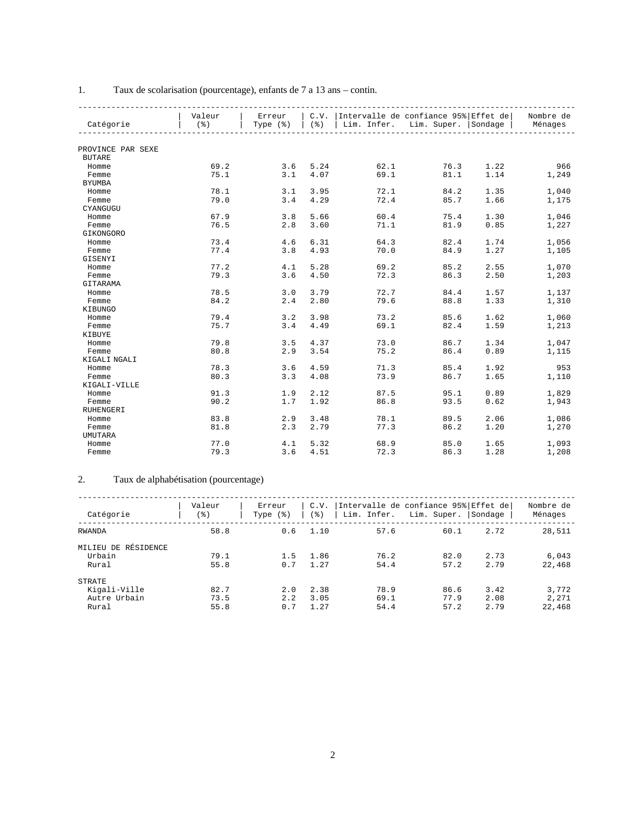|                   | Valeur  | Erreur   | C.V.             | Intervalle de confiance 95% Effet de |                                 |      | Nombre de |
|-------------------|---------|----------|------------------|--------------------------------------|---------------------------------|------|-----------|
| Catégorie         | $($ $)$ | Type (%) | $($ $\delta$ $)$ |                                      | Lim. Infer. Lim. Super. Sondage |      | Ménages   |
|                   |         |          |                  |                                      |                                 |      |           |
| PROVINCE PAR SEXE |         |          |                  |                                      |                                 |      |           |
| <b>BUTARE</b>     |         |          |                  |                                      |                                 |      |           |
| Homme             | 69.2    | 3.6      | 5.24             | 62.1                                 | 76.3                            | 1.22 | 966       |
| Femme             | 75.1    | 3.1      | 4.07             | 69.1                                 | 81.1                            | 1.14 | 1,249     |
| <b>BYUMBA</b>     |         |          |                  |                                      |                                 |      |           |
| Homme             | 78.1    | 3.1      | 3.95             | 72.1                                 | 84.2                            | 1.35 | 1,040     |
| Femme             | 79.0    | 3.4      | 4.29             | 72.4                                 | 85.7                            | 1.66 | 1,175     |
| CYANGUGU          |         |          |                  |                                      |                                 |      |           |
| Homme             | 67.9    | 3.8      | 5.66             | 60.4                                 | 75.4                            | 1.30 | 1,046     |
| Femme             | 76.5    | 2.8      | 3.60             | 71.1                                 | 81.9                            | 0.85 | 1,227     |
| GIKONGORO         |         |          |                  |                                      |                                 |      |           |
| Homme             | 73.4    | 4.6      | 6.31             | 64.3                                 | 82.4                            | 1.74 | 1,056     |
| Femme             | 77.4    | 3.8      | 4.93             | 70.0                                 | 84.9                            | 1.27 | 1,105     |
| GISENYI           |         |          |                  |                                      |                                 |      |           |
| Homme             | 77.2    | 4.1      | 5.28             | 69.2                                 | 85.2                            | 2.55 | 1,070     |
| Femme             | 79.3    | 3.6      | 4.50             | 72.3                                 | 86.3                            | 2.50 | 1,203     |
| GITARAMA          |         |          |                  |                                      |                                 |      |           |
| Homme             | 78.5    | 3.0      | 3.79             | 72.7                                 | 84.4                            | 1.57 | 1,137     |
| Femme             | 84.2    | 2.4      | 2.80             | 79.6                                 | 88.8                            | 1.33 | 1,310     |
| KIBUNGO           |         |          |                  |                                      |                                 |      |           |
| Homme             | 79.4    | 3.2      | 3.98             | 73.2                                 | 85.6                            | 1.62 | 1,060     |
| Femme             | 75.7    | 3.4      | 4.49             | 69.1                                 | 82.4                            | 1.59 | 1,213     |
| KIBUYE            |         |          |                  |                                      |                                 |      |           |
| Homme             | 79.8    | 3.5      | 4.37             | 73.0                                 | 86.7                            | 1.34 | 1,047     |
| Femme             | 80.8    | 2.9      | 3.54             | 75.2                                 | 86.4                            | 0.89 | 1,115     |
| KIGALI NGALI      |         |          |                  |                                      |                                 |      |           |
| Homme             | 78.3    | 3.6      | 4.59             | 71.3                                 | 85.4                            | 1.92 | 953       |
| Femme             | 80.3    | 3.3      | 4.08             | 73.9                                 | 86.7                            | 1.65 | 1,110     |
| KIGALI-VILLE      |         |          |                  |                                      |                                 |      |           |
| Homme             | 91.3    | 1.9      | 2.12             | 87.5                                 | 95.1                            | 0.89 | 1,829     |
| Femme             | 90.2    | 1.7      | 1.92             | 86.8                                 | 93.5                            | 0.62 | 1,943     |
| RUHENGERI         |         |          |                  |                                      |                                 |      |           |
| Homme             | 83.8    | 2.9      | 3.48             | 78.1                                 | 89.5                            | 2.06 | 1,086     |
| Femme             | 81.8    | 2.3      | 2.79             | 77.3                                 | 86.2                            | 1.20 | 1,270     |
| <b>UMUTARA</b>    |         |          |                  |                                      |                                 |      |           |
| Homme             | 77.0    | 4.1      | 5.32             | 68.9                                 | 85.0                            | 1.65 | 1,093     |
| Femme             | 79.3    | 3.6      | 4.51             | 72.3                                 | 86.3                            | 1.28 | 1,208     |
|                   |         |          |                  |                                      |                                 |      |           |

### 1. Taux de scolarisation (pourcentage), enfants de 7 a 13 ans – contin.

#### 2. Taux de alphabétisation (pourcentage)

| Catégorie                                       | Valeur<br>(응)        | C.V.<br>Erreur<br>' 응 )<br>Type $(\frac{1}{6})$ | Lim. Infer.          | Intervalle de confiance 95% Effet de <br>Lim. Super. | Sondage              | Nombre de<br>Ménages     |
|-------------------------------------------------|----------------------|-------------------------------------------------|----------------------|------------------------------------------------------|----------------------|--------------------------|
| <b>RWANDA</b>                                   | 58.8                 | 0.6<br>1.10                                     | 57.6                 | 60.1                                                 | 2.72                 | 28,511                   |
| MILIEU DE RÉSIDENCE<br>Urbain<br>Rural          | 79.1<br>55.8         | 1.5<br>1.86<br>0.7<br>1.27                      | 76.2<br>54.4         | 82.0<br>57.2                                         | 2.73<br>2.79         | 6.043<br>22,468          |
| STRATE<br>Kigali-Ville<br>Autre Urbain<br>Rural | 82.7<br>73.5<br>55.8 | 2.38<br>2.0<br>3.05<br>2.2<br>0.7<br>1.27       | 78.9<br>69.1<br>54.4 | 86.6<br>77.9<br>57.2                                 | 3.42<br>2.08<br>2.79 | 3,772<br>2,271<br>22,468 |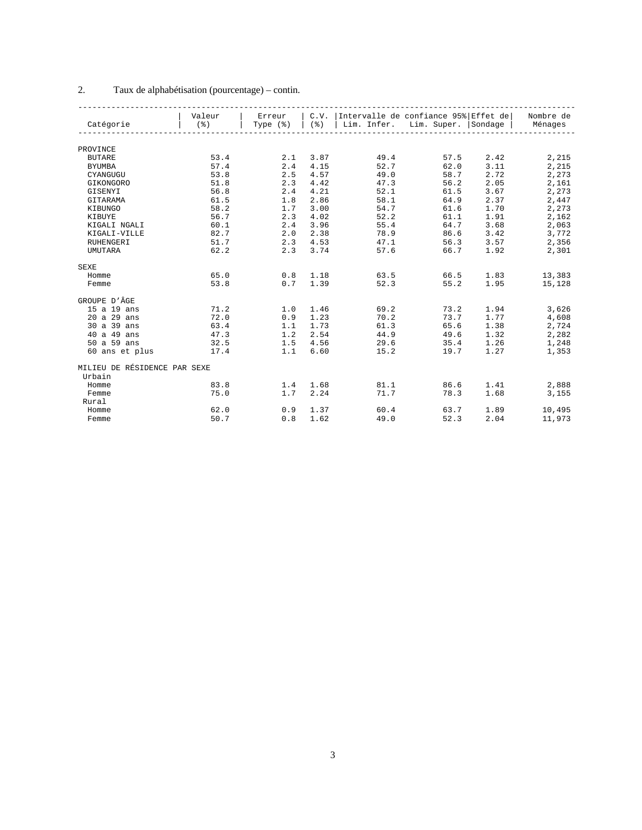### 2. Taux de alphabétisation (pourcentage) – contin.

|                              | Valeur           | Erreur               |            | C.V.   Intervalle de confiance 95%   Effet de   Nombre de |      |      |        |
|------------------------------|------------------|----------------------|------------|-----------------------------------------------------------|------|------|--------|
| Catégorie                    | $($ $\delta$ $)$ | Type $(\frac{1}{6})$ |            | (%)   Lim. Infer. Lim. Super.   Sondage   Ménages         |      |      |        |
|                              |                  |                      |            |                                                           |      |      |        |
| PROVINCE                     |                  |                      |            |                                                           |      |      |        |
| <b>BUTARE</b>                | 53.4             | 2.1                  | 3.87       | 49.4                                                      | 57.5 | 2.42 | 2,215  |
| <b>BYUMBA</b>                | 57.4             | 2.4                  | 4.15       | 52.7                                                      | 62.0 | 3.11 | 2,215  |
| CYANGUGU                     | 53.8             | 2.5                  | 4.57       | 49.0                                                      | 58.7 | 2.72 | 2,273  |
| GIKONGORO                    | 51.8             | 2.3                  | 4.42       | 47.3                                                      | 56.2 | 2.05 | 2,161  |
| GISENYI                      | 56.8             | 2.4                  | 4.21       | 52.1                                                      | 61.5 | 3.67 | 2,273  |
| GITARAMA                     | 61.5             | 1.8                  | 2.86       | 58.1                                                      | 64.9 | 2.37 | 2,447  |
| KIBUNGO                      | 58.2             | 1.7                  | 3.00       | 54.7                                                      | 61.6 | 1.70 | 2,273  |
| KIBUYE                       | 56.7             | 2.3                  | 4.02       | 52.2                                                      | 61.1 | 1.91 | 2,162  |
| KIGALI NGALI                 | 60.1             | 2.4                  | 3.96       | 55.4                                                      | 64.7 | 3.68 | 2,063  |
| KIGALI-VILLE                 | 82.7             | 2.0                  | 2.38       | 78.9                                                      | 86.6 | 3.42 | 3,772  |
| <b>RUHENGERI</b>             | 51.7             |                      | $2.3$ 4.53 | 47.1                                                      | 56.3 | 3.57 | 2,356  |
| <b>UMUTARA</b>               | 62.2             | 2.3                  | 3.74       | 57.6                                                      | 66.7 | 1.92 | 2,301  |
| <b>SEXE</b>                  |                  |                      |            |                                                           |      |      |        |
| Homme                        | 65.0             | 0.8                  | 1.18       | 63.5                                                      | 66.5 | 1.83 | 13,383 |
| Femme                        | 53.8             | 0.7                  | 1.39       | 52.3                                                      | 55.2 | 1.95 | 15,128 |
| GROUPE D'ÂGE                 |                  |                      |            |                                                           |      |      |        |
| 15 a 19 ans                  | 71.2             | 1.0                  | 1.46       | 69.2                                                      | 73.2 | 1.94 | 3,626  |
| 20 a 29 ans                  | 72.0             | 0.9                  | 1.23       | 70.2                                                      | 73.7 | 1.77 | 4,608  |
| 30 a 39 ans                  | 63.4             | 1.1                  | 1.73       | 61.3                                                      | 65.6 | 1.38 | 2,724  |
| 40 a 49 ans                  | 47.3             | 1.2                  | 2.54       | 44.9                                                      | 49.6 | 1.32 | 2,282  |
| 50 a 59 ans                  | 32.5             | 1.5                  | 4.56       | 29.6                                                      | 35.4 | 1.26 | 1,248  |
| 60 ans et plus               | 17.4             | 1.1                  | 6.60       | 15.2                                                      | 19.7 | 1.27 | 1,353  |
| MILIEU DE RÉSIDENCE PAR SEXE |                  |                      |            |                                                           |      |      |        |
| Urbain                       |                  |                      |            |                                                           |      |      |        |
| Homme                        | 83.8             | 1.4                  | 1.68       | 81.1                                                      | 86.6 | 1.41 | 2,888  |
| Femme                        | 75.0             | 1.7                  | 2.24       | 71.7                                                      | 78.3 | 1.68 | 3,155  |
| Rural                        |                  |                      |            |                                                           |      |      |        |
| Homme                        | 62.0             | 0.9                  | 1.37       | 60.4                                                      | 63.7 | 1.89 | 10,495 |
| Femme                        | 50.7             | 0.8                  | 1.62       | 49.0                                                      | 52.3 | 2.04 | 11,973 |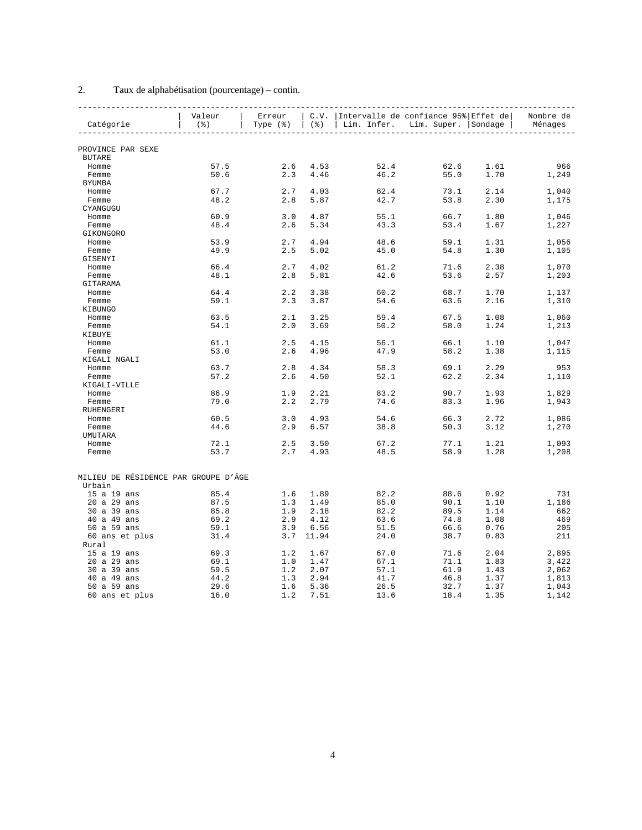### 2. Taux de alphabétisation (pourcentage) – contin.

|                                      | Valeur           | Erreur |           | C.V.  Intervalle de confiance 95% Effet de       |                  |      | Nombre de |
|--------------------------------------|------------------|--------|-----------|--------------------------------------------------|------------------|------|-----------|
| Catégorie                            | $($ $\delta$ $)$ |        |           | Type $(*)$ $(%)$ Lim. Infer. Lim. Super. Sondage |                  |      | Ménages   |
|                                      |                  |        |           |                                                  | ---------------- |      |           |
| PROVINCE PAR SEXE                    |                  |        |           |                                                  |                  |      |           |
| <b>BUTARE</b>                        |                  |        |           |                                                  |                  |      |           |
| Homme                                | 57.5             | 2.6    | 4.53      | 52.4                                             | 62.6             | 1.61 | 966       |
| Femme                                | 50.6             | 2.3    | 4.46      | 46.2                                             | 55.0             | 1.70 | 1,249     |
| <b>BYUMBA</b>                        |                  |        |           |                                                  |                  |      |           |
| Homme                                | 67.7             | 2.7    | 4.03      | 62.4                                             | 73.1             | 2.14 | 1,040     |
| Femme                                | 48.2             | 2.8    | 5.87      | 42.7                                             | 53.8             | 2.30 | 1,175     |
| CYANGUGU                             |                  |        |           |                                                  |                  |      |           |
| Homme                                | 60.9             | 3.0    | 4.87      | 55.1                                             | 66.7             | 1.80 | 1,046     |
| Femme                                | 48.4             | 2.6    | 5.34      | 43.3                                             | 53.4             | 1.67 | 1,227     |
| GIKONGORO                            |                  |        |           |                                                  |                  |      |           |
| Homme                                | 53.9             | 2.7    | 4.94      | 48.6                                             | 59.1             | 1.31 | 1,056     |
| Femme                                | 49.9             | 2.5    | 5.02      | 45.0                                             | 54.8             | 1.30 | 1,105     |
| GISENYI                              |                  |        |           |                                                  |                  |      |           |
| Homme                                | 66.4             | 2.7    | 4.02      | 61.2                                             | 71.6             | 2.38 | 1,070     |
| Femme                                | 48.1             | 2.8    | 5.81      | 42.6                                             | 53.6             | 2.57 | 1,203     |
| GITARAMA                             |                  |        |           |                                                  |                  |      |           |
| Homme                                | 64.4             | 2.2    | 3.38      | 60.2                                             | 68.7             | 1.70 | 1,137     |
| Femme                                | 59.1             | 2.3    | 3.87      | 54.6                                             | 63.6             | 2.16 | 1,310     |
| KIBUNGO                              |                  |        |           |                                                  |                  |      |           |
| Homme                                | 63.5             | 2.1    | 3.25      | 59.4                                             | 67.5             | 1.08 | 1,060     |
| Femme                                | 54.1             | 2.0    | 3.69      | 50.2                                             | 58.0             | 1.24 | 1,213     |
| KIBUYE                               |                  |        |           |                                                  |                  |      |           |
| Homme                                | 61.1             | 2.5    | 4.15      | 56.1                                             | 66.1             | 1.10 | 1,047     |
| Femme                                | 53.0             | 2.6    | 4.96      | 47.9                                             | 58.2             | 1.38 | 1,115     |
| KIGALI NGALI                         |                  |        |           |                                                  |                  |      |           |
| Homme                                | 63.7             | 2.8    | 4.34      | 58.3                                             | 69.1             | 2.29 | 953       |
| Femme                                | 57.2             | 2.6    | 4.50      | 52.1                                             | 62.2             | 2.34 | 1,110     |
| KIGALI-VILLE                         |                  |        |           |                                                  |                  |      |           |
| Homme                                | 86.9             | 1.9    | 2.21      | 83.2                                             | 90.7             | 1.93 | 1,829     |
| Femme                                | 79.0             | 2.2    | 2.79      | 74.6                                             | 83.3             | 1.96 | 1,943     |
| RUHENGERI                            |                  |        |           |                                                  |                  |      |           |
| Homme                                | 60.5             | 3.0    | 4.93      | 54.6                                             | 66.3             | 2.72 | 1,086     |
| Femme                                | 44.6             | 2.9    | 6.57      | 38.8                                             | 50.3             | 3.12 | 1,270     |
| UMUTARA                              |                  |        |           |                                                  |                  |      |           |
| Homme                                | 72.1             | 2.5    | 3.50      | 67.2                                             | 77.1             | 1.21 | 1,093     |
| Femme                                | 53.7             | 2.7    | 4.93      | 48.5                                             | 58.9             | 1.28 | 1,208     |
|                                      |                  |        |           |                                                  |                  |      |           |
| MILIEU DE RÉSIDENCE PAR GROUPE D'ÂGE |                  |        |           |                                                  |                  |      |           |
| Urbain                               |                  |        |           |                                                  |                  |      |           |
| 15 a 19 ans                          | 85.4             | 1.6    | 1.89      | 82.2                                             | 88.6             | 0.92 | 731       |
| 20 a 29 ans                          | 87.5             | 1.3    | 1.49      | 85.0                                             | 90.1             | 1.10 | 1,186     |
| 30 a 39 ans                          | 85.8             | 1.9    | 2.18      | 82.2                                             | 89.5             | 1.14 | 662       |
| 40 a 49 ans                          | 69.2             | 2.9    | 4.12      | 63.6                                             | 74.8             | 1.08 | 469       |
| 50 a 59 ans                          | 59.1             | 3.9    | 6.56      | 51.5                                             | 66.6             | 0.76 | 205       |
| 60 ans et plus                       | 31.4             |        | 3.7 11.94 | 24.0                                             | 38.7             | 0.83 | 211       |
| Rural                                |                  |        |           |                                                  |                  |      |           |
| 15 a 19 ans                          | 69.3             | 1.2    | 1.67      | 67.0                                             | 71.6             | 2.04 | 2,895     |
| 20 a 29 ans                          | 69.1             | 1.0    | 1.47      | 67.1                                             | 71.1             | 1.83 | 3,422     |
| 30 a 39 ans                          | 59.5             | 1.2    | 2.07      | 57.1                                             | 61.9             | 1.43 | 2,062     |
| 40 a 49 ans                          | 44.2             | 1.3    | 2.94      | 41.7                                             | 46.8             | 1.37 | 1,813     |
| 50 a 59 ans                          | 29.6             | 1.6    | 5.36      | 26.5                                             | 32.7             | 1.37 | 1,043     |
| 60 ans et plus                       | 16.0             | 1.2    | 7.51      | 13.6                                             | 18.4             | 1.35 | 1,142     |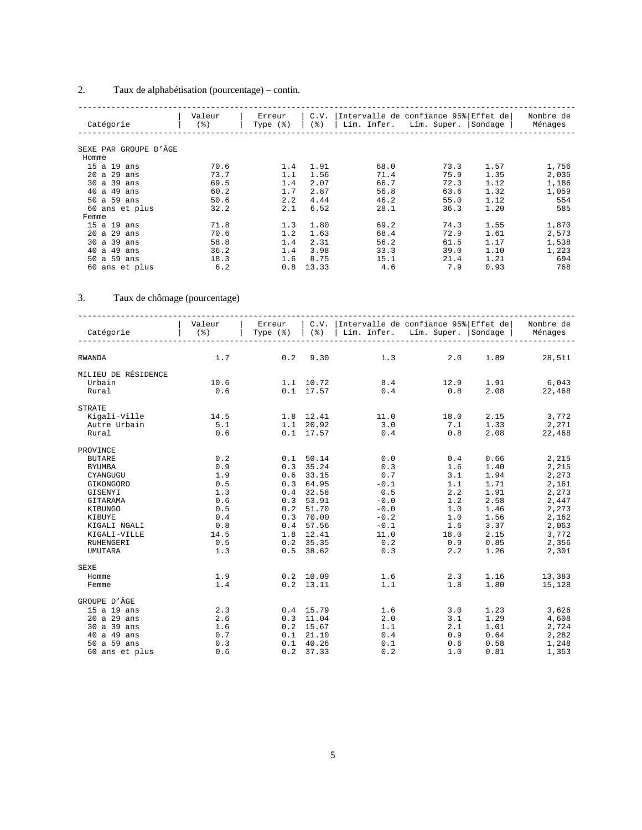### 2. Taux de alphabétisation (pourcentage) – contin.

| Catégorie             | Valeur<br>(%) | Erreur<br>Type $(\frac{1}{6})$ | C.V.<br>(응) | Lim. Infer. | Intervalle de confiance 95% Effet de<br>Lim. Super. | Sondage | Nombre de<br>Ménages |
|-----------------------|---------------|--------------------------------|-------------|-------------|-----------------------------------------------------|---------|----------------------|
|                       |               |                                |             |             |                                                     |         |                      |
| SEXE PAR GROUPE D'ÂGE |               |                                |             |             |                                                     |         |                      |
| Homme                 |               |                                |             |             |                                                     |         |                      |
| 15 a 19 ans           | 70.6          | 1.4                            | 1.91        | 68.0        | 73.3                                                | 1.57    | 1,756                |
| 20 a 29<br>ans        | 73.7          | 1.1                            | 1.56        | 71.4        | 75.9                                                | 1.35    | 2,035                |
| 30 a 39<br>ans        | 69.5          | 1.4                            | 2.07        | 66.7        | 72.3                                                | 1.12    | 1,186                |
| 40 a 49<br>ans        | 60.2          | 1.7                            | 2.87        | 56.8        | 63.6                                                | 1.32    | 1,059                |
| 50 a 59<br>ans        | 50.6          | 2.2                            | 4.44        | 46.2        | 55.0                                                | 1.12    | 554                  |
| 60 ans et plus        | 32.2          | 2.1                            | 6.52        | 28.1        | 36.3                                                | 1.20    | 585                  |
| Femme                 |               |                                |             |             |                                                     |         |                      |
| 15a19<br>ans          | 71.8          | 1.3                            | 1.80        | 69.2        | 74.3                                                | 1.55    | 1,870                |
| 20 a 29<br>ans        | 70.6          | 1.2                            | 1.63        | 68.4        | 72.9                                                | 1.61    | 2,573                |
| 30a39<br>ans          | 58.8          | 1.4                            | 2.31        | 56.2        | 61.5                                                | 1.17    | 1,538                |
| 40a49<br>ans          | 36.2          | 1.4                            | 3.98        | 33.3        | 39.0                                                | 1.10    | 1,223                |
| 50 a 59<br>ans        | 18.3          | 1.6                            | 8.75        | 15.1        | 21.4                                                | 1.21    | 694                  |
| 60 ans et plus        | 6.2           | 0.8                            | 13.33       | 4.6         | 7.9                                                 | 0.93    | 768                  |

### 3. Taux de chômage (pourcentage)

| Catégorie           | Valeur<br>$($ $\frac{6}{6}$ $)$ |             |               | Erreur   C.V.  Intervalle de confiance 95% Effet de <br>  Type (%)   (%)   Lim. Infer. Lim. Super.   Sondage   Ménages |                                           |                                                                       | Nombre de    |
|---------------------|---------------------------------|-------------|---------------|------------------------------------------------------------------------------------------------------------------------|-------------------------------------------|-----------------------------------------------------------------------|--------------|
|                     |                                 |             |               |                                                                                                                        |                                           |                                                                       |              |
| RWANDA              | 1.7                             | $0.2$ 9.30  |               |                                                                                                                        | 1.3<br>2.0                                | 1.89                                                                  | 28,511       |
| MILIEU DE RÉSIDENCE |                                 |             |               |                                                                                                                        |                                           |                                                                       |              |
| Urbain              | 10.6                            | 1.1 10.72   |               |                                                                                                                        | 8.4 12.9 1.91 6,043                       |                                                                       |              |
| Rural               | 0.6                             |             |               | $0.1 \quad 17.57$                                                                                                      | $0.4$ 0.8                                 |                                                                       | 2.08 22,468  |
| <b>STRATE</b>       |                                 |             |               |                                                                                                                        |                                           |                                                                       |              |
| Kigali-Ville        | 14.5                            |             |               | $1.8$ $12.41$ $11.0$ $18.0$                                                                                            |                                           |                                                                       | 2.15 3,772   |
| Autre Urbain        | 5.1                             |             |               | $1.1 \quad 20.92 \quad 3.0$                                                                                            | 7.1                                       |                                                                       | 1.33 2,271   |
| Rural               | 0.6                             |             |               | $0.1 \quad 17.57$                                                                                                      | 0.4<br>0.8                                | 2.08                                                                  | 22,468       |
| PROVINCE            |                                 |             |               |                                                                                                                        |                                           |                                                                       |              |
| <b>BUTARE</b>       | 0.2                             | $0.1$ 50.14 |               | 0.0                                                                                                                    | 0.4                                       |                                                                       | $0.66$ 2,215 |
| <b>BYUMBA</b>       | 0.9                             |             |               | $0.3$ 35.24 0.3                                                                                                        | 1.6                                       |                                                                       | $1.40$ 2,215 |
| CYANGUGU            | 1.9                             |             | $0.6$ 33.15   | 0.7                                                                                                                    | 3.1                                       | 1.94                                                                  | 2,273        |
| GIKONGORO           | 0.5                             |             | $0.3$ 64.95   | $-0.1$                                                                                                                 | $\frac{1}{2}$ . 1                         | 1.71                                                                  | 2,161        |
| GISENYI             | 1.3                             |             | $0.4$ 32.58   | 0.5                                                                                                                    |                                           | 1.91                                                                  | 2,273        |
| GITARAMA            | 0.6                             |             | $0.3$ 53.91   | $-0.0$                                                                                                                 | 1.2                                       | 2.58                                                                  | 2,447        |
| KIBUNGO             | 0.5                             |             | $0.2$ 51.70   | $-0.0$                                                                                                                 | 1.0                                       |                                                                       | 1.46 2,273   |
| KIBUYE              | 0.4                             |             | $0.3$ 70.00   |                                                                                                                        | $-0.2$<br>1.0                             | 1.56                                                                  | 2,162        |
| KIGALI NGALI        | 0.8                             |             | $0.4$ 57.56   | $-0.1$                                                                                                                 | $1.6$                                     | 3.37                                                                  | 2,063        |
| KIGALI-VILLE        | 14.5                            |             | 1.8 12.41     | 11.0                                                                                                                   |                                           | $\begin{array}{ccc} 18.0 & \quad 2.15 \ 0.9 & \quad 0.85 \end{array}$ | 3,772        |
| RUHENGERI           | 0.5                             |             | $0.2$ 35.35   | 0.2                                                                                                                    |                                           |                                                                       | 2,356        |
| UMUTARA             | 1.3                             |             | $0.5$ 38.62   | 0.3                                                                                                                    | 2.2                                       | 1.26                                                                  | 2,301        |
| SEXE                |                                 |             |               |                                                                                                                        |                                           |                                                                       |              |
| Homme               | 1.9                             |             | $0.2$ 10.09   | 1.6                                                                                                                    | $2.3$<br>$1.8$                            | 1.16                                                                  | 13,383       |
| Femme               | 1.4                             |             | $0.2$ 13.11   | 1.1                                                                                                                    |                                           | 1.80                                                                  | 15,128       |
| GROUPE D'ÂGE        |                                 |             |               |                                                                                                                        |                                           |                                                                       |              |
| 15 a 19 ans         | 2.3                             | $0.4$ 15.79 |               | 1.6                                                                                                                    | 3.0                                       |                                                                       | 1.23 3,626   |
| 20 a 29 ans         | 2.6                             | $0.3$ 11.04 |               | 2.0                                                                                                                    | 3.1                                       | 1.29                                                                  | 4,608        |
| 30 a 39 ans         | 1.6                             |             | $0.2$ 15.67   | 1.1                                                                                                                    |                                           | 1.01                                                                  | 2,724        |
| 40 a 49 ans         | 0.7                             |             | $0.1$ $21.10$ | 0.4                                                                                                                    | $\begin{array}{c} 2.1 \\ 0.9 \end{array}$ | 0.64                                                                  | 2,282        |
| 50 a 59 ans         | 0.3                             | $0.1$ 40.26 |               | 0.1                                                                                                                    |                                           | 0.6 0.58                                                              | 1,248        |
| 60 ans et plus      | 0.6                             |             | $0.2$ 37.33   | 0.2                                                                                                                    | 1.0                                       | 0.81                                                                  | 1,353        |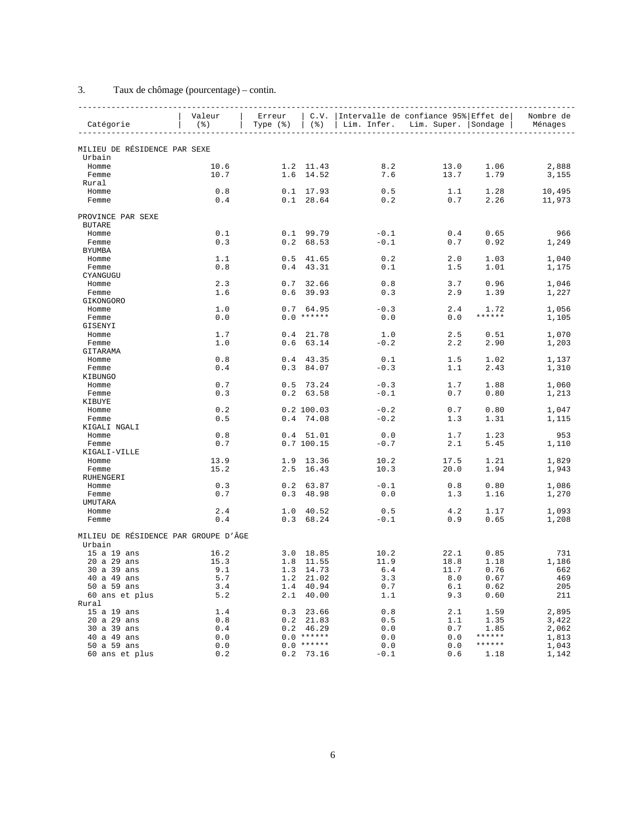### 3. Taux de chômage (pourcentage) – contin.

| Catégorie                            | Valeur<br>$($ $\frac{6}{3}$ $)$ | Erreur<br>Type $(\frac{1}{6})$ |                    | C.V.   Intervalle de confiance 95% Effet de  <br>(%)   Lim. Infer. Lim. Super.   Sondage |            |                | Nombre de<br>Ménages |
|--------------------------------------|---------------------------------|--------------------------------|--------------------|------------------------------------------------------------------------------------------|------------|----------------|----------------------|
| MILIEU DE RÉSIDENCE PAR SEXE         |                                 |                                |                    |                                                                                          |            |                |                      |
| Urbain                               |                                 |                                |                    |                                                                                          |            |                |                      |
| Homme                                | 10.6                            |                                | 1.2 11.43          | 8.2                                                                                      | 13.0       | 1.06           | 2,888                |
| Femme                                | 10.7                            |                                | 1.6 14.52          | 7.6                                                                                      | 13.7       | 1.79           | 3,155                |
| Rural                                |                                 |                                |                    |                                                                                          |            |                |                      |
| Homme                                | 0.8                             |                                | $0.1 \quad 17.93$  | 0.5                                                                                      | 1.1        | 1.28           | 10,495               |
| Femme                                | 0.4                             |                                | $0.1$ 28.64        | 0.2                                                                                      | 0.7        | 2.26           | 11,973               |
| PROVINCE PAR SEXE                    |                                 |                                |                    |                                                                                          |            |                |                      |
| <b>BUTARE</b>                        |                                 |                                |                    |                                                                                          |            |                |                      |
| Homme                                | 0.1                             |                                | $0.1$ 99.79        | $-0.1$                                                                                   | 0.4        | 0.65           | 966                  |
| Femme                                | 0.3                             | 0.2                            | 68.53              | $-0.1$                                                                                   | 0.7        | 0.92           | 1,249                |
| <b>BYUMBA</b>                        |                                 |                                |                    |                                                                                          |            |                |                      |
| Homme                                | 1.1                             | 0.5                            | 41.65              | 0.2                                                                                      | 2.0        | 1.03           | 1,040                |
| Femme                                | 0.8                             | 0.4                            | 43.31              | 0.1                                                                                      | 1.5        | 1.01           | 1,175                |
| CYANGUGU                             |                                 |                                |                    |                                                                                          |            |                |                      |
| Homme                                | 2.3                             | 0.7                            | 32.66              | 0.8                                                                                      | 3.7        | 0.96           | 1,046                |
| Femme                                | 1.6                             | 0.6                            | 39.93              | 0.3                                                                                      | 2.9        | 1.39           | 1,227                |
| GIKONGORO                            |                                 |                                |                    |                                                                                          |            |                |                      |
| Homme                                | 1.0                             |                                | 0.764.95           | $-0.3$                                                                                   | 2.4        | 1.72<br>****** | 1,056                |
| Femme<br>GISENYI                     | 0.0                             |                                | $0.0$ ******       | 0.0                                                                                      | 0.0        |                | 1,105                |
|                                      | 1.7                             |                                | $0.4$ 21.78        |                                                                                          | 2.5        |                |                      |
| Homme<br>Femme                       | 1.0                             | 0.6                            | 63.14              | 1.0<br>$-0.2$                                                                            | 2.2        | 0.51<br>2.90   | 1,070<br>1,203       |
| GITARAMA                             |                                 |                                |                    |                                                                                          |            |                |                      |
| Homme                                | 0.8                             |                                | $0.4$ 43.35        | 0.1                                                                                      | 1.5        | 1.02           | 1,137                |
| Femme                                | 0.4                             | 0.3                            | 84.07              | $-0.3$                                                                                   | 1.1        | 2.43           | 1,310                |
| KIBUNGO                              |                                 |                                |                    |                                                                                          |            |                |                      |
| Homme                                | 0.7                             |                                | $0.5$ 73.24        | $-0.3$                                                                                   | 1.7        | 1.88           | 1,060                |
| Femme                                | 0.3                             |                                | $0.2$ 63.58        | $-0.1$                                                                                   | 0.7        | 0.80           | 1,213                |
| KIBUYE                               |                                 |                                |                    |                                                                                          |            |                |                      |
| Homme                                | 0.2                             |                                | 0.2 100.03         | $-0.2$                                                                                   | 0.7        | 0.80           | 1,047                |
| Femme                                | 0.5                             |                                | $0.4$ 74.08        | $-0.2$                                                                                   | 1.3        | 1.31           | 1,115                |
| KIGALI NGALI                         |                                 |                                |                    |                                                                                          |            |                |                      |
| Homme                                | 0.8                             |                                | $0.4$ 51.01        | 0.0                                                                                      | 1.7        | 1.23           | 953                  |
| Femme                                | 0.7                             |                                | 0.7 100.15         | $-0.7$                                                                                   | 2.1        | 5.45           | 1,110                |
| KIGALI-VILLE                         |                                 |                                |                    |                                                                                          |            |                |                      |
| Homme                                | 13.9                            | 1.9                            | 13.36              | 10.2                                                                                     | 17.5       | 1.21           | 1,829                |
| Femme                                | 15.2                            | 2.5                            | 16.43              | 10.3                                                                                     | 20.0       | 1.94           | 1,943                |
| RUHENGERI                            |                                 |                                |                    |                                                                                          |            |                |                      |
| Homme                                | 0.3                             | 0.2                            | 63.87              | $-0.1$                                                                                   | 0.8        | 0.80           | 1,086                |
| Femme                                | 0.7                             | 0.3                            | 48.98              | 0.0                                                                                      | 1.3        | 1.16           | 1,270                |
| UMUTARA                              |                                 |                                |                    |                                                                                          |            |                |                      |
| Homme<br>Femme                       | 2.4<br>0.4                      | 1.0                            | 40.52<br>0.3 68.24 | 0.5<br>$-0.1$                                                                            | 4.2<br>0.9 | 1.17<br>0.65   | 1,093<br>1,208       |
| MILIEU DE RÉSIDENCE PAR GROUPE D'ÂGE |                                 |                                |                    |                                                                                          |            |                |                      |
| Urbain                               |                                 |                                |                    |                                                                                          |            |                |                      |
| 15 a 19 ans                          | 16.2                            |                                | 3.0 18.85          | 10.2                                                                                     | 22.1       | 0.85           | 731                  |
| 20 a 29 ans                          | 15.3                            |                                | 1.8 11.55          | 11.9                                                                                     | 18.8       | 1.18           | 1,186                |
| 30 a 39 ans                          | 9.1                             |                                | 1.3 14.73          | 6.4                                                                                      | 11.7       | 0.76           | 662                  |
| 40 a 49 ans                          | 5.7                             |                                | 1.2 21.02          | 3.3                                                                                      | 8.0        | 0.67           | 469                  |
| 50 a 59 ans                          | 3.4                             |                                | 1.4 40.94          | 0.7                                                                                      | 6.1        | 0.62           | 205                  |
| 60 ans et plus                       | 5.2                             | 2.1                            | 40.00              | 1.1                                                                                      | 9.3        | 0.60           | 211                  |
| Rural                                |                                 |                                |                    |                                                                                          |            |                |                      |
| 15 a 19 ans                          | 1.4                             |                                | $0.3$ 23.66        | 0.8                                                                                      | 2.1        | 1.59           | 2,895                |
| 20 a 29 ans                          | 0.8                             |                                | $0.2$ 21.83        | 0.5                                                                                      | 1.1        | 1.35           | 3,422                |
| 30 a 39 ans                          | 0.4                             |                                | $0.2$ 46.29        | 0.0                                                                                      | 0.7        | 1.85           | 2,062                |
| 40 a 49 ans                          | 0.0                             |                                | $0.0$ ******       | 0.0                                                                                      | 0.0        | ******         | 1,813                |
| 50 a 59 ans                          | 0.0                             |                                | $0.0$ ******       | 0.0                                                                                      | 0.0        | ******         | 1,043                |
| 60 ans et plus                       | 0.2                             |                                | $0.2$ 73.16        | $-0.1$                                                                                   | 0.6        | 1.18           | 1,142                |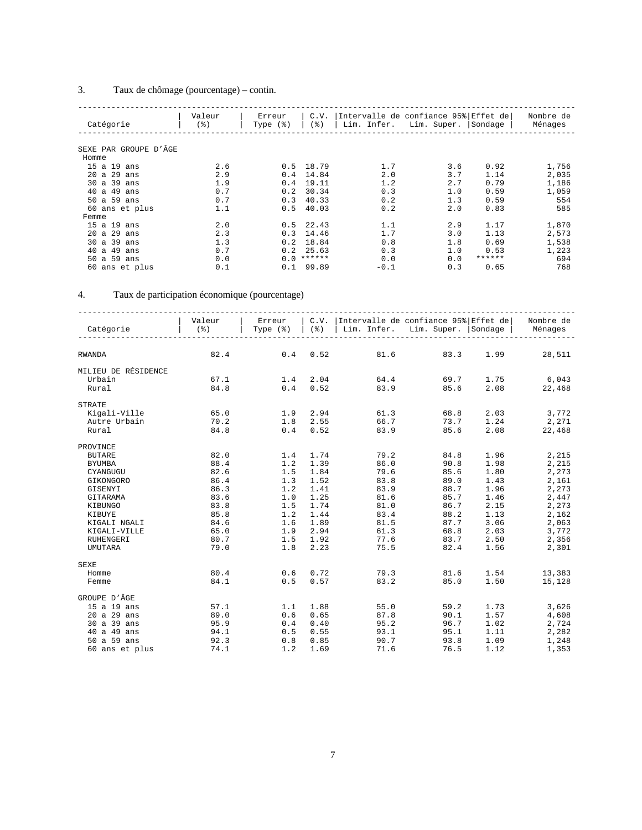### 3. Taux de chômage (pourcentage) – contin.

| Catégorie                | Valeur<br>(%) | Erreur<br>Type $(\frac{1}{6})$ | C.V.<br>(응) | Intervalle de confiance 95% Effet de<br>Lim. Infer. | Lim. Super. | Sondage | Nombre de<br>Ménages |
|--------------------------|---------------|--------------------------------|-------------|-----------------------------------------------------|-------------|---------|----------------------|
|                          |               |                                |             |                                                     |             |         |                      |
| PAR GROUPE D'ÂGE<br>SEXE |               |                                |             |                                                     |             |         |                      |
| Homme                    |               |                                |             |                                                     |             |         |                      |
| 15 a 19 ans              | 2.6           |                                | $0.5$ 18.79 | 1.7                                                 | 3.6         | 0.92    | 1,756                |
| $20$ a $29$<br>ans       | 2.9           | 0.4                            | 14.84       | 2.0                                                 | 3.7         | 1.14    | 2,035                |
| 30 a 39<br>ans           | 1.9           | 0.4                            | 19.11       | 1.2                                                 | 2.7         | 0.79    | 1,186                |
| 40 a 49<br>ans           | 0.7           | 0.2                            | 30.34       | 0.3                                                 | 1.0         | 0.59    | 1,059                |
| 50 a 59<br>ans           | 0.7           | 0.3                            | 40.33       | 0.2                                                 | 1.3         | 0.59    | 554                  |
| 60 ans et plus           | 1.1           | 0.5                            | 40.03       | 0.2                                                 | 2.0         | 0.83    | 585                  |
| Femme                    |               |                                |             |                                                     |             |         |                      |
| 15a19<br>ans             | 2.0           |                                | $0.5$ 22.43 | 1.1                                                 | 2.9         | 1.17    | 1,870                |
| 20 a 29<br>ans           | 2.3           | 0.3                            | 14.46       | 1.7                                                 | 3.0         | 1.13    | 2,573                |
| 30a39<br>ans             | 1.3           | 0.2                            | 18.84       | 0.8                                                 | 1.8         | 0.69    | 1,538                |
| 40a49<br>ans             | 0.7           | 0.2                            | 25.63       | 0.3                                                 | 1.0         | 0.53    | 1,223                |
| 59<br>50 a<br>ans        | 0.0           | 0.0                            | ******      | 0.0                                                 | 0.0         | ******  | 694                  |
| 60 ans et plus           | 0.1           | 0.1                            | 99.89       | $-0.1$                                              | 0.3         | 0.65    | 768                  |

#### 4. Taux de participation économique (pourcentage)

| Catégorie           | Valeur<br>$($ $\frac{6}{6}$ $)$ | Erreur<br>Type $(\frac{1}{6})$ |      | C.V. Intervalle de confiance 95% Effet de<br>(%)   Lim. Infer. Lim. Super.   Sondage |           |      | Nombre de<br>Ménages |
|---------------------|---------------------------------|--------------------------------|------|--------------------------------------------------------------------------------------|-----------|------|----------------------|
| <b>RWANDA</b>       | 82.4                            | 0.4                            | 0.52 | 81.6                                                                                 | 83.3      | 1.99 | 28,511               |
| MILIEU DE RÉSIDENCE |                                 |                                |      |                                                                                      |           |      |                      |
| Urbain              | 67.1                            | 1.4 2.04                       |      | 64.4                                                                                 |           |      | 69.7 1.75 6,043      |
| Rural               | 84.8                            | $0.4$ 0.52                     |      |                                                                                      | 83.9 85.6 |      | 2.08 22,468          |
| <b>STRATE</b>       |                                 |                                |      |                                                                                      |           |      |                      |
| Kigali-Ville        | 65.0                            | 1.9 2.94                       |      | 61.3                                                                                 | 68.8      | 2.03 | 3,772                |
| Autre Urbain        | 70.2                            | 1.8                            | 2.55 | 66.7                                                                                 | 73.7      | 1.24 | 2,271                |
| Rural               | 84.8                            | 0.4                            | 0.52 | 83.9                                                                                 | 85.6      | 2.08 | 22,468               |
| PROVINCE            |                                 |                                |      |                                                                                      |           |      |                      |
| <b>BUTARE</b>       | 82.0                            | 1.4                            | 1.74 | 79.2                                                                                 | 84.8      | 1.96 | 2,215                |
| <b>BYUMBA</b>       | 88.4                            | 1.2                            | 1.39 | 86.0                                                                                 | 90.8      | 1.98 | 2,215                |
| CYANGUGU            | 82.6                            | 1.5                            | 1.84 | 79.6                                                                                 | 85.6      | 1.80 | 2,273                |
| GIKONGORO           | 86.4                            | 1.3                            | 1.52 | 83.8                                                                                 | 89.0      | 1.43 | 2,161                |
| GISENYI             | 86.3                            | 1.2                            | 1.41 | 83.9                                                                                 | 88.7      | 1.96 | 2,273                |
| GITARAMA            | 83.6                            | 1.0                            | 1.25 | 81.6                                                                                 | 85.7      | 1.46 | 2,447                |
| KIBUNGO             | 83.8                            | 1.5                            | 1.74 | 81.0                                                                                 | 86.7      | 2.15 | 2,273                |
| KIBUYE              | 85.8                            | 1.2                            | 1.44 | 83.4                                                                                 | 88.2      | 1.13 | 2,162                |
| KIGALI NGALI        | 84.6                            | 1.6                            | 1.89 | 81.5                                                                                 | 87.7      | 3.06 | 2,063                |
| KIGALI-VILLE        | 65.0                            | 1.9                            | 2.94 | 61.3                                                                                 | 68.8      | 2.03 | 3,772                |
| RUHENGERI           | 80.7                            | 1.5                            | 1.92 | 77.6                                                                                 | 83.7      | 2.50 | 2,356                |
| <b>UMUTARA</b>      | 79.0                            | 1.8                            | 2.23 | 75.5                                                                                 | 82.4      | 1.56 | 2,301                |
| <b>SEXE</b>         |                                 |                                |      |                                                                                      |           |      |                      |
| Homme               | 80.4                            | 0.6                            | 0.72 | 79.3                                                                                 | 81.6      | 1.54 | 13,383               |
| Femme               | 84.1                            | 0.5                            | 0.57 | 83.2                                                                                 | 85.0      | 1.50 | 15,128               |
| GROUPE D'ÂGE        |                                 |                                |      |                                                                                      |           |      |                      |
| 15 a 19 ans         | 57.1                            | 1.1                            | 1.88 | 55.0                                                                                 | 59.2      | 1.73 | 3,626                |
| 20 a 29 ans         | 89.0                            | 0.6                            | 0.65 | 87.8                                                                                 | 90.1      | 1.57 | 4,608                |
| 30 a 39 ans         | 95.9                            | 0.4                            | 0.40 | 95.2                                                                                 | 96.7      | 1.02 | 2,724                |
| 40 a 49 ans         | 94.1                            | 0.5                            | 0.55 | 93.1                                                                                 | 95.1      | 1.11 | 2,282                |
| 50 a 59 ans         | 92.3                            | 0.8                            | 0.85 | 90.7                                                                                 | 93.8      | 1.09 | 1,248                |
| 60 ans et plus      | 74.1                            | 1.2                            | 1.69 | 71.6                                                                                 | 76.5      | 1.12 | 1,353                |
|                     |                                 |                                |      |                                                                                      |           |      |                      |

7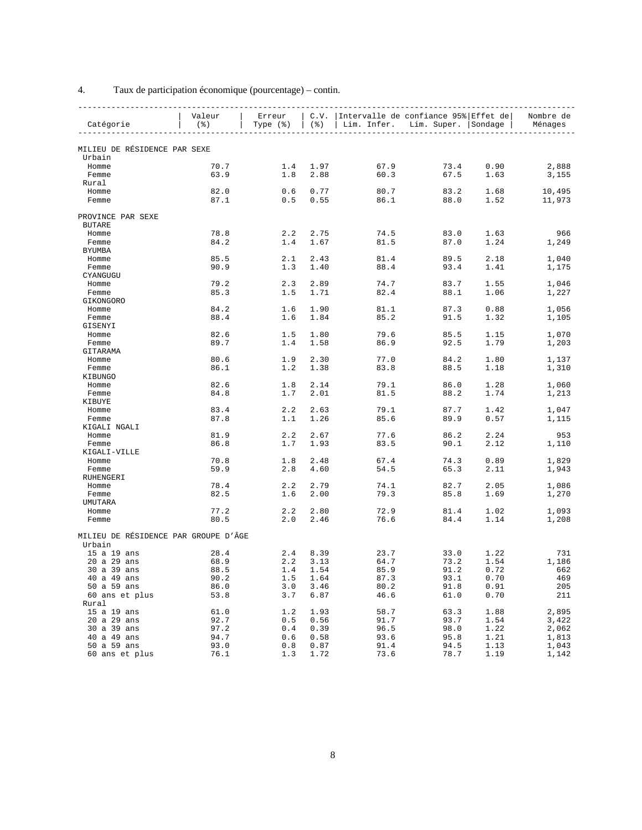|                                                | Valeur           | Erreur               |            | C.V.   Intervalle de confiance 95% Effet de |                     |      | Nombre de |
|------------------------------------------------|------------------|----------------------|------------|---------------------------------------------|---------------------|------|-----------|
| Catégorie                                      | $($ $\delta$ $)$ | Type $(\frac{1}{6})$ | ( % )      | Lim. Infer.                                 | Lim. Super. Sondage |      | Ménages   |
|                                                |                  |                      |            |                                             |                     |      |           |
| MILIEU DE RÉSIDENCE PAR SEXE                   |                  |                      |            |                                             |                     |      |           |
| Urbain                                         |                  |                      |            |                                             |                     |      |           |
| Homme                                          | 70.7             | 1.4                  | 1.97       | 67.9                                        | 73.4                | 0.90 | 2,888     |
| Femme                                          | 63.9             | 1.8                  | 2.88       | 60.3                                        | 67.5                | 1.63 | 3,155     |
| Rural                                          |                  |                      |            |                                             |                     |      |           |
| Homme                                          | 82.0             | 0.6                  | 0.77       | 80.7                                        | 83.2                | 1.68 | 10,495    |
| Femme                                          | 87.1             | 0.5                  | 0.55       | 86.1                                        | 88.0                | 1.52 | 11,973    |
| PROVINCE PAR SEXE<br><b>BUTARE</b>             |                  |                      |            |                                             |                     |      |           |
| Homme                                          | 78.8             | 2.2                  | 2.75       | 74.5                                        | 83.0                | 1.63 | 966       |
| Femme                                          | 84.2             | 1.4                  | 1.67       | 81.5                                        | 87.0                | 1.24 | 1,249     |
| <b>BYUMBA</b>                                  |                  |                      |            |                                             |                     |      |           |
| Homme                                          | 85.5             | 2.1                  | 2.43       | 81.4                                        | 89.5                | 2.18 | 1,040     |
| Femme                                          | 90.9             | 1.3                  | 1.40       | 88.4                                        | 93.4                | 1.41 | 1,175     |
| CYANGUGU                                       |                  |                      |            |                                             |                     |      |           |
| Homme                                          | 79.2             | 2.3                  | 2.89       | 74.7                                        | 83.7                | 1.55 | 1,046     |
| Femme                                          | 85.3             | 1.5                  | 1.71       | 82.4                                        | 88.1                | 1.06 | 1,227     |
| GIKONGORO                                      |                  |                      |            |                                             |                     |      |           |
| Homme                                          | 84.2             | 1.6                  | 1.90       | 81.1                                        | 87.3                | 0.88 | 1,056     |
| Femme<br>GISENYI                               | 88.4             | 1.6                  | 1.84       | 85.2                                        | 91.5                | 1.32 | 1,105     |
| Homme                                          | 82.6             | 1.5                  | 1.80       | 79.6                                        | 85.5                | 1.15 | 1,070     |
| Femme                                          | 89.7             | 1.4                  | 1.58       | 86.9                                        | 92.5                | 1.79 | 1,203     |
| GITARAMA                                       |                  |                      |            |                                             |                     |      |           |
| Homme                                          | 80.6             | 1.9                  | 2.30       | 77.0                                        | 84.2                | 1.80 | 1,137     |
| Femme                                          | 86.1             | 1.2                  | 1.38       | 83.8                                        | 88.5                | 1.18 | 1,310     |
| KIBUNGO                                        |                  |                      |            |                                             |                     |      |           |
| Homme                                          | 82.6             | 1.8                  | 2.14       | 79.1                                        | 86.0                | 1.28 | 1,060     |
| Femme                                          | 84.8             | 1.7                  | 2.01       | 81.5                                        | 88.2                | 1.74 | 1,213     |
| KIBUYE                                         |                  |                      |            |                                             |                     |      |           |
| Homme                                          | 83.4             | 2.2                  | 2.63       | 79.1                                        | 87.7                | 1.42 | 1,047     |
| Femme                                          | 87.8             | 1.1                  | 1.26       | 85.6                                        | 89.9                | 0.57 | 1,115     |
| KIGALI NGALI                                   |                  |                      |            |                                             |                     |      |           |
| Homme                                          | 81.9             | 2.2                  | 2.67       | 77.6                                        | 86.2                | 2.24 | 953       |
| Femme                                          | 86.8             | 1.7                  | 1.93       | 83.5                                        | 90.1                | 2.12 | 1,110     |
| KIGALI-VILLE                                   |                  |                      |            |                                             |                     |      |           |
| Homme                                          | 70.8             | 1.8                  | 2.48       | 67.4                                        | 74.3                | 0.89 | 1,829     |
| Femme<br>RUHENGERI                             | 59.9             | 2.8                  | 4.60       | 54.5                                        | 65.3                | 2.11 | 1,943     |
| Homme                                          | 78.4             | 2.2                  | 2.79       | 74.1                                        | 82.7                | 2.05 | 1,086     |
| Femme                                          | 82.5             | 1.6                  | 2.00       | 79.3                                        | 85.8                | 1.69 | 1,270     |
| UMUTARA                                        |                  |                      |            |                                             |                     |      |           |
| Homme                                          | 77.2             | 2.2                  | 2.80       | 72.9                                        | 81.4                | 1.02 | 1,093     |
| Femme                                          | 80.5             | 2.0                  | 2.46       | 76.6                                        | 84.4                | 1.14 | 1,208     |
|                                                |                  |                      |            |                                             |                     |      |           |
| MILIEU DE RÉSIDENCE PAR GROUPE D'ÂGE<br>Urbain |                  |                      |            |                                             |                     |      |           |
| 15 a 19 ans                                    | 28.4             | 2.4                  | 8.39       | 23.7                                        | 33.0                | 1.22 | 731       |
| 20 a 29 ans                                    | 68.9             | 2.2                  | 3.13       | 64.7                                        | 73.2                | 1.54 | 1,186     |
| 30 a 39 ans                                    | 88.5             |                      | $1.4$ 1.54 | 85.9                                        | 91.2                | 0.72 | 662       |
| 40 a 49 ans                                    | 90.2             | 1.5                  | 1.64       | 87.3                                        | 93.1                | 0.70 | 469       |
| 50 a 59 ans                                    | 86.0             | 3.0                  | 3.46       | 80.2                                        | 91.8                | 0.91 | 205       |
| 60 ans et plus                                 | 53.8             | 3.7                  | 6.87       | 46.6                                        | 61.0                | 0.70 | 211       |
| Rural                                          |                  |                      |            |                                             |                     |      |           |
| 15 a 19 ans                                    | 61.0             | 1.2                  | 1.93       | 58.7                                        | 63.3                | 1.88 | 2,895     |
| 20 a 29 ans                                    | 92.7             | 0.5                  | 0.56       | 91.7                                        | 93.7                | 1.54 | 3,422     |
| 30 a 39 ans                                    | 97.2             | 0.4                  | 0.39       | 96.5                                        | 98.0                | 1.22 | 2,062     |
| 40 a 49 ans                                    | 94.7             | 0.6                  | 0.58       | 93.6                                        | 95.8                | 1.21 | 1,813     |
| 50 a 59 ans                                    | 93.0             | 0.8                  | 0.87       | 91.4                                        | 94.5                | 1.13 | 1,043     |
| 60 ans et plus                                 | 76.1             | 1.3                  | 1.72       | 73.6                                        | 78.7                | 1.19 | 1,142     |

### 4. Taux de participation économique (pourcentage) – contin.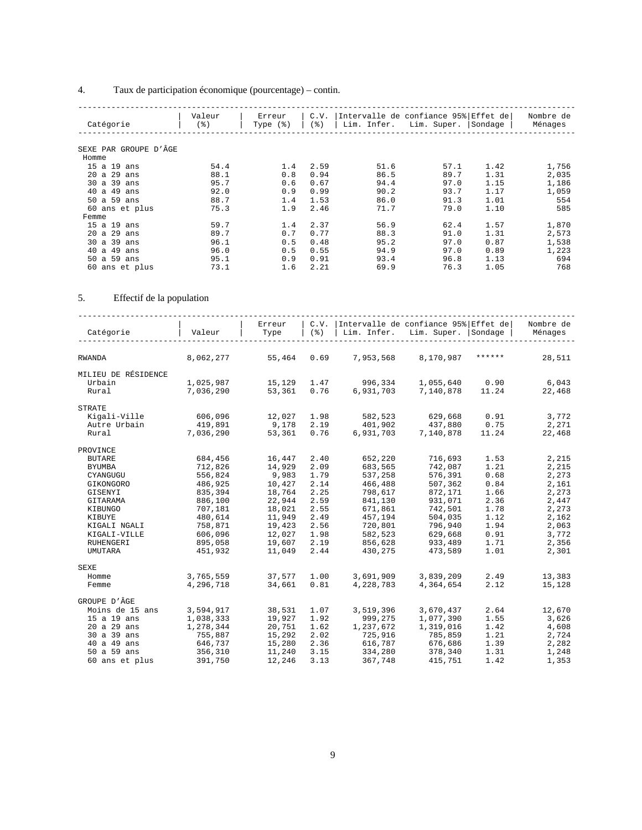### 4. Taux de participation économique (pourcentage) – contin.

| Catégorie             | Valeur<br>$($ % $)$ | Erreur<br>Type $(\frac{1}{6})$ | C.V.<br>ಿ ) | Lim. Infer. | Intervalle de confiance 95% Effet de<br>Lim. Super. | Sondage | Nombre de<br>Ménages |
|-----------------------|---------------------|--------------------------------|-------------|-------------|-----------------------------------------------------|---------|----------------------|
|                       |                     |                                |             |             |                                                     |         |                      |
| SEXE PAR GROUPE D'ÂGE |                     |                                |             |             |                                                     |         |                      |
| Homme                 |                     |                                |             |             |                                                     |         |                      |
| 15 a 19 ans           | 54.4                | 1.4                            | 2.59        | 51.6        | 57.1                                                | 1.42    | 1,756                |
| 20 a 29<br>ans        | 88.1                | 0.8                            | 0.94        | 86.5        | 89.7                                                | 1.31    | 2,035                |
| 30 a 39<br>ans        | 95.7                | 0.6                            | 0.67        | 94.4        | 97.0                                                | 1.15    | 1,186                |
| a 49 ans<br>40        | 92.0                | 0.9                            | 0.99        | 90.2        | 93.7                                                | 1.17    | 1,059                |
| a 59 ans<br>50        | 88.7                | 1.4                            | 1.53        | 86.0        | 91.3                                                | 1.01    | 554                  |
| 60 ans et plus        | 75.3                | 1.9                            | 2.46        | 71.7        | 79.0                                                | 1.10    | 585                  |
| Femme                 |                     |                                |             |             |                                                     |         |                      |
| 15 a 19 ans           | 59.7                | 1.4                            | 2.37        | 56.9        | 62.4                                                | 1.57    | 1,870                |
| $20$ a $29$ ans       | 89.7                | 0.7                            | 0.77        | 88.3        | 91.0                                                | 1.31    | 2,573                |
| 30 a 39 ans           | 96.1                | 0.5                            | 0.48        | 95.2        | 97.0                                                | 0.87    | 1,538                |
| a 49<br>40<br>ans     | 96.0                | 0.5                            | 0.55        | 94.9        | 97.0                                                | 0.89    | 1,223                |
| a 59<br>50<br>ans     | 95.1                | 0.9                            | 0.91        | 93.4        | 96.8                                                | 1.13    | 694                  |
| 60 ans et plus        | 73.1                | 1.6                            | 2.21        | 69.9        | 76.3                                                | 1.05    | 768                  |

### 5. Effectif de la population

| Catégorie           | Valeur    | Erreur<br>Type | C.V.<br>$($ $\frac{6}{6}$ $)$ | Lim. Infer. | Intervalle de confiance 95% Effet de<br>Lim. Super. | Sondage | Nombre de<br>Ménages |
|---------------------|-----------|----------------|-------------------------------|-------------|-----------------------------------------------------|---------|----------------------|
| <b>RWANDA</b>       | 8,062,277 | 55,464         | 0.69                          | 7,953,568   | 8,170,987                                           | ******  | 28,511               |
|                     |           |                |                               |             |                                                     |         |                      |
| MILIEU DE RÉSIDENCE |           |                |                               |             |                                                     |         |                      |
| Urbain              | 1,025,987 | 15,129         | 1.47                          | 996,334     | 1,055,640                                           | 0.90    | 6,043                |
| Rural               | 7,036,290 | 53,361         | 0.76                          | 6,931,703   | 7,140,878                                           | 11.24   | 22,468               |
| <b>STRATE</b>       |           |                |                               |             |                                                     |         |                      |
| Kigali-Ville        | 606,096   | 12,027         | 1.98                          | 582,523     | 629,668                                             | 0.91    | 3,772                |
| Autre Urbain        | 419,891   | 9,178          | 2.19                          | 401,902     | 437,880                                             | 0.75    | 2,271                |
| Rural               | 7,036,290 | 53,361         | 0.76                          | 6,931,703   | 7,140,878                                           | 11.24   | 22,468               |
| PROVINCE            |           |                |                               |             |                                                     |         |                      |
| <b>BUTARE</b>       | 684,456   | 16,447         | 2.40                          | 652,220     | 716,693                                             | 1.53    | 2,215                |
| <b>BYUMBA</b>       | 712,826   | 14,929         | 2.09                          | 683,565     | 742,087                                             | 1.21    | 2,215                |
| CYANGUGU            | 556,824   | 9,983          | 1.79                          | 537,258     | 576,391                                             | 0.68    | 2,273                |
| GIKONGORO           | 486,925   | 10,427         | 2.14                          | 466,488     | 507,362                                             | 0.84    | 2,161                |
| GISENYI             | 835,394   | 18,764         | 2.25                          | 798,617     | 872,171                                             | 1.66    | 2,273                |
| GITARAMA            | 886,100   | 22,944         | 2.59                          | 841,130     | 931,071                                             | 2.36    | 2,447                |
| KIBUNGO             | 707,181   | 18,021         | 2.55                          | 671,861     | 742,501                                             | 1.78    | 2,273                |
| KIBUYE              | 480,614   | 11,949         | 2.49                          | 457,194     | 504,035                                             | 1.12    | 2,162                |
| KIGALI NGALI        | 758,871   | 19,423         | 2.56                          | 720,801     | 796,940                                             | 1.94    | 2,063                |
| KIGALI-VILLE        | 606,096   | 12,027         | 1.98                          | 582,523     | 629,668                                             | 0.91    | 3,772                |
| RUHENGERI           | 895,058   | 19,607         | 2.19                          | 856,628     | 933,489                                             | 1.71    | 2,356                |
| <b>UMUTARA</b>      | 451,932   | 11,049         | 2.44                          | 430,275     | 473,589                                             | 1.01    | 2,301                |
| <b>SEXE</b>         |           |                |                               |             |                                                     |         |                      |
| Homme               | 3,765,559 | 37,577         | 1.00                          | 3,691,909   | 3,839,209                                           | 2.49    | 13,383               |
| Femme               | 4,296,718 | 34,661         | 0.81                          | 4,228,783   | 4,364,654                                           | 2.12    | 15,128               |
| GROUPE D'ÂGE        |           |                |                               |             |                                                     |         |                      |
| Moins de 15 ans     | 3,594,917 | 38,531         | 1.07                          | 3,519,396   | 3,670,437                                           | 2.64    | 12,670               |
| 15 a 19 ans         | 1,038,333 | 19,927         | 1.92                          | 999,275     | 1,077,390                                           | 1.55    | 3,626                |
| 20 a 29 ans         | 1,278,344 | 20,751         | 1.62                          | 1,237,672   | 1,319,016                                           | 1.42    | 4,608                |
| 30 a 39 ans         | 755,887   | 15,292         | 2.02                          | 725,916     | 785,859                                             | 1.21    | 2,724                |
| 40 a 49 ans         | 646,737   | 15,280         | 2.36                          | 616,787     | 676,686                                             | 1.39    | 2,282                |
| 50 a 59 ans         | 356,310   | 11,240         | 3.15                          | 334,280     | 378,340                                             | 1.31    | 1,248                |
| 60 ans et plus      | 391,750   | 12,246         | 3.13                          | 367,748     | 415,751                                             | 1.42    | 1,353                |
|                     |           |                |                               |             |                                                     |         |                      |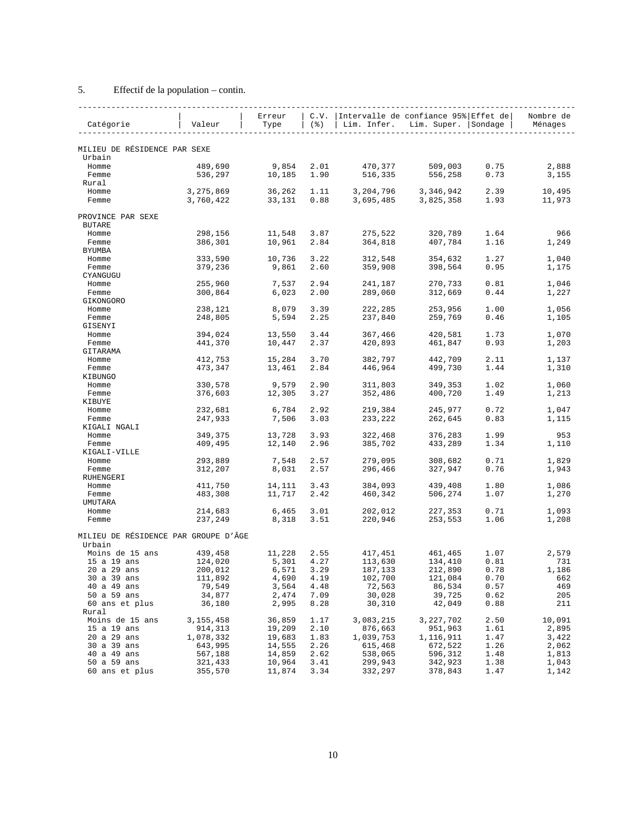### 5. Effectif de la population – contin.

| Catégorie                            | Valeur    | Erreur<br>Type  | C.V.<br>(응)  | Lim. Infer.        | Intervalle de confiance 95% Effet de<br>Lim. Super. Sondage |              | Nombre de<br>Ménages |
|--------------------------------------|-----------|-----------------|--------------|--------------------|-------------------------------------------------------------|--------------|----------------------|
|                                      |           |                 |              |                    |                                                             |              |                      |
| MILIEU DE RÉSIDENCE PAR SEXE         |           |                 |              |                    |                                                             |              |                      |
| Urbain<br>Homme                      |           |                 |              |                    |                                                             |              |                      |
|                                      | 489,690   | 9,854<br>10,185 | 2.01<br>1.90 | 470,377<br>516,335 | 509,003<br>556,258                                          | 0.75<br>0.73 | 2,888<br>3,155       |
| Femme<br>Rural                       | 536,297   |                 |              |                    |                                                             |              |                      |
| Homme                                | 3,275,869 | 36,262          | 1.11         | 3,204,796          | 3,346,942                                                   | 2.39         | 10,495               |
| Femme                                | 3,760,422 | 33,131          | 0.88         | 3,695,485          | 3,825,358                                                   | 1.93         | 11,973               |
| PROVINCE PAR SEXE                    |           |                 |              |                    |                                                             |              |                      |
| <b>BUTARE</b>                        |           |                 |              |                    |                                                             |              |                      |
| Homme                                | 298,156   | 11,548          | 3.87         | 275,522            | 320,789                                                     | 1.64         | 966                  |
| Femme                                | 386,301   | 10,961          | 2.84         | 364,818            | 407,784                                                     | 1.16         | 1,249                |
| BYUMBA                               |           |                 |              |                    |                                                             |              |                      |
| Homme                                | 333,590   | 10,736          | 3.22         | 312,548            | 354,632                                                     | 1.27         | 1,040                |
| Femme                                | 379,236   | 9,861           | 2.60         | 359,908            | 398,564                                                     | 0.95         | 1,175                |
| CYANGUGU                             |           |                 |              |                    |                                                             |              |                      |
| Homme                                | 255,960   | 7,537           | 2.94         | 241,187            | 270,733                                                     | 0.81         | 1,046                |
| Femme                                | 300,864   | 6,023           | 2.00         | 289,060            | 312,669                                                     | 0.44         | 1,227                |
| GIKONGORO                            |           |                 |              |                    |                                                             |              |                      |
| Homme                                | 238,121   | 8,079           | 3.39         | 222,285            | 253,956                                                     | 1.00         | 1,056                |
| Femme                                | 248,805   | 5,594           | 2.25         | 237,840            | 259,769                                                     | 0.46         | 1,105                |
| GISENYI                              |           |                 |              |                    |                                                             |              |                      |
| Homme                                | 394,024   | 13,550          | 3.44         | 367,466            | 420,581                                                     | 1.73         | 1,070                |
| Femme                                | 441,370   | 10,447          | 2.37         | 420,893            | 461,847                                                     | 0.93         | 1,203                |
| GITARAMA                             |           |                 |              |                    |                                                             |              |                      |
| Homme                                | 412,753   | 15,284          | 3.70         | 382,797            | 442,709                                                     | 2.11         | 1,137                |
| Femme                                | 473,347   | 13,461          | 2.84         | 446,964            | 499,730                                                     | 1.44         | 1,310                |
| KIBUNGO                              |           |                 |              |                    |                                                             |              |                      |
| Homme                                | 330,578   | 9,579           | 2.90         | 311,803            | 349,353                                                     | 1.02         | 1,060                |
| Femme                                | 376,603   | 12,305          | 3.27         | 352,486            | 400,720                                                     | 1.49         | 1,213                |
| KIBUYE                               |           |                 |              |                    |                                                             |              |                      |
| Homme                                | 232,681   | 6,784           | 2.92         | 219,384            | 245,977                                                     | 0.72         | 1,047                |
| Femme                                | 247,933   | 7,506           | 3.03         | 233,222            | 262,645                                                     | 0.83         | 1,115                |
| KIGALI NGALI                         |           |                 |              |                    |                                                             |              |                      |
| Homme                                | 349,375   | 13,728          | 3.93         | 322,468            | 376,283                                                     | 1.99         | 953                  |
| Femme<br>KIGALI-VILLE                | 409,495   | 12,140          | 2.96         | 385,702            | 433,289                                                     | 1.34         | 1,110                |
|                                      | 293,889   | 7,548           | 2.57         | 279,095            | 308,682                                                     | 0.71         | 1,829                |
| Homme<br>Femme                       | 312,207   | 8,031           | 2.57         | 296,466            | 327,947                                                     | 0.76         | 1,943                |
| RUHENGERI                            |           |                 |              |                    |                                                             |              |                      |
| Homme                                | 411,750   | 14,111          | 3.43         | 384,093            | 439,408                                                     | 1.80         | 1,086                |
| Femme                                | 483,308   | 11,717          | 2.42         | 460,342            | 506,274                                                     | 1.07         | 1,270                |
| UMUTARA                              |           |                 |              |                    |                                                             |              |                      |
| Homme                                | 214,683   | 6,465           | 3.01         | 202,012            | 227,353                                                     | 0.71         | 1,093                |
| Femme                                | 237,249   | 8,318           | 3.51         | 220,946            | 253,553                                                     | 1.06         | 1,208                |
| MILIEU DE RÉSIDENCE PAR GROUPE D'ÂGE |           |                 |              |                    |                                                             |              |                      |
| Urbain<br>Moins de 15 ans            | 439,458   | 11,228          | 2.55         | 417,451            | 461,465                                                     | 1.07         | 2,579                |
| 15 a 19 ans                          | 124,020   | 5,301           | 4.27         | 113,630            | 134,410                                                     | 0.81         | 731                  |
| 20 a 29 ans                          | 200,012   | 6,571           | 3.29         | 187,133            | 212,890                                                     | 0.78         | 1,186                |
| 30 a 39 ans                          | 111,892   | 4,690           | 4.19         | 102,700            | 121,084                                                     | 0.70         | 662                  |
| 40 a 49 ans                          | 79,549    | 3,564           | 4.48         | 72,563             | 86,534                                                      | 0.57         | 469                  |
| 50 a 59 ans                          | 34,877    | 2,474           | 7.09         | 30,028             | 39,725                                                      | 0.62         | 205                  |
| 60 ans et plus                       | 36,180    | 2,995           | 8.28         | 30,310             | 42,049                                                      | 0.88         | 211                  |
| Rural                                |           |                 |              |                    |                                                             |              |                      |
| Moins de 15 ans                      | 3,155,458 | 36,859          | 1.17         | 3,083,215          | 3,227,702                                                   | 2.50         | 10,091               |
| 15 a 19 ans                          | 914,313   | 19,209          | 2.10         | 876,663            | 951,963                                                     | 1.61         | 2,895                |
| 20 a 29 ans                          | 1,078,332 | 19,683          | 1.83         | 1,039,753          | 1,116,911                                                   | 1.47         | 3,422                |
| 30 a 39 ans                          | 643,995   | 14,555          | 2.26         | 615,468            | 672,522                                                     | 1.26         | 2,062                |
| 40 a 49 ans                          | 567,188   | 14,859          | 2.62         | 538,065            | 596,312                                                     | 1.48         | 1,813                |
| 50 a 59 ans                          | 321,433   | 10,964          | 3.41         | 299,943            | 342,923                                                     | 1.38         | 1,043                |
| 60 ans et plus                       | 355,570   | 11,874          | 3.34         | 332,297            | 378,843                                                     | 1.47         | 1,142                |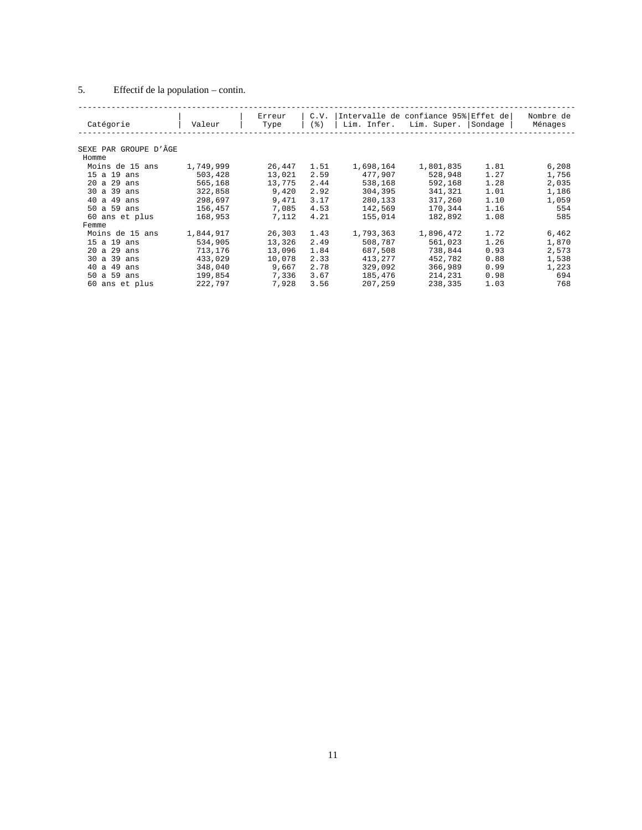### 5. Effectif de la population – contin.

| Catégorie             | Valeur    | Erreur<br>Type | C.V.<br>(응) | Lim. Infer. | Intervalle de confiance 95% Effet de <br>Lim. Super. | Sondage | Nombre de<br>Ménages |
|-----------------------|-----------|----------------|-------------|-------------|------------------------------------------------------|---------|----------------------|
|                       |           |                |             |             |                                                      |         |                      |
| SEXE PAR GROUPE D'ÂGE |           |                |             |             |                                                      |         |                      |
| Homme                 |           |                |             |             |                                                      |         |                      |
| Moins de 15 ans       | 1,749,999 | 26,447         | 1.51        | 1,698,164   | 1,801,835                                            | 1.81    | 6,208                |
| 15a19<br>ans          | 503,428   | 13,021         | 2.59        | 477,907     | 528,948                                              | 1.27    | 1,756                |
| $20$ a $29$ ans       | 565,168   | 13,775         | 2.44        | 538,168     | 592,168                                              | 1.28    | 2,035                |
| 30 a 39 ans           | 322,858   | 9,420          | 2.92        | 304,395     | 341,321                                              | 1.01    | 1,186                |
| 40a49<br>ans          | 298,697   | 9,471          | 3.17        | 280,133     | 317,260                                              | 1.10    | 1,059                |
| 50 a 59 ans           | 156,457   | 7,085          | 4.53        | 142,569     | 170,344                                              | 1.16    | 554                  |
| 60 ans et plus        | 168,953   | 7,112          | 4.21        | 155,014     | 182,892                                              | 1.08    | 585                  |
| Femme                 |           |                |             |             |                                                      |         |                      |
| Moins de 15 ans       | 1,844,917 | 26,303         | 1.43        | 1,793,363   | 1,896,472                                            | 1.72    | 6,462                |
| 15 a 19 ans           | 534,905   | 13,326         | 2.49        | 508,787     | 561,023                                              | 1.26    | 1,870                |
| 20 a 29 ans           | 713,176   | 13,096         | 1.84        | 687,508     | 738,844                                              | 0.93    | 2,573                |
| 30 a 39<br>ans        | 433,029   | 10,078         | 2.33        | 413,277     | 452,782                                              | 0.88    | 1,538                |
| 40 a 49<br>ans        | 348,040   | 9,667          | 2.78        | 329,092     | 366,989                                              | 0.99    | 1,223                |
| 50 a 59 ans           | 199,854   | 7,336          | 3.67        | 185,476     | 214,231                                              | 0.98    | 694                  |
| 60 ans et plus        | 222,797   | 7,928          | 3.56        | 207,259     | 238,335                                              | 1.03    | 768                  |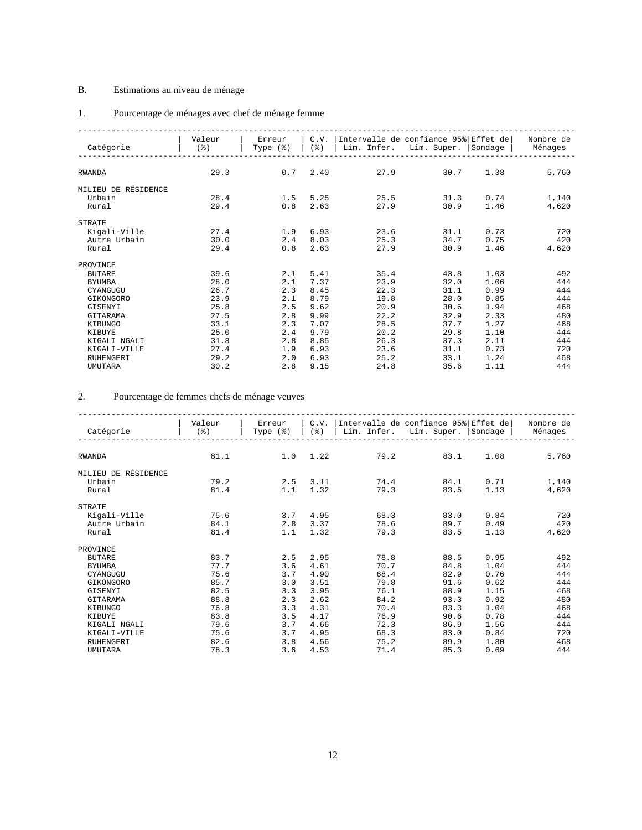### B. Estimations au niveau de ménage

### 1. Pourcentage de ménages avec chef de ménage femme

| Catégorie           | Valeur<br>$($ $\frac{6}{6}$ $)$ | Erreur<br>Type $(*)$ | C.V.<br>$($ $\mathcal{E})$ | Intervalle de confiance 95% Effet de<br>Lim. Infer. | Lim. Super. | Sondage | Nombre de<br>Ménages |
|---------------------|---------------------------------|----------------------|----------------------------|-----------------------------------------------------|-------------|---------|----------------------|
|                     |                                 |                      |                            |                                                     |             |         |                      |
|                     |                                 |                      |                            |                                                     |             |         |                      |
| <b>RWANDA</b>       | 29.3                            | 0.7                  | 2.40                       | 27.9                                                | 30.7        | 1.38    | 5,760                |
| MILIEU DE RÉSIDENCE |                                 |                      |                            |                                                     |             |         |                      |
| Urbain              | 28.4                            | 1.5                  | 5.25                       | 25.5                                                | 31.3        | 0.74    | 1,140                |
| Rural               | 29.4                            | 0.8                  | 2.63                       | 27.9                                                | 30.9        | 1.46    | 4,620                |
| <b>STRATE</b>       |                                 |                      |                            |                                                     |             |         |                      |
| Kigali-Ville        | 27.4                            | 1.9                  | 6.93                       | 23.6                                                | 31.1        | 0.73    | 720                  |
| Autre Urbain        | 30.0                            | 2.4                  | 8.03                       | 25.3                                                | 34.7        | 0.75    | 420                  |
| Rural               | 29.4                            | 0.8                  | 2.63                       | 27.9                                                | 30.9        | 1.46    | 4,620                |
| PROVINCE            |                                 |                      |                            |                                                     |             |         |                      |
| <b>BUTARE</b>       | 39.6                            | 2.1                  | 5.41                       | 35.4                                                | 43.8        | 1.03    | 492                  |
| <b>BYUMBA</b>       | 28.0                            | 2.1                  | 7.37                       | 23.9                                                | 32.0        | 1.06    | 444                  |
| CYANGUGU            | 26.7                            | 2.3                  | 8.45                       | 22.3                                                | 31.1        | 0.99    | 444                  |
| GIKONGORO           | 23.9                            | 2.1                  | 8.79                       | 19.8                                                | 28.0        | 0.85    | 444                  |
| GISENYI             | 25.8                            | 2.5                  | 9.62                       | 20.9                                                | 30.6        | 1.94    | 468                  |
| GITARAMA            | 27.5                            | 2.8                  | 9.99                       | 22.2                                                | 32.9        | 2.33    | 480                  |
| KIBUNGO             | 33.1                            | 2.3                  | 7.07                       | 28.5                                                | 37.7        | 1.27    | 468                  |
| KIBUYE              | 25.0                            | 2.4                  | 9.79                       | 20.2                                                | 29.8        | 1.10    | 444                  |
| KIGALI NGALI        | 31.8                            | 2.8                  | 8.85                       | 26.3                                                | 37.3        | 2.11    | 444                  |
| KIGALI-VILLE        | 27.4                            | 1.9                  | 6.93                       | 23.6                                                | 31.1        | 0.73    | 720                  |
| <b>RUHENGERI</b>    | 29.2                            | 2.0                  | 6.93                       | 25.2                                                | 33.1        | 1.24    | 468                  |
| UMUTARA             | 30.2                            | 2.8                  | 9.15                       | 24.8                                                | 35.6        | 1.11    | 444                  |

### 2. Pourcentage de femmes chefs de ménage veuves

| Catégorie           | Valeur<br>$($ $\frac{6}{6}$ $)$ | Erreur<br>Type $(*)$ | C.V.<br>$($ $\mathcal{E})$ | Intervalle de confiance 95% Effet de<br>Lim. Infer. | Lim. Super.  | Sondage      | Nombre de<br>Ménages |
|---------------------|---------------------------------|----------------------|----------------------------|-----------------------------------------------------|--------------|--------------|----------------------|
| <b>RWANDA</b>       | 81.1                            | 1.0                  | 1.22                       | 79.2                                                | 83.1         | 1.08         | 5,760                |
| MILIEU DE RÉSIDENCE |                                 |                      |                            |                                                     |              |              |                      |
| Urbain<br>Rural     | 79.2<br>81.4                    | 2.5<br>1.1           | 3.11<br>1.32               | 74.4<br>79.3                                        | 84.1<br>83.5 | 0.71<br>1.13 | 1,140<br>4,620       |
| <b>STRATE</b>       |                                 |                      |                            |                                                     |              |              |                      |
| Kigali-Ville        | 75.6                            | 3.7                  | 4.95                       | 68.3                                                | 83.0         | 0.84         | 720                  |
| Autre Urbain        | 84.1                            | 2.8                  | 3.37                       | 78.6                                                | 89.7         | 0.49         | 420                  |
| Rural               | 81.4                            | 1.1                  | 1.32                       | 79.3                                                | 83.5         | 1.13         | 4,620                |
| PROVINCE            |                                 |                      |                            |                                                     |              |              |                      |
| <b>BUTARE</b>       | 83.7                            | 2.5                  | 2.95                       | 78.8                                                | 88.5         | 0.95         | 492                  |
| <b>BYUMBA</b>       | 77.7                            | 3.6                  | 4.61                       | 70.7                                                | 84.8         | 1.04         | 444                  |
| CYANGUGU            | 75.6                            | 3.7                  | 4.90                       | 68.4                                                | 82.9         | 0.76         | 444                  |
| GIKONGORO           | 85.7                            | 3.0                  | 3.51                       | 79.8                                                | 91.6         | 0.62         | 444                  |
| GISENYI             | 82.5                            | 3.3                  | 3.95                       | 76.1                                                | 88.9         | 1.15         | 468                  |
| GITARAMA            | 88.8                            | 2.3                  | 2.62                       | 84.2                                                | 93.3         | 0.92         | 480                  |
| <b>KIBUNGO</b>      | 76.8                            | 3.3                  | 4.31                       | 70.4                                                | 83.3         | 1.04         | 468                  |
| KIBUYE              | 83.8                            | 3.5                  | 4.17                       | 76.9                                                | 90.6         | 0.78         | 444                  |
| KIGALI NGALI        | 79.6                            | 3.7                  | 4.66                       | 72.3                                                | 86.9         | 1.56         | 444                  |
| KIGALI-VILLE        | 75.6                            | 3.7                  | 4.95                       | 68.3                                                | 83.0         | 0.84         | 720                  |
| <b>RUHENGERI</b>    | 82.6                            | 3.8                  | 4.56                       | 75.2                                                | 89.9         | 1.80         | 468                  |
| UMUTARA             | 78.3                            | 3.6                  | 4.53                       | 71.4                                                | 85.3         | 0.69         | 444                  |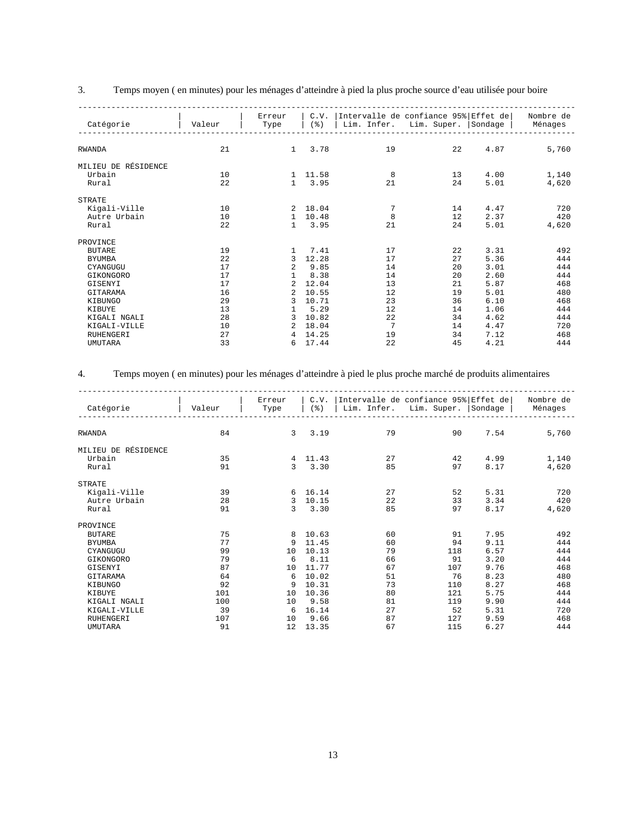| J. |  | Temps moyen (en minutes) pour les ménages d'atteindre à pied la plus proche source d'eau utilisée pour boire |  |  |  |
|----|--|--------------------------------------------------------------------------------------------------------------|--|--|--|
|    |  |                                                                                                              |  |  |  |

| Catégorie           | Valeur | Erreur<br>Type | C.V.<br>$($ $\frac{6}{6}$ $)$ | Lim. Infer. | Intervalle de confiance 95% Effet de<br>Lim. Super. | Sondage | Nombre de<br>Ménages |
|---------------------|--------|----------------|-------------------------------|-------------|-----------------------------------------------------|---------|----------------------|
|                     |        |                |                               |             |                                                     |         |                      |
| <b>RWANDA</b>       | 21     | $\mathbf{1}$   | 3.78                          | 19          | 22                                                  | 4.87    | 5,760                |
| MILIEU DE RÉSIDENCE |        |                |                               |             |                                                     |         |                      |
| Urbain              | 10     | 1.             | 11.58                         | 8           | 13                                                  | 4.00    | 1,140                |
| Rural               | 22     | $\mathbf{1}$   | 3.95                          | 21          | 24                                                  | 5.01    | 4,620                |
| <b>STRATE</b>       |        |                |                               |             |                                                     |         |                      |
| Kigali-Ville        | 10     | 2              | 18.04                         | 7           | 14                                                  | 4.47    | 720                  |
| Autre Urbain        | 10     | 1              | 10.48                         | 8           | 12                                                  | 2.37    | 420                  |
| Rural               | 22     | 1              | 3.95                          | 21          | 24                                                  | 5.01    | 4,620                |
| PROVINCE            |        |                |                               |             |                                                     |         |                      |
| <b>BUTARE</b>       | 19     | 1              | 7.41                          | 17          | 22                                                  | 3.31    | 492                  |
| <b>BYUMBA</b>       | 22     | 3              | 12.28                         | 17          | 27                                                  | 5.36    | 444                  |
| CYANGUGU            | 17     | 2              | 9.85                          | 14          | 20                                                  | 3.01    | 444                  |
| GIKONGORO           | 17     | 1              | 8.38                          | 14          | 20                                                  | 2.60    | 444                  |
| GISENYI             | 17     | $\overline{a}$ | 12.04                         | 13          | 21                                                  | 5.87    | 468                  |
| GITARAMA            | 16     | $\overline{a}$ | 10.55                         | 12          | 19                                                  | 5.01    | 480                  |
| KIBUNGO             | 29     | 3              | 10.71                         | 23          | 36                                                  | 6.10    | 468                  |
| KIBUYE              | 13     |                | 5.29                          | 12          | 14                                                  | 1.06    | 444                  |
| KIGALI NGALI        | 28     | 3              | 10.82                         | 22          | 34                                                  | 4.62    | 444                  |
| KIGALI-VILLE        | 10     | 2              | 18.04                         | 7           | 14                                                  | 4.47    | 720                  |
| <b>RUHENGERI</b>    | 27     | 4              | 14.25                         | 19          | 34                                                  | 7.12    | 468                  |
| <b>UMUTARA</b>      | 33     | 6              | 17.44                         | 22          | 45                                                  | 4.21    | 444                  |
|                     |        |                |                               |             |                                                     |         |                      |

### 4. Temps moyen ( en minutes) pour les ménages d'atteindre à pied le plus proche marché de produits alimentaires

| Catégorie           | Valeur | Erreur<br>Type | C.V.<br>$($ $\frac{6}{6}$ $)$ | Lim. Infer. | Intervalle de confiance 95% Effet de<br>Lim. Super. | Sondage | Nombre de<br>Ménages |
|---------------------|--------|----------------|-------------------------------|-------------|-----------------------------------------------------|---------|----------------------|
| <b>RWANDA</b>       | 84     | 3              | 3.19                          | 79          | 90                                                  | 7.54    | 5,760                |
| MILIEU DE RÉSIDENCE |        |                |                               |             |                                                     |         |                      |
| Urbain              | 35     | 4              | 11.43                         | 27          | 42                                                  | 4.99    | 1,140                |
| Rural               | 91     | 3              | 3.30                          | 85          | 97                                                  | 8.17    | 4,620                |
| <b>STRATE</b>       |        |                |                               |             |                                                     |         |                      |
| Kigali-Ville        | 39     | 6              | 16.14                         | 27          | 52                                                  | 5.31    | 720                  |
| Autre Urbain        | 28     | 3              | 10.15                         | 22          | 33                                                  | 3.34    | 420                  |
| Rural               | 91     | 3              | 3.30                          | 85          | 97                                                  | 8.17    | 4,620                |
| PROVINCE            |        |                |                               |             |                                                     |         |                      |
| <b>BUTARE</b>       | 75     | 8              | 10.63                         | 60          | 91                                                  | 7.95    | 492                  |
| <b>BYUMBA</b>       | 77     | 9              | 11.45                         | 60          | 94                                                  | 9.11    | 444                  |
| CYANGUGU            | 99     | 10             | 10.13                         | 79          | 118                                                 | 6.57    | 444                  |
| GIKONGORO           | 79     | 6              | 8.11                          | 66          | 91                                                  | 3.20    | 444                  |
| GISENYI             | 87     | 10             | 11.77                         | 67          | 107                                                 | 9.76    | 468                  |
| GITARAMA            | 64     | 6              | 10.02                         | 51          | 76                                                  | 8.23    | 480                  |
| KIBUNGO             | 92     | 9              | 10.31                         | 73          | 110                                                 | 8.27    | 468                  |
| KIBUYE              | 101    | 10             | 10.36                         | 80          | 121                                                 | 5.75    | 444                  |
| KIGALI NGALI        | 100    | 10             | 9.58                          | 81          | 119                                                 | 9.90    | 444                  |
| KIGALI-VILLE        | 39     | 6              | 16.14                         | 2.7         | 52                                                  | 5.31    | 720                  |
| <b>RUHENGERI</b>    | 107    | 10             | 9.66                          | 87          | 127                                                 | 9.59    | 468                  |
| <b>UMUTARA</b>      | 91     | 12             | 13.35                         | 67          | 115                                                 | 6.27    | 444                  |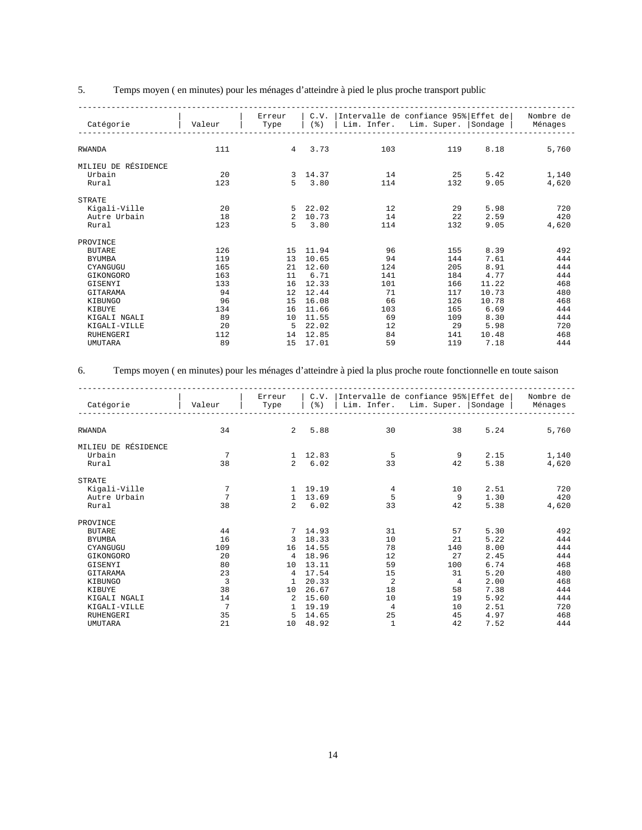### 5. Temps moyen ( en minutes) pour les ménages d'atteindre à pied le plus proche transport public

| Valeur | Erreur<br>Type | C.V.<br>$($ $\frac{6}{6}$ $)$ | Lim. Infer. | Lim. Super. | Sondage | Nombre de<br>Ménages                 |
|--------|----------------|-------------------------------|-------------|-------------|---------|--------------------------------------|
|        |                |                               |             |             |         |                                      |
| 111    | 4              | 3.73                          | 103         | 119         | 8.18    | 5,760                                |
|        |                |                               |             |             |         |                                      |
| 20     | 3              | 14.37                         | 14          | 25          | 5.42    | 1,140                                |
| 123    | 5              | 3.80                          | 114         | 132         | 9.05    | 4,620                                |
|        |                |                               |             |             |         |                                      |
| 20     | 5              | 22.02                         | 12          | 29          | 5.98    | 720                                  |
| 18     | $\overline{a}$ | 10.73                         | 14          | 22          | 2.59    | 420                                  |
| 123    | 5              | 3.80                          | 114         | 132         | 9.05    | 4,620                                |
|        |                |                               |             |             |         |                                      |
| 126    | 15             | 11.94                         | 96          | 155         | 8.39    | 492                                  |
| 119    | 13             | 10.65                         | 94          | 144         | 7.61    | 444                                  |
| 165    | 21             | 12.60                         | 124         | 205         | 8.91    | 444                                  |
| 163    | 11             | 6.71                          | 141         | 184         | 4.77    | 444                                  |
| 133    | 16             | 12.33                         | 101         | 166         | 11.22   | 468                                  |
| 94     | 12             | 12.44                         | 71          | 117         | 10.73   | 480                                  |
| 96     | 15             | 16.08                         | 66          | 126         | 10.78   | 468                                  |
| 134    | 16             | 11.66                         | 103         | 165         | 6.69    | 444                                  |
| 89     | 10             | 11.55                         | 69          | 109         | 8.30    | 444                                  |
| 20     | 5              | 22.02                         | 12          | 29          | 5.98    | 720                                  |
| 112    | 14             | 12.85                         | 84          | 141         | 10.48   | 468                                  |
| 89     | 15             | 17.01                         | 59          | 119         | 7.18    | 444                                  |
|        |                |                               |             |             |         | Intervalle de confiance 95% Effet de |

#### 6. Temps moyen ( en minutes) pour les ménages d'atteindre à pied la plus proche route fonctionnelle en toute saison

| Catégorie           | Valeur         | Erreur<br>Type | C.V.<br>$($ %) | Intervalle de confiance 95% Effet de<br>Lim. Infer. | Lim. Super. | Sondage | Nombre de<br>Ménages |
|---------------------|----------------|----------------|----------------|-----------------------------------------------------|-------------|---------|----------------------|
|                     |                |                |                |                                                     |             |         |                      |
| <b>RWANDA</b>       | 34             | 2              | 5.88           | 30                                                  | 38          | 5.24    | 5,760                |
| MILIEU DE RÉSIDENCE |                |                |                |                                                     |             |         |                      |
| Urbain              | 7              | 1              | 12.83          | 5                                                   | 9           | 2.15    | 1,140                |
| Rural               | 38             | $\mathcal{L}$  | 6.02           | 33                                                  | 42          | 5.38    | 4,620                |
| <b>STRATE</b>       |                |                |                |                                                     |             |         |                      |
| Kigali-Ville        | 7              | -1             | 19.19          | $\,4$                                               | 10          | 2.51    | 720                  |
| Autre Urbain        | 7              | $\mathbf{1}$   | 13.69          | 5                                                   | 9           | 1.30    | 420                  |
| Rural               | 38             | $\mathcal{L}$  | 6.02           | 33                                                  | 42          | 5.38    | 4,620                |
| PROVINCE            |                |                |                |                                                     |             |         |                      |
| <b>BUTARE</b>       | 44             |                | 14.93          | 31                                                  | 57          | 5.30    | 492                  |
| <b>BYUMBA</b>       | 16             | 3              | 18.33          | 10                                                  | 21          | 5.22    | 444                  |
| CYANGUGU            | 109            | 16             | 14.55          | 78                                                  | 140         | 8.00    | 444                  |
| GIKONGORO           | 20             | 4              | 18.96          | 12                                                  | 27          | 2.45    | 444                  |
| GISENYI             | 80             | 10             | 13.11          | 59                                                  | 100         | 6.74    | 468                  |
| GITARAMA            | 23             | $\overline{4}$ | 17.54          | 15                                                  | 31          | 5.20    | 480                  |
| KIBUNGO             | 3              | 1              | 20.33          | $\overline{a}$                                      | 4           | 2.00    | 468                  |
| KIBUYE              | 38             | 10             | 26.67          | 18                                                  | 58          | 7.38    | 444                  |
| KIGALI NGALI        | 14             | $\overline{2}$ | 15.60          | 10                                                  | 19          | 5.92    | 444                  |
| KIGALI-VILLE        | $\overline{7}$ | $\mathbf{1}$   | 19.19          | $\overline{4}$                                      | 10          | 2.51    | 720                  |
| <b>RUHENGERI</b>    | 35             | 5              | 14.65          | 25                                                  | 45          | 4.97    | 468                  |
| <b>UMUTARA</b>      | 21             | 10             | 48.92          | 1                                                   | 42          | 7.52    | 444                  |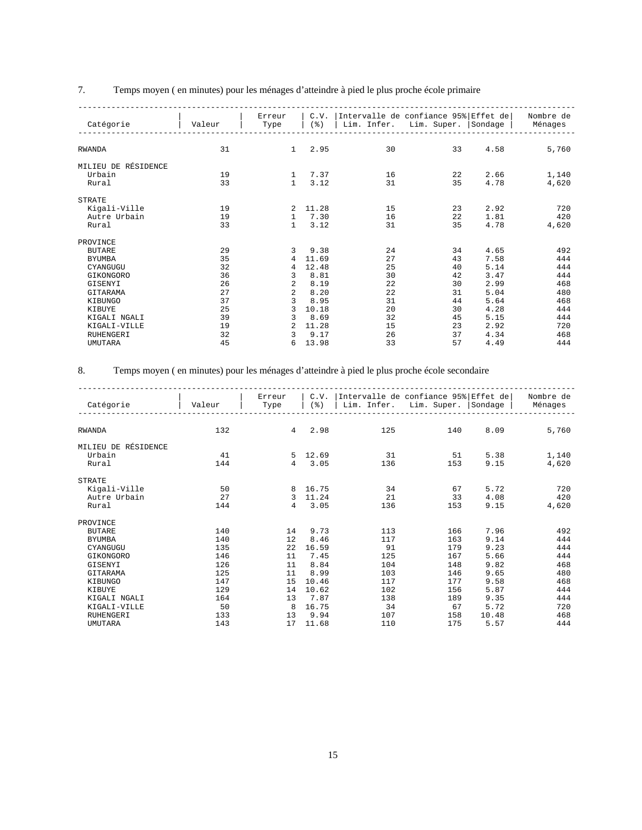# 7. Temps moyen ( en minutes) pour les ménages d'atteindre à pied le plus proche école primaire

| Catégorie           | Valeur | Erreur<br>Type | C.V.<br>$($ $\frac{6}{6}$ $)$ | Lim. Infer. | Intervalle de confiance 95% Effet de<br>Lim. Super. | Sondage | Nombre de<br>Ménages |
|---------------------|--------|----------------|-------------------------------|-------------|-----------------------------------------------------|---------|----------------------|
|                     |        |                |                               |             |                                                     |         |                      |
| <b>RWANDA</b>       | 31     | $\mathbf{1}$   | 2.95                          | 30          | 33                                                  | 4.58    | 5,760                |
| MILIEU DE RÉSIDENCE |        |                |                               |             |                                                     |         |                      |
| Urbain              | 19     | $\mathbf{1}$   | 7.37                          | 16          | 22                                                  | 2.66    | 1,140                |
| Rural               | 33     | $\mathbf{1}$   | 3.12                          | 31          | 35                                                  | 4.78    | 4,620                |
| <b>STRATE</b>       |        |                |                               |             |                                                     |         |                      |
| Kigali-Ville        | 19     | 2              | 11.28                         | 15          | 23                                                  | 2.92    | 720                  |
| Autre Urbain        | 19     | 1              | 7.30                          | 16          | 22                                                  | 1.81    | 420                  |
| Rural               | 33     | $\mathbf{1}$   | 3.12                          | 31          | 35                                                  | 4.78    | 4,620                |
| PROVINCE            |        |                |                               |             |                                                     |         |                      |
| <b>BUTARE</b>       | 29     | 3              | 9.38                          | 24          | 34                                                  | 4.65    | 492                  |
| <b>BYUMBA</b>       | 35     | 4              | 11.69                         | 27          | 43                                                  | 7.58    | 444                  |
| CYANGUGU            | 32     | 4              | 12.48                         | 25          | 40                                                  | 5.14    | 444                  |
| GIKONGORO           | 36     | 3              | 8.81                          | 30          | 42                                                  | 3.47    | 444                  |
| GISENYI             | 26     | 2              | 8.19                          | 22          | 30                                                  | 2.99    | 468                  |
| GITARAMA            | 27     | $\overline{a}$ | 8.20                          | 22          | 31                                                  | 5.04    | 480                  |
| KIBUNGO             | 37     | 3              | 8.95                          | 31          | 44                                                  | 5.64    | 468                  |
| KIBUYE              | 25     | 3              | 10.18                         | 20          | 30                                                  | 4.28    | 444                  |
| KIGALI NGALI        | 39     | 3              | 8.69                          | 32          | 45                                                  | 5.15    | 444                  |
| KIGALI-VILLE        | 19     | $\overline{a}$ | 11.28                         | 15          | 23                                                  | 2.92    | 720                  |
| <b>RUHENGERI</b>    | 32     | 3              | 9.17                          | 26          | 37                                                  | 4.34    | 468                  |
| <b>UMUTARA</b>      | 45     | 6              | 13.98                         | 33          | 57                                                  | 4.49    | 444                  |

### 8. Temps moyen ( en minutes) pour les ménages d'atteindre à pied le plus proche école secondaire

|                     |        | Erreur         | C.V.                  |             | Intervalle de confiance 95% Effet de |         | Nombre de |
|---------------------|--------|----------------|-----------------------|-------------|--------------------------------------|---------|-----------|
| Catégorie           | Valeur | Type           | $($ $\frac{6}{6}$ $)$ | Lim. Infer. | Lim. Super.                          | Sondage | Ménages   |
|                     |        |                |                       |             |                                      |         |           |
|                     |        |                |                       |             |                                      |         |           |
| <b>RWANDA</b>       | 132    | 4              | 2.98                  | 125         | 140                                  | 8.09    | 5,760     |
|                     |        |                |                       |             |                                      |         |           |
| MILIEU DE RÉSIDENCE |        |                |                       |             |                                      |         |           |
| Urbain              | 41     | 5              | 12.69                 | 31          | 51                                   | 5.38    | 1,140     |
| Rural               | 144    | $\overline{4}$ | 3.05                  | 136         | 153                                  | 9.15    | 4,620     |
| <b>STRATE</b>       |        |                |                       |             |                                      |         |           |
|                     | 50     | 8              | 16.75                 | 34          | 67                                   | 5.72    | 720       |
| Kigali-Ville        | 2.7    |                | 11.24                 | 21          | 33                                   |         |           |
| Autre Urbain        |        | 3              |                       |             |                                      | 4.08    | 420       |
| Rural               | 144    | $\overline{4}$ | 3.05                  | 136         | 153                                  | 9.15    | 4,620     |
| PROVINCE            |        |                |                       |             |                                      |         |           |
| <b>BUTARE</b>       | 140    | 14             | 9.73                  | 113         | 166                                  | 7.96    | 492       |
| <b>BYUMBA</b>       | 140    | 12             | 8.46                  | 117         | 163                                  | 9.14    | 444       |
| CYANGUGU            | 135    | 22             | 16.59                 | 91          | 179                                  | 9.23    | 444       |
| GIKONGORO           | 146    | 11             | 7.45                  | 125         | 167                                  | 5.66    | 444       |
| GISENYI             | 126    | 11             | 8.84                  | 104         | 148                                  | 9.82    | 468       |
| GITARAMA            | 125    | 11             | 8.99                  | 103         | 146                                  | 9.65    | 480       |
| KIBUNGO             | 147    | 15             | 10.46                 | 117         | 177                                  | 9.58    | 468       |
| KIBUYE              | 129    | 14             | 10.62                 | 102         | 156                                  | 5.87    | 444       |
| KIGALI NGALI        | 164    | 13             | 7.87                  | 138         | 189                                  | 9.35    | 444       |
| KIGALI-VILLE        | 50     | 8              | 16.75                 | 34          | 67                                   | 5.72    | 720       |
|                     |        |                |                       |             |                                      |         |           |
| <b>RUHENGERI</b>    | 133    | 13             | 9.94                  | 107         | 158                                  | 10.48   | 468       |
| <b>UMUTARA</b>      | 143    | 17             | 11.68                 | 110         | 175                                  | 5.57    | 444       |